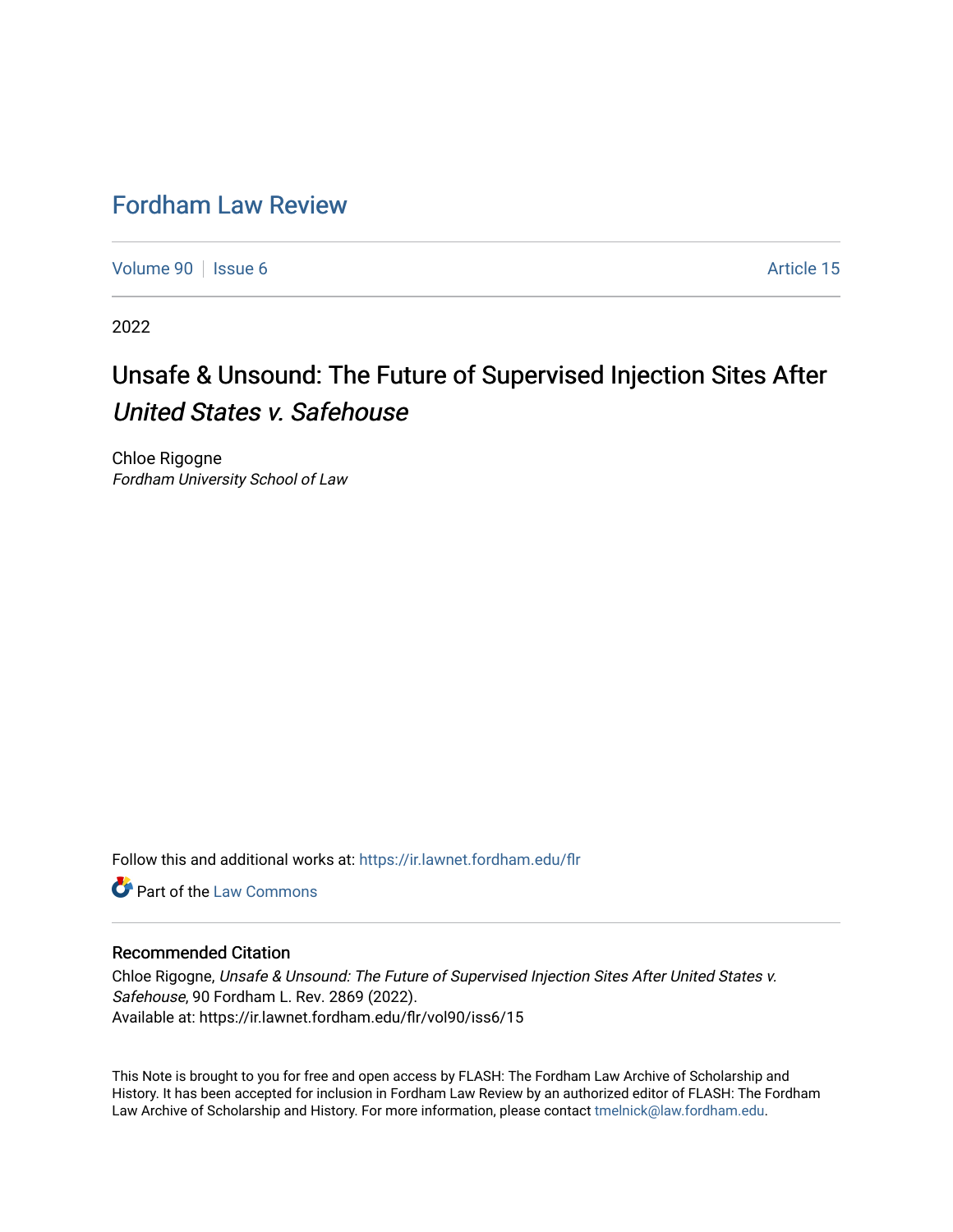## [Fordham Law Review](https://ir.lawnet.fordham.edu/flr)

[Volume 90](https://ir.lawnet.fordham.edu/flr/vol90) | [Issue 6](https://ir.lawnet.fordham.edu/flr/vol90/iss6) Article 15

2022

# Unsafe & Unsound: The Future of Supervised Injection Sites After United States v. Safehouse

Chloe Rigogne Fordham University School of Law

Follow this and additional works at: [https://ir.lawnet.fordham.edu/flr](https://ir.lawnet.fordham.edu/flr?utm_source=ir.lawnet.fordham.edu%2Fflr%2Fvol90%2Fiss6%2F15&utm_medium=PDF&utm_campaign=PDFCoverPages)

**C** Part of the [Law Commons](http://network.bepress.com/hgg/discipline/578?utm_source=ir.lawnet.fordham.edu%2Fflr%2Fvol90%2Fiss6%2F15&utm_medium=PDF&utm_campaign=PDFCoverPages)

#### Recommended Citation

Chloe Rigogne, Unsafe & Unsound: The Future of Supervised Injection Sites After United States v. Safehouse, 90 Fordham L. Rev. 2869 (2022). Available at: https://ir.lawnet.fordham.edu/flr/vol90/iss6/15

This Note is brought to you for free and open access by FLASH: The Fordham Law Archive of Scholarship and History. It has been accepted for inclusion in Fordham Law Review by an authorized editor of FLASH: The Fordham Law Archive of Scholarship and History. For more information, please contact [tmelnick@law.fordham.edu](mailto:tmelnick@law.fordham.edu).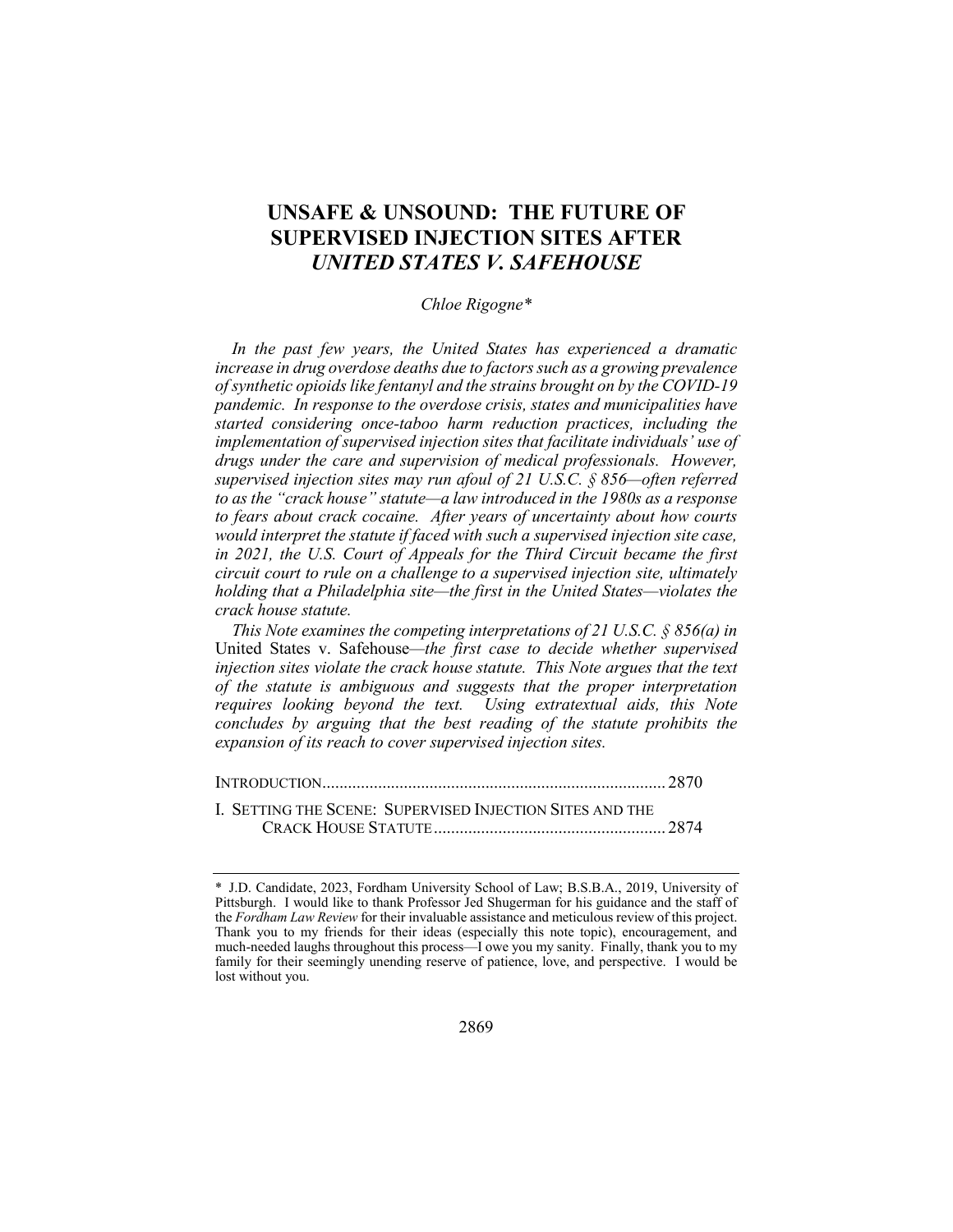### **UNSAFE & UNSOUND: THE FUTURE OF SUPERVISED INJECTION SITES AFTER**  *UNITED STATES V. SAFEHOUSE*

#### *Chloe Rigogne\**

*In the past few years, the United States has experienced a dramatic increase in drug overdose deaths due to factors such as a growing prevalence of synthetic opioids like fentanyl and the strains brought on by the COVID-19 pandemic. In response to the overdose crisis, states and municipalities have started considering once-taboo harm reduction practices, including the implementation of supervised injection sites that facilitate individuals' use of drugs under the care and supervision of medical professionals. However, supervised injection sites may run afoul of 21 U.S.C. § 856—often referred to as the "crack house" statute—a law introduced in the 1980s as a response to fears about crack cocaine. After years of uncertainty about how courts would interpret the statute if faced with such a supervised injection site case, in 2021, the U.S. Court of Appeals for the Third Circuit became the first circuit court to rule on a challenge to a supervised injection site, ultimately holding that a Philadelphia site—the first in the United States—violates the crack house statute.*

*This Note examines the competing interpretations of 21 U.S.C. § 856(a) in*  United States v. Safehouse*—the first case to decide whether supervised injection sites violate the crack house statute. This Note argues that the text of the statute is ambiguous and suggests that the proper interpretation requires looking beyond the text. Using extratextual aids, this Note concludes by arguing that the best reading of the statute prohibits the expansion of its reach to cover supervised injection sites.*

INTRODUCTION................................................................................ 2870 I. SETTING THE SCENE: SUPERVISED INJECTION SITES AND THE CRACK HOUSE STATUTE...................................................... 2874

<sup>\*</sup> J.D. Candidate, 2023, Fordham University School of Law; B.S.B.A., 2019, University of Pittsburgh. I would like to thank Professor Jed Shugerman for his guidance and the staff of the *Fordham Law Review* for their invaluable assistance and meticulous review of this project. Thank you to my friends for their ideas (especially this note topic), encouragement, and much-needed laughs throughout this process—I owe you my sanity. Finally, thank you to my family for their seemingly unending reserve of patience, love, and perspective. I would be lost without you.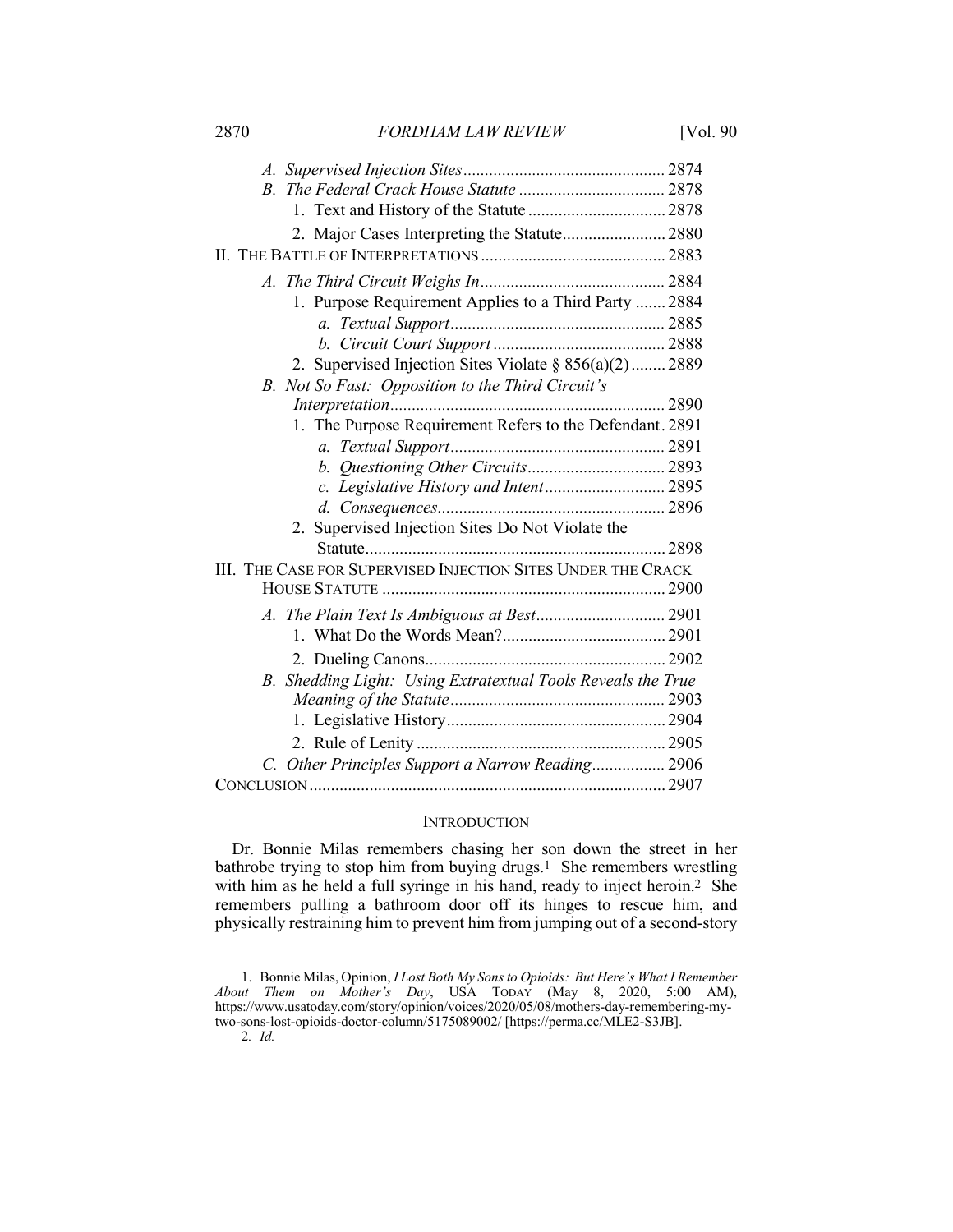2870 *FORDHAM LAW REVIEW* [Vol. 90

| 2. Major Cases Interpreting the Statute 2880                 |  |
|--------------------------------------------------------------|--|
|                                                              |  |
|                                                              |  |
|                                                              |  |
| 1. Purpose Requirement Applies to a Third Party  2884        |  |
|                                                              |  |
|                                                              |  |
| 2. Supervised Injection Sites Violate § 856(a)(2) 2889       |  |
| B. Not So Fast: Opposition to the Third Circuit's            |  |
|                                                              |  |
| 1. The Purpose Requirement Refers to the Defendant. 2891     |  |
|                                                              |  |
|                                                              |  |
|                                                              |  |
|                                                              |  |
| Supervised Injection Sites Do Not Violate the<br>2.          |  |
|                                                              |  |
| III. THE CASE FOR SUPERVISED INJECTION SITES UNDER THE CRACK |  |
|                                                              |  |
|                                                              |  |
|                                                              |  |
|                                                              |  |
| B. Shedding Light: Using Extratextual Tools Reveals the True |  |
|                                                              |  |
|                                                              |  |
|                                                              |  |
| C. Other Principles Support a Narrow Reading 2906            |  |
|                                                              |  |

#### **INTRODUCTION**

Dr. Bonnie Milas remembers chasing her son down the street in her bathrobe trying to stop him from buying drugs.1 She remembers wrestling with him as he held a full syringe in his hand, ready to inject heroin.<sup>2</sup> She remembers pulling a bathroom door off its hinges to rescue him, and physically restraining him to prevent him from jumping out of a second-story

<sup>1.</sup> Bonnie Milas, Opinion, *I Lost Both My Sons to Opioids: But Here's What I Remember About Them on Mother's Day*, USA TODAY (May 8, 2020, 5:00 AM), https://www.usatoday.com/story/opinion/voices/2020/05/08/mothers-day-remembering-mytwo-sons-lost-opioids-doctor-column/5175089002/ [https://perma.cc/MLE2-S3JB].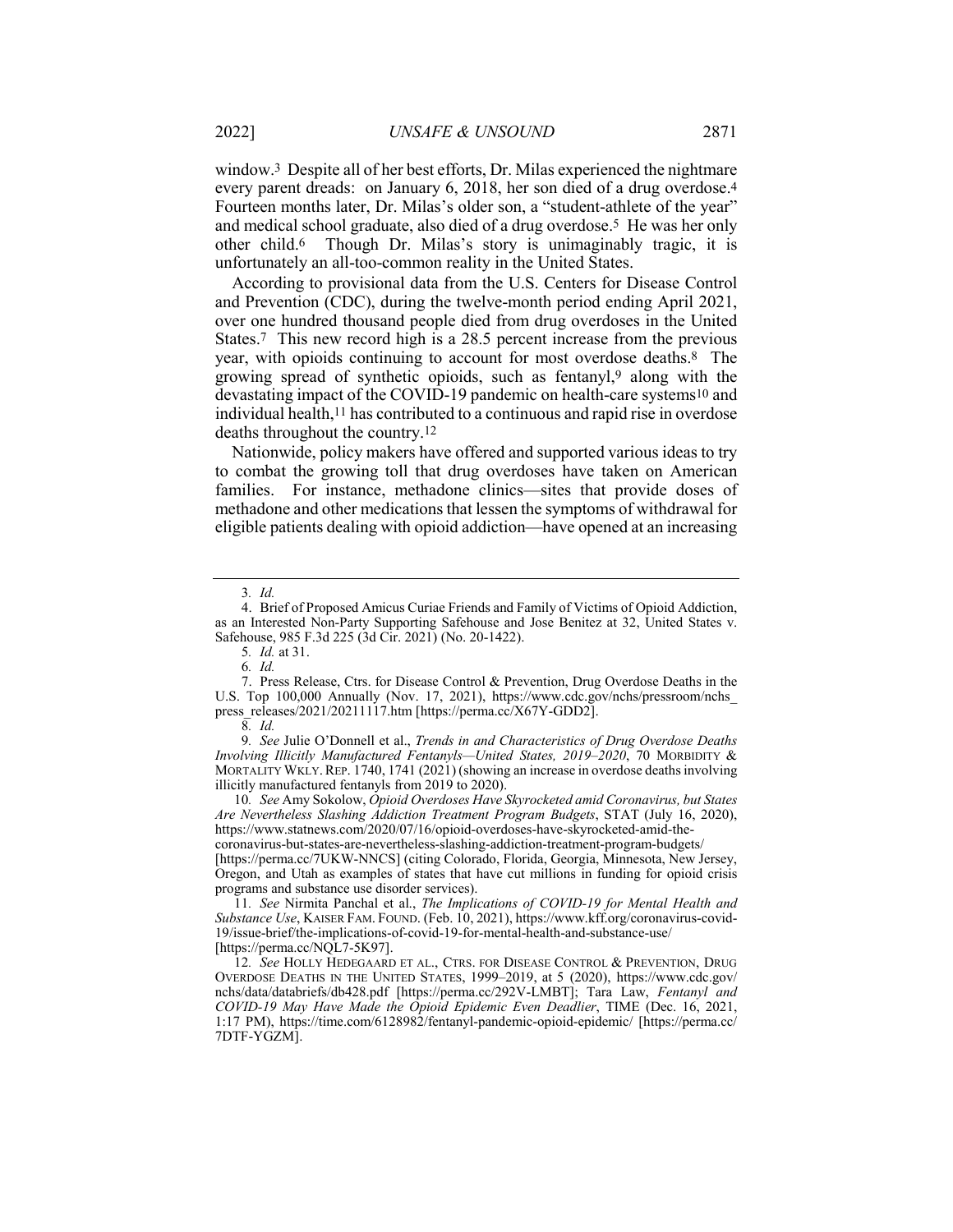window.3 Despite all of her best efforts, Dr. Milas experienced the nightmare every parent dreads: on January 6, 2018, her son died of a drug overdose.4 Fourteen months later, Dr. Milas's older son, a "student-athlete of the year" and medical school graduate, also died of a drug overdose.5 He was her only other child.6 Though Dr. Milas's story is unimaginably tragic, it is unfortunately an all-too-common reality in the United States.

According to provisional data from the U.S. Centers for Disease Control and Prevention (CDC), during the twelve-month period ending April 2021, over one hundred thousand people died from drug overdoses in the United States.7 This new record high is a 28.5 percent increase from the previous year, with opioids continuing to account for most overdose deaths.8 The growing spread of synthetic opioids, such as fentanyl,9 along with the devastating impact of the COVID-19 pandemic on health-care systems10 and individual health,11 has contributed to a continuous and rapid rise in overdose deaths throughout the country.12

Nationwide, policy makers have offered and supported various ideas to try to combat the growing toll that drug overdoses have taken on American families. For instance, methadone clinics—sites that provide doses of methadone and other medications that lessen the symptoms of withdrawal for eligible patients dealing with opioid addiction—have opened at an increasing

10*. See* Amy Sokolow, *Opioid Overdoses Have Skyrocketed amid Coronavirus, but States Are Nevertheless Slashing Addiction Treatment Program Budgets*, STAT (July 16, 2020), https://www.statnews.com/2020/07/16/opioid-overdoses-have-skyrocketed-amid-the-

coronavirus-but-states-are-nevertheless-slashing-addiction-treatment-program-budgets/ [https://perma.cc/7UKW-NNCS] (citing Colorado, Florida, Georgia, Minnesota, New Jersey, Oregon, and Utah as examples of states that have cut millions in funding for opioid crisis programs and substance use disorder services).

11*. See* Nirmita Panchal et al., *The Implications of COVID-19 for Mental Health and Substance Use*, KAISER FAM. FOUND. (Feb. 10, 2021), https://www.kff.org/coronavirus-covid-19/issue-brief/the-implications-of-covid-19-for-mental-health-and-substance-use/ [https://perma.cc/NQL7-5K97].

12*. See* HOLLY HEDEGAARD ET AL., CTRS. FOR DISEASE CONTROL & PREVENTION, DRUG OVERDOSE DEATHS IN THE UNITED STATES, 1999–2019, at 5 (2020), https://www.cdc.gov/ nchs/data/databriefs/db428.pdf [https://perma.cc/292V-LMBT]; Tara Law, *Fentanyl and COVID-19 May Have Made the Opioid Epidemic Even Deadlier*, TIME (Dec. 16, 2021, 1:17 PM), https://time.com/6128982/fentanyl-pandemic-opioid-epidemic/ [https://perma.cc/ 7DTF-YGZM].

<sup>3</sup>*. Id.*

<sup>4.</sup> Brief of Proposed Amicus Curiae Friends and Family of Victims of Opioid Addiction, as an Interested Non-Party Supporting Safehouse and Jose Benitez at 32, United States v. Safehouse, 985 F.3d 225 (3d Cir. 2021) (No. 20-1422).

<sup>5</sup>*. Id.* at 31.

<sup>6</sup>*. Id.*

<sup>7.</sup> Press Release, Ctrs. for Disease Control & Prevention, Drug Overdose Deaths in the U.S. Top 100,000 Annually (Nov. 17, 2021), https://www.cdc.gov/nchs/pressroom/nchs\_ press\_releases/2021/20211117.htm [https://perma.cc/X67Y-GDD2].

<sup>8</sup>*. Id.*

<sup>9</sup>*. See* Julie O'Donnell et al., *Trends in and Characteristics of Drug Overdose Deaths Involving Illicitly Manufactured Fentanyls—United States, 2019–2020*, 70 MORBIDITY & MORTALITY WKLY. REP. 1740, 1741 (2021) (showing an increase in overdose deaths involving illicitly manufactured fentanyls from 2019 to 2020).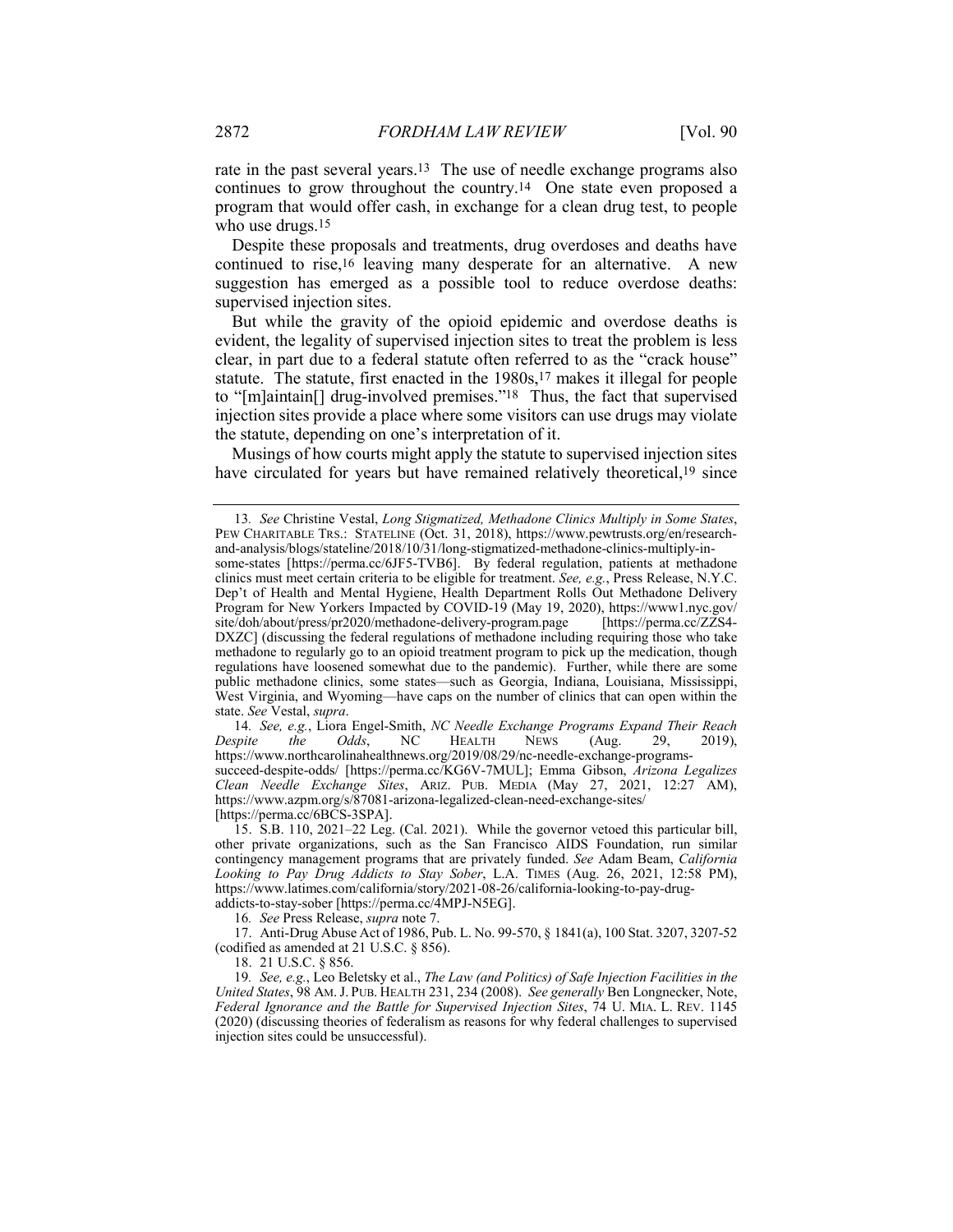rate in the past several years.13 The use of needle exchange programs also continues to grow throughout the country.14 One state even proposed a program that would offer cash, in exchange for a clean drug test, to people who use drugs.<sup>15</sup>

Despite these proposals and treatments, drug overdoses and deaths have continued to rise,16 leaving many desperate for an alternative. A new suggestion has emerged as a possible tool to reduce overdose deaths: supervised injection sites.

But while the gravity of the opioid epidemic and overdose deaths is evident, the legality of supervised injection sites to treat the problem is less clear, in part due to a federal statute often referred to as the "crack house" statute. The statute, first enacted in the 1980s,<sup>17</sup> makes it illegal for people to "[m]aintain[] drug-involved premises."18 Thus, the fact that supervised injection sites provide a place where some visitors can use drugs may violate the statute, depending on one's interpretation of it.

Musings of how courts might apply the statute to supervised injection sites have circulated for years but have remained relatively theoretical,<sup>19</sup> since

14*. See, e.g.*, Liora Engel-Smith, *NC Needle Exchange Programs Expand Their Reach Despite the Odds*, NC HEALTH NEWS (Aug. 29, 2019), https://www.northcarolinahealthnews.org/2019/08/29/nc-needle-exchange-programssucceed-despite-odds/ [https://perma.cc/KG6V-7MUL]; Emma Gibson, *Arizona Legalizes Clean Needle Exchange Sites*, ARIZ. PUB. MEDIA (May 27, 2021, 12:27 AM), https://www.azpm.org/s/87081-arizona-legalized-clean-need-exchange-sites/ [https://perma.cc/6BCS-3SPA].

addicts-to-stay-sober [https://perma.cc/4MPJ-N5EG]. 16*. See* Press Release, *supra* note 7.

17. Anti-Drug Abuse Act of 1986, Pub. L. No. 99-570, § 1841(a), 100 Stat. 3207, 3207-52 (codified as amended at 21 U.S.C. § 856).

18. 21 U.S.C. § 856.

19*. See, e.g.*, Leo Beletsky et al., *The Law (and Politics) of Safe Injection Facilities in the United States*, 98 AM.J. PUB. HEALTH 231, 234 (2008). *See generally* Ben Longnecker, Note, *Federal Ignorance and the Battle for Supervised Injection Sites*, 74 U. MIA. L. REV. 1145 (2020) (discussing theories of federalism as reasons for why federal challenges to supervised injection sites could be unsuccessful).

<sup>13</sup>*. See* Christine Vestal, *Long Stigmatized, Methadone Clinics Multiply in Some States*, PEW CHARITABLE TRS.: STATELINE (Oct. 31, 2018), https://www.pewtrusts.org/en/researchand-analysis/blogs/stateline/2018/10/31/long-stigmatized-methadone-clinics-multiply-in-

some-states [https://perma.cc/6JF5-TVB6]. By federal regulation, patients at methadone clinics must meet certain criteria to be eligible for treatment. *See, e.g.*, Press Release, N.Y.C. Dep't of Health and Mental Hygiene, Health Department Rolls Out Methadone Delivery Program for New Yorkers Impacted by COVID-19 (May 19, 2020), https://www1.nyc.gov/<br>site/doh/about/press/pr2020/methadone-delivery-program.page [https://perma.cc/ZZS4site/doh/about/press/pr2020/methadone-delivery-program.page DXZC] (discussing the federal regulations of methadone including requiring those who take methadone to regularly go to an opioid treatment program to pick up the medication, though regulations have loosened somewhat due to the pandemic). Further, while there are some public methadone clinics, some states—such as Georgia, Indiana, Louisiana, Mississippi, West Virginia, and Wyoming—have caps on the number of clinics that can open within the state. *See* Vestal, *supra*.

<sup>15.</sup> S.B. 110, 2021–22 Leg. (Cal. 2021). While the governor vetoed this particular bill, other private organizations, such as the San Francisco AIDS Foundation, run similar contingency management programs that are privately funded. *See* Adam Beam, *California Looking to Pay Drug Addicts to Stay Sober*, L.A. TIMES (Aug. 26, 2021, 12:58 PM), https://www.latimes.com/california/story/2021-08-26/california-looking-to-pay-drug-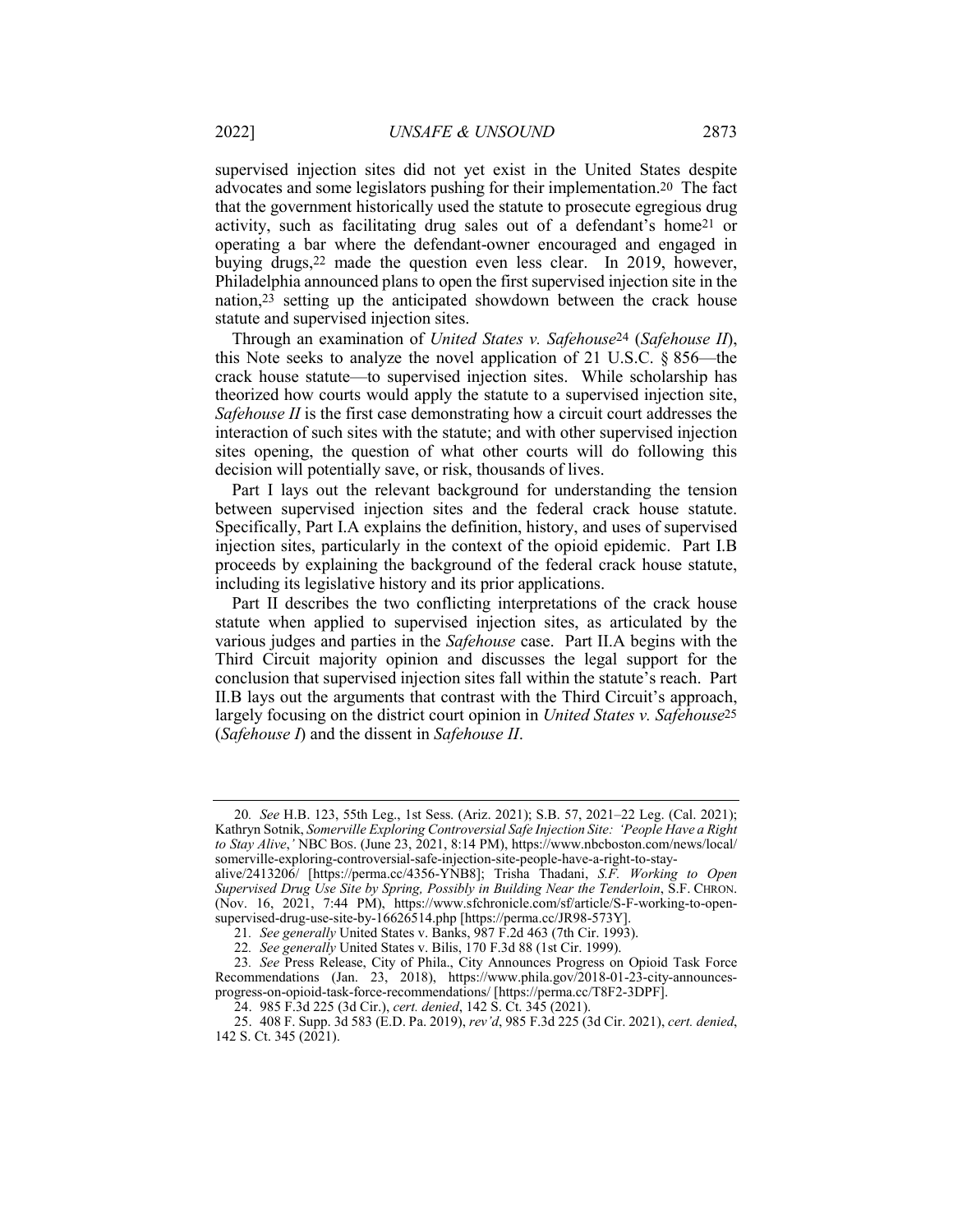supervised injection sites did not yet exist in the United States despite advocates and some legislators pushing for their implementation.20 The fact that the government historically used the statute to prosecute egregious drug activity, such as facilitating drug sales out of a defendant's home21 or operating a bar where the defendant-owner encouraged and engaged in buying drugs,22 made the question even less clear. In 2019, however, Philadelphia announced plans to open the first supervised injection site in the nation,23 setting up the anticipated showdown between the crack house statute and supervised injection sites.

Through an examination of *United States v. Safehouse*24 (*Safehouse II*), this Note seeks to analyze the novel application of 21 U.S.C. § 856—the crack house statute—to supervised injection sites. While scholarship has theorized how courts would apply the statute to a supervised injection site, *Safehouse II* is the first case demonstrating how a circuit court addresses the interaction of such sites with the statute; and with other supervised injection sites opening, the question of what other courts will do following this decision will potentially save, or risk, thousands of lives.

Part I lays out the relevant background for understanding the tension between supervised injection sites and the federal crack house statute. Specifically, Part I.A explains the definition, history, and uses of supervised injection sites, particularly in the context of the opioid epidemic. Part I.B proceeds by explaining the background of the federal crack house statute, including its legislative history and its prior applications.

Part II describes the two conflicting interpretations of the crack house statute when applied to supervised injection sites, as articulated by the various judges and parties in the *Safehouse* case. Part II.A begins with the Third Circuit majority opinion and discusses the legal support for the conclusion that supervised injection sites fall within the statute's reach. Part II.B lays out the arguments that contrast with the Third Circuit's approach, largely focusing on the district court opinion in *United States v. Safehouse*25 (*Safehouse I*) and the dissent in *Safehouse II*.

<sup>20</sup>*. See* H.B. 123, 55th Leg., 1st Sess. (Ariz. 2021); S.B. 57, 2021–22 Leg. (Cal. 2021); Kathryn Sotnik, *Somerville Exploring Controversial Safe Injection Site: 'People Have a Right to Stay Alive*,*'* NBC BOS. (June 23, 2021, 8:14 PM), https://www.nbcboston.com/news/local/ somerville-exploring-controversial-safe-injection-site-people-have-a-right-to-stay-

alive/2413206/ [https://perma.cc/4356-YNB8]; Trisha Thadani, *S.F. Working to Open Supervised Drug Use Site by Spring, Possibly in Building Near the Tenderloin*, S.F. CHRON. (Nov. 16, 2021, 7:44 PM), https://www.sfchronicle.com/sf/article/S-F-working-to-opensupervised-drug-use-site-by-16626514.php [https://perma.cc/JR98-573Y].

<sup>21</sup>*. See generally* United States v. Banks, 987 F.2d 463 (7th Cir. 1993).

<sup>22</sup>*. See generally* United States v. Bilis, 170 F.3d 88 (1st Cir. 1999).

<sup>23</sup>*. See* Press Release, City of Phila., City Announces Progress on Opioid Task Force Recommendations (Jan. 23, 2018), https://www.phila.gov/2018-01-23-city-announcesprogress-on-opioid-task-force-recommendations/ [https://perma.cc/T8F2-3DPF].

<sup>24.</sup> 985 F.3d 225 (3d Cir.), *cert. denied*, 142 S. Ct. 345 (2021).

<sup>25.</sup> 408 F. Supp. 3d 583 (E.D. Pa. 2019), *rev'd*, 985 F.3d 225 (3d Cir. 2021), *cert. denied*, 142 S. Ct. 345 (2021).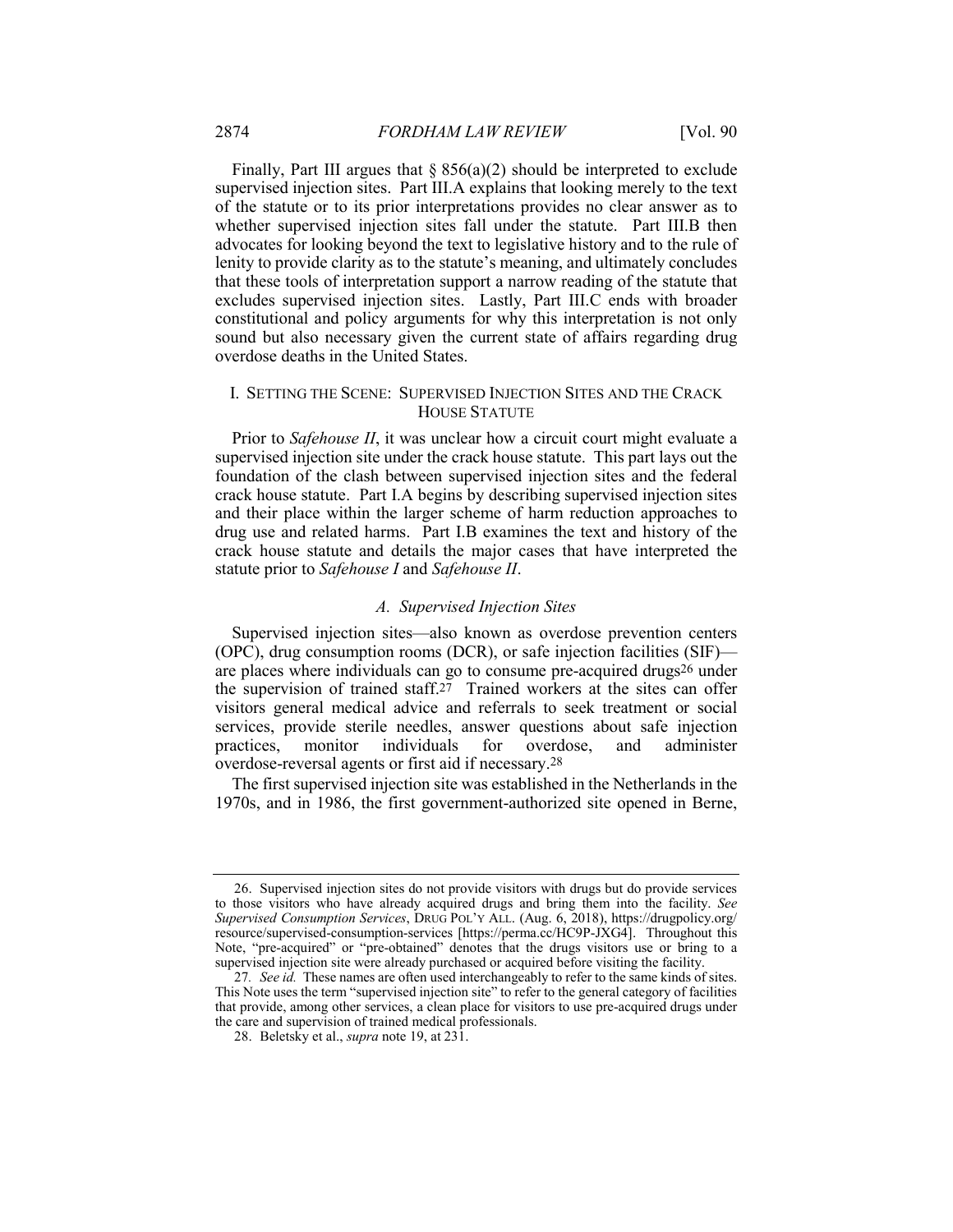Finally, Part III argues that  $\S 856(a)(2)$  should be interpreted to exclude supervised injection sites. Part III.A explains that looking merely to the text of the statute or to its prior interpretations provides no clear answer as to whether supervised injection sites fall under the statute. Part III.B then advocates for looking beyond the text to legislative history and to the rule of lenity to provide clarity as to the statute's meaning, and ultimately concludes that these tools of interpretation support a narrow reading of the statute that excludes supervised injection sites. Lastly, Part III.C ends with broader constitutional and policy arguments for why this interpretation is not only sound but also necessary given the current state of affairs regarding drug overdose deaths in the United States.

#### I. SETTING THE SCENE: SUPERVISED INJECTION SITES AND THE CRACK HOUSE STATUTE

Prior to *Safehouse II*, it was unclear how a circuit court might evaluate a supervised injection site under the crack house statute. This part lays out the foundation of the clash between supervised injection sites and the federal crack house statute. Part I.A begins by describing supervised injection sites and their place within the larger scheme of harm reduction approaches to drug use and related harms. Part I.B examines the text and history of the crack house statute and details the major cases that have interpreted the statute prior to *Safehouse I* and *Safehouse II*.

#### *A. Supervised Injection Sites*

Supervised injection sites—also known as overdose prevention centers (OPC), drug consumption rooms (DCR), or safe injection facilities (SIF) are places where individuals can go to consume pre-acquired drugs26 under the supervision of trained staff.<sup>27</sup> Trained workers at the sites can offer visitors general medical advice and referrals to seek treatment or social services, provide sterile needles, answer questions about safe injection practices, monitor individuals for overdose, and administer overdose-reversal agents or first aid if necessary.28

The first supervised injection site was established in the Netherlands in the 1970s, and in 1986, the first government-authorized site opened in Berne,

<sup>26.</sup> Supervised injection sites do not provide visitors with drugs but do provide services to those visitors who have already acquired drugs and bring them into the facility. *See Supervised Consumption Services*, DRUG POL'Y ALL. (Aug. 6, 2018), https://drugpolicy.org/ resource/supervised-consumption-services [https://perma.cc/HC9P-JXG4]. Throughout this Note, "pre-acquired" or "pre-obtained" denotes that the drugs visitors use or bring to a supervised injection site were already purchased or acquired before visiting the facility.

<sup>27</sup>*. See id.* These names are often used interchangeably to refer to the same kinds of sites. This Note uses the term "supervised injection site" to refer to the general category of facilities that provide, among other services, a clean place for visitors to use pre-acquired drugs under the care and supervision of trained medical professionals.

<sup>28.</sup> Beletsky et al., *supra* note 19, at 231.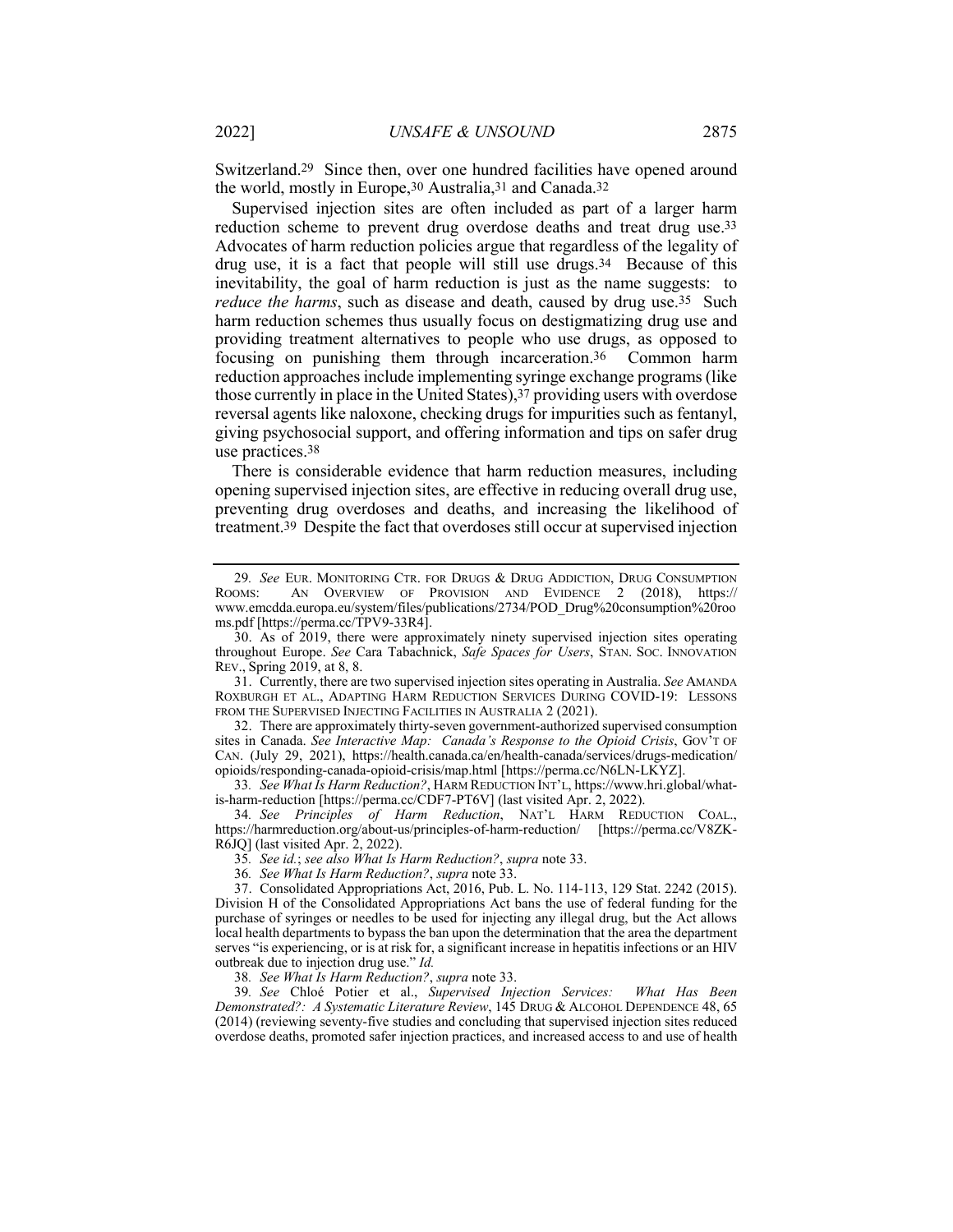Switzerland.29 Since then, over one hundred facilities have opened around the world, mostly in Europe,30 Australia,31 and Canada.32

Supervised injection sites are often included as part of a larger harm reduction scheme to prevent drug overdose deaths and treat drug use.33 Advocates of harm reduction policies argue that regardless of the legality of drug use, it is a fact that people will still use drugs.34 Because of this inevitability, the goal of harm reduction is just as the name suggests: to *reduce the harms*, such as disease and death, caused by drug use.<sup>35</sup> Such harm reduction schemes thus usually focus on destigmatizing drug use and providing treatment alternatives to people who use drugs, as opposed to focusing on punishing them through incarceration.36 Common harm reduction approaches include implementing syringe exchange programs (like those currently in place in the United States),37 providing users with overdose reversal agents like naloxone, checking drugs for impurities such as fentanyl, giving psychosocial support, and offering information and tips on safer drug use practices.38

There is considerable evidence that harm reduction measures, including opening supervised injection sites, are effective in reducing overall drug use, preventing drug overdoses and deaths, and increasing the likelihood of treatment.39 Despite the fact that overdoses still occur at supervised injection

33*. See What Is Harm Reduction?*, HARM REDUCTION INT'L, https://www.hri.global/whatis-harm-reduction [https://perma.cc/CDF7-PT6V] (last visited Apr. 2, 2022).

34*. See Principles of Harm Reduction*, NAT'L HARM REDUCTION COAL., https://harmreduction.org/about-us/principles-of-harm-reduction/ [https://perma.cc/V8ZK-R6JQ] (last visited Apr. 2, 2022).

35*. See id.*; *see also What Is Harm Reduction?*, *supra* note 33.

36*. See What Is Harm Reduction?*, *supra* note 33.

37. Consolidated Appropriations Act, 2016, Pub. L. No. 114-113, 129 Stat. 2242 (2015). Division H of the Consolidated Appropriations Act bans the use of federal funding for the purchase of syringes or needles to be used for injecting any illegal drug, but the Act allows local health departments to bypass the ban upon the determination that the area the department serves "is experiencing, or is at risk for, a significant increase in hepatitis infections or an HIV outbreak due to injection drug use." *Id.*

38*. See What Is Harm Reduction?*, *supra* note 33.

39*. See* Chloé Potier et al., *Supervised Injection Services: What Has Been Demonstrated?: A Systematic Literature Review*, 145 DRUG & ALCOHOL DEPENDENCE 48, 65 (2014) (reviewing seventy-five studies and concluding that supervised injection sites reduced overdose deaths, promoted safer injection practices, and increased access to and use of health

<sup>29.</sup> *See* EUR. MONITORING CTR. FOR DRUGS & DRUG ADDICTION, DRUG CONSUMPTION ROOMS: AN OVERVIEW OF PROVISION AND EVIDENCE 2 (2018), https:// AN OVERVIEW OF PROVISION AND EVIDENCE 2 (2018), https:// www.emcdda.europa.eu/system/files/publications/2734/POD\_Drug%20consumption%20roo ms.pdf [https://perma.cc/TPV9-33R4].

<sup>30.</sup> As of 2019, there were approximately ninety supervised injection sites operating throughout Europe. *See* Cara Tabachnick, *Safe Spaces for Users*, STAN. SOC. INNOVATION REV., Spring 2019, at 8, 8.

<sup>31.</sup> Currently, there are two supervised injection sites operating in Australia. *See* AMANDA ROXBURGH ET AL., ADAPTING HARM REDUCTION SERVICES DURING COVID-19: LESSONS FROM THE SUPERVISED INJECTING FACILITIES IN AUSTRALIA 2 (2021).

<sup>32.</sup> There are approximately thirty-seven government-authorized supervised consumption sites in Canada. *See Interactive Map: Canada's Response to the Opioid Crisis*, GOV'T OF CAN. (July 29, 2021), https://health.canada.ca/en/health-canada/services/drugs-medication/ opioids/responding-canada-opioid-crisis/map.html [https://perma.cc/N6LN-LKYZ].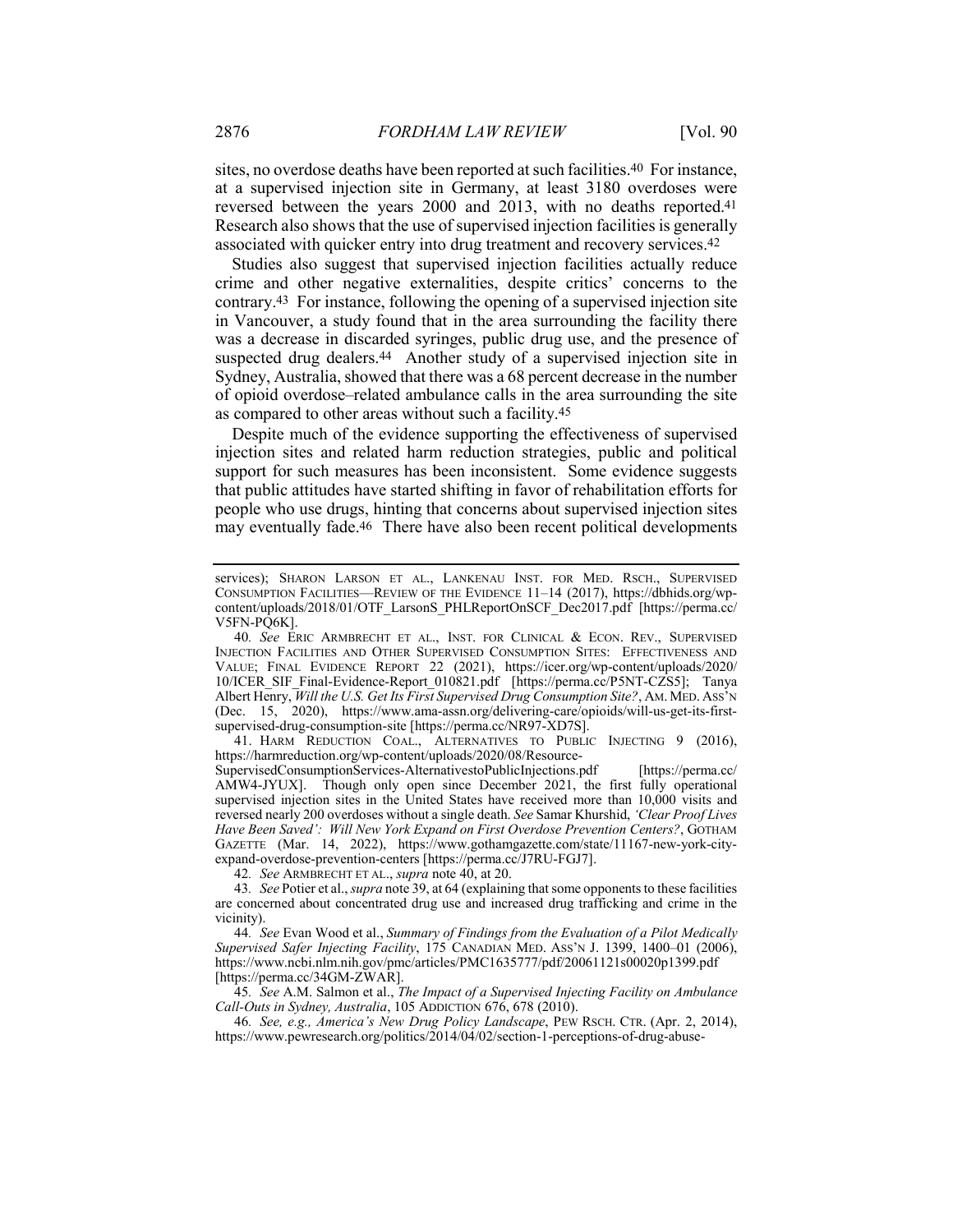sites, no overdose deaths have been reported at such facilities.40 For instance, at a supervised injection site in Germany, at least 3180 overdoses were reversed between the years 2000 and 2013, with no deaths reported.41 Research also shows that the use of supervised injection facilities is generally associated with quicker entry into drug treatment and recovery services.42

Studies also suggest that supervised injection facilities actually reduce crime and other negative externalities, despite critics' concerns to the contrary.43 For instance, following the opening of a supervised injection site in Vancouver, a study found that in the area surrounding the facility there was a decrease in discarded syringes, public drug use, and the presence of suspected drug dealers.<sup>44</sup> Another study of a supervised injection site in Sydney, Australia, showed that there was a 68 percent decrease in the number of opioid overdose–related ambulance calls in the area surrounding the site as compared to other areas without such a facility.45

Despite much of the evidence supporting the effectiveness of supervised injection sites and related harm reduction strategies, public and political support for such measures has been inconsistent. Some evidence suggests that public attitudes have started shifting in favor of rehabilitation efforts for people who use drugs, hinting that concerns about supervised injection sites may eventually fade.46 There have also been recent political developments

41. HARM REDUCTION COAL., ALTERNATIVES TO PUBLIC INJECTING 9 (2016), https://harmreduction.org/wp-content/uploads/2020/08/Resource-

SupervisedConsumptionServices-AlternativestoPublicInjections.pdf [https://perma.cc/ AMW4-JYUX]. Though only open since December 2021, the first fully operational supervised injection sites in the United States have received more than 10,000 visits and reversed nearly 200 overdoses without a single death. *See* Samar Khurshid, *'Clear Proof Lives*  Have Been Saved': Will New York Expand on First Overdose Prevention Centers?, GOTHAM GAZETTE (Mar. 14, 2022), https://www.gothamgazette.com/state/11167-new-york-cityexpand-overdose-prevention-centers [https://perma.cc/J7RU-FGJ7].

42*. See* ARMBRECHT ET AL., *supra* note 40, at 20.

43*. See* Potier et al., *supra* note 39, at 64 (explaining that some opponents to these facilities are concerned about concentrated drug use and increased drug trafficking and crime in the vicinity).

44*. See* Evan Wood et al., *Summary of Findings from the Evaluation of a Pilot Medically Supervised Safer Injecting Facility*, 175 CANADIAN MED. ASS'N J. 1399, 1400–01 (2006), https://www.ncbi.nlm.nih.gov/pmc/articles/PMC1635777/pdf/20061121s00020p1399.pdf [https://perma.cc/34GM-ZWAR].

45*. See* A.M. Salmon et al., *The Impact of a Supervised Injecting Facility on Ambulance Call-Outs in Sydney, Australia*, 105 ADDICTION 676, 678 (2010).

46*. See, e.g., America's New Drug Policy Landscape*, PEW RSCH. CTR. (Apr. 2, 2014), https://www.pewresearch.org/politics/2014/04/02/section-1-perceptions-of-drug-abuse-

services); SHARON LARSON ET AL., LANKENAU INST. FOR MED. RSCH., SUPERVISED CONSUMPTION FACILITIES—REVIEW OF THE EVIDENCE 11–14 (2017), https://dbhids.org/wpcontent/uploads/2018/01/OTF\_LarsonS\_PHLReportOnSCF\_Dec2017.pdf [https://perma.cc/ V5FN-PQ6K].

<sup>40</sup>*. See* ERIC ARMBRECHT ET AL., INST. FOR CLINICAL & ECON. REV., SUPERVISED INJECTION FACILITIES AND OTHER SUPERVISED CONSUMPTION SITES: EFFECTIVENESS AND VALUE; FINAL EVIDENCE REPORT 22 (2021), https://icer.org/wp-content/uploads/2020/ 10/ICER\_SIF\_Final-Evidence-Report\_010821.pdf [https://perma.cc/P5NT-CZS5]; Tanya Albert Henry, *Will the U.S. Get Its First Supervised Drug Consumption Site?*, AM. MED. ASS'N (Dec. 15, 2020), https://www.ama-assn.org/delivering-care/opioids/will-us-get-its-firstsupervised-drug-consumption-site [https://perma.cc/NR97-XD7S].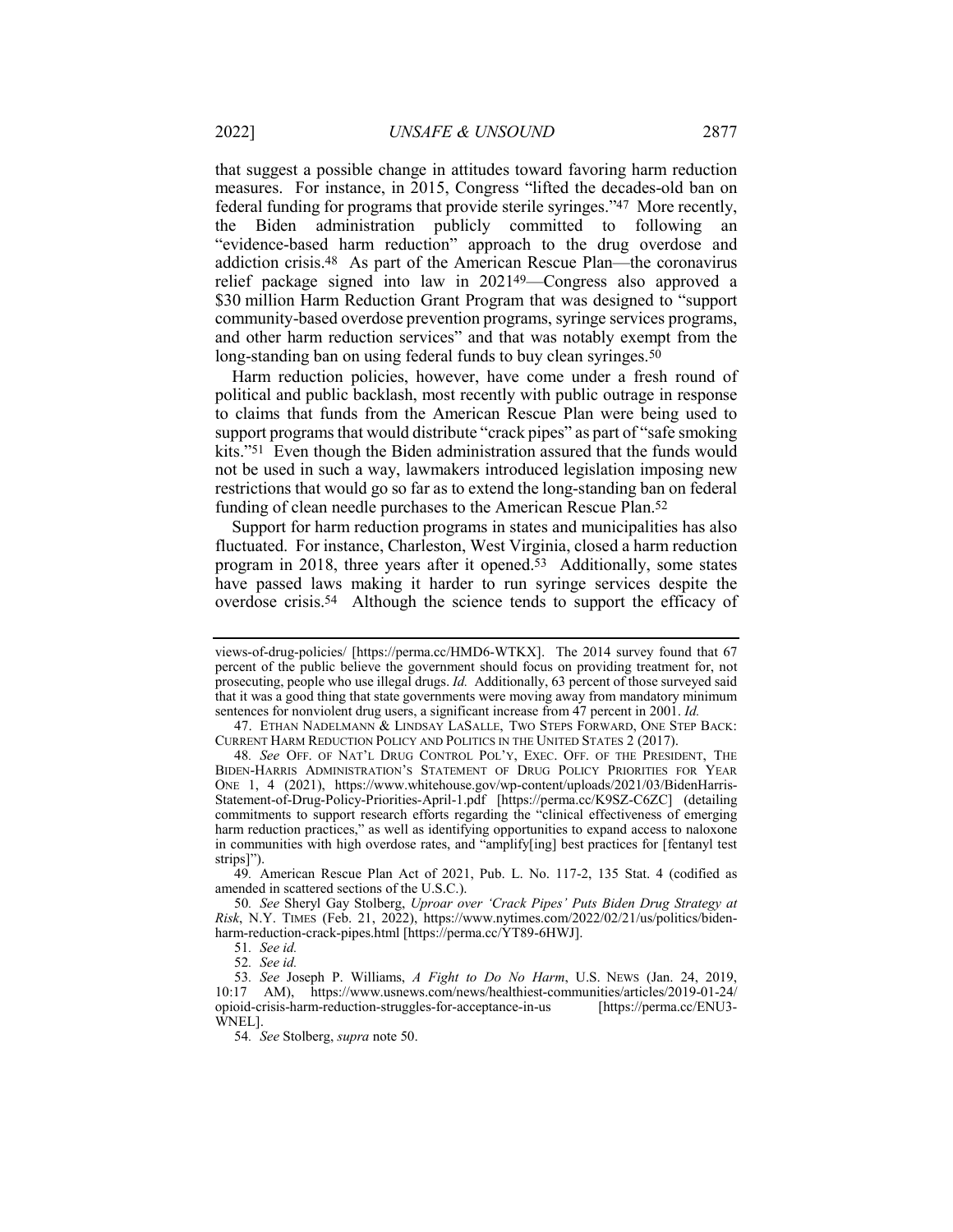that suggest a possible change in attitudes toward favoring harm reduction measures. For instance, in 2015, Congress "lifted the decades-old ban on federal funding for programs that provide sterile syringes."47 More recently, the Biden administration publicly committed to following an "evidence-based harm reduction" approach to the drug overdose and addiction crisis.48 As part of the American Rescue Plan—the coronavirus relief package signed into law in 202149—Congress also approved a \$30 million Harm Reduction Grant Program that was designed to "support" community-based overdose prevention programs, syringe services programs, and other harm reduction services" and that was notably exempt from the long-standing ban on using federal funds to buy clean syringes.<sup>50</sup>

Harm reduction policies, however, have come under a fresh round of political and public backlash, most recently with public outrage in response to claims that funds from the American Rescue Plan were being used to support programs that would distribute "crack pipes" as part of "safe smoking kits."51 Even though the Biden administration assured that the funds would not be used in such a way, lawmakers introduced legislation imposing new restrictions that would go so far as to extend the long-standing ban on federal funding of clean needle purchases to the American Rescue Plan.52

Support for harm reduction programs in states and municipalities has also fluctuated. For instance, Charleston, West Virginia, closed a harm reduction program in 2018, three years after it opened.53 Additionally, some states have passed laws making it harder to run syringe services despite the overdose crisis.54 Although the science tends to support the efficacy of

views-of-drug-policies/ [https://perma.cc/HMD6-WTKX]. The 2014 survey found that 67 percent of the public believe the government should focus on providing treatment for, not prosecuting, people who use illegal drugs. *Id.* Additionally, 63 percent of those surveyed said that it was a good thing that state governments were moving away from mandatory minimum sentences for nonviolent drug users, a significant increase from 47 percent in 2001. *Id.*

<sup>47.</sup> ETHAN NADELMANN & LINDSAY LASALLE, TWO STEPS FORWARD, ONE STEP BACK: CURRENT HARM REDUCTION POLICY AND POLITICS IN THE UNITED STATES 2 (2017).

<sup>48</sup>*. See* OFF. OF NAT'L DRUG CONTROL POL'Y, EXEC. OFF. OF THE PRESIDENT, THE BIDEN-HARRIS ADMINISTRATION'S STATEMENT OF DRUG POLICY PRIORITIES FOR YEAR ONE 1, 4 (2021), https://www.whitehouse.gov/wp-content/uploads/2021/03/BidenHarris-Statement-of-Drug-Policy-Priorities-April-1.pdf [https://perma.cc/K9SZ-C6ZC] (detailing commitments to support research efforts regarding the "clinical effectiveness of emerging harm reduction practices," as well as identifying opportunities to expand access to naloxone in communities with high overdose rates, and "amplify[ing] best practices for [fentanyl test strips]").

<sup>49</sup>*.* American Rescue Plan Act of 2021, Pub. L. No. 117-2, 135 Stat. 4 (codified as amended in scattered sections of the U.S.C.).

<sup>50</sup>*. See* Sheryl Gay Stolberg, *Uproar over 'Crack Pipes' Puts Biden Drug Strategy at Risk*, N.Y. TIMES (Feb. 21, 2022), https://www.nytimes.com/2022/02/21/us/politics/bidenharm-reduction-crack-pipes.html [https://perma.cc/YT89-6HWJ].

<sup>51</sup>*. See id.*

<sup>52</sup>*. See id.*

<sup>53</sup>*. See* Joseph P. Williams, *A Fight to Do No Harm*, U.S. NEWS (Jan. 24, 2019, 10:17 AM), https://www.usnews.com/news/healthiest-communities/articles/2019-01-24/ opioid-crisis-harm-reduction-struggles-for-acceptance-in-us [https://perma.cc/ENU3- WNEL].

<sup>54</sup>*. See* Stolberg, *supra* note 50.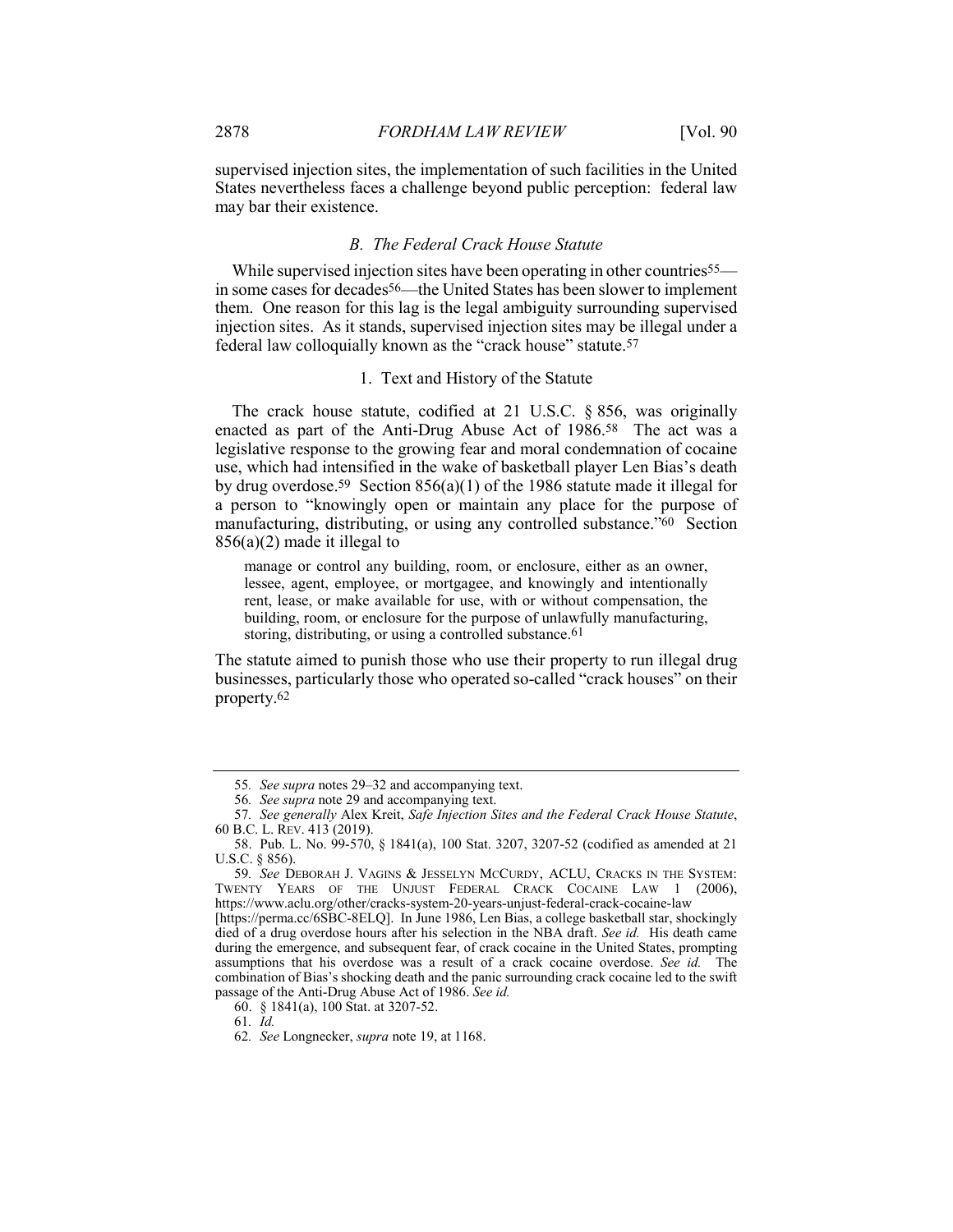supervised injection sites, the implementation of such facilities in the United States nevertheless faces a challenge beyond public perception: federal law may bar their existence.

#### *B. The Federal Crack House Statute*

While supervised injection sites have been operating in other countries<sup>55—</sup> in some cases for decades56—the United States has been slower to implement them. One reason for this lag is the legal ambiguity surrounding supervised injection sites. As it stands, supervised injection sites may be illegal under a federal law colloquially known as the "crack house" statute.57

#### 1. Text and History of the Statute

The crack house statute, codified at 21 U.S.C. § 856, was originally enacted as part of the Anti-Drug Abuse Act of 1986.58 The act was a legislative response to the growing fear and moral condemnation of cocaine use, which had intensified in the wake of basketball player Len Bias's death by drug overdose.59 Section 856(a)(1) of the 1986 statute made it illegal for a person to "knowingly open or maintain any place for the purpose of manufacturing, distributing, or using any controlled substance."60 Section 856(a)(2) made it illegal to

manage or control any building, room, or enclosure, either as an owner, lessee, agent, employee, or mortgagee, and knowingly and intentionally rent, lease, or make available for use, with or without compensation, the building, room, or enclosure for the purpose of unlawfully manufacturing, storing, distributing, or using a controlled substance.<sup>61</sup>

The statute aimed to punish those who use their property to run illegal drug businesses, particularly those who operated so-called "crack houses" on their property.62

<sup>55</sup>*. See supra* notes 29–32 and accompanying text.

<sup>56</sup>*. See supra* note 29 and accompanying text.

<sup>57</sup>*. See generally* Alex Kreit, *Safe Injection Sites and the Federal Crack House Statute*, 60 B.C. L. REV. 413 (2019).

<sup>58.</sup> Pub. L. No. 99-570, § 1841(a), 100 Stat. 3207, 3207-52 (codified as amended at 21 U.S.C. § 856).

<sup>59</sup>*. See* DEBORAH J. VAGINS & JESSELYN MCCURDY, ACLU, CRACKS IN THE SYSTEM: TWENTY YEARS OF THE UNJUST FEDERAL CRACK COCAINE LAW 1 (2006), https://www.aclu.org/other/cracks-system-20-years-unjust-federal-crack-cocaine-law

<sup>[</sup>https://perma.cc/6SBC-8ELQ]. In June 1986, Len Bias, a college basketball star, shockingly died of a drug overdose hours after his selection in the NBA draft. *See id.* His death came during the emergence, and subsequent fear, of crack cocaine in the United States, prompting assumptions that his overdose was a result of a crack cocaine overdose. *See id.* The combination of Bias's shocking death and the panic surrounding crack cocaine led to the swift passage of the Anti-Drug Abuse Act of 1986. *See id.*

<sup>60.</sup> § 1841(a), 100 Stat. at 3207-52.

<sup>61</sup>*. Id.*

<sup>62</sup>*. See* Longnecker, *supra* note 19, at 1168.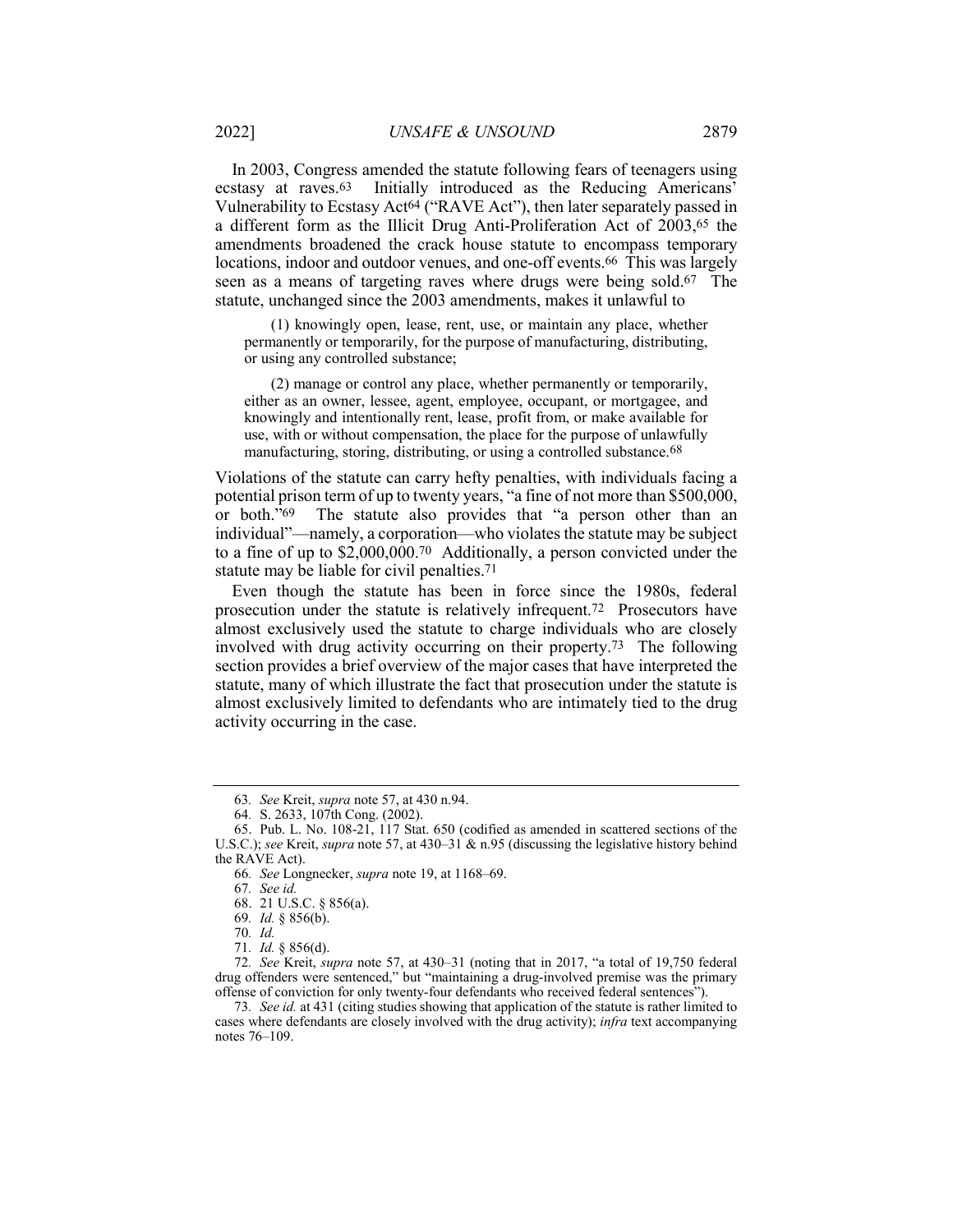In 2003, Congress amended the statute following fears of teenagers using ecstasy at raves.63 Initially introduced as the Reducing Americans' Vulnerability to Ecstasy Act<sup>64</sup> ("RAVE Act"), then later separately passed in a different form as the Illicit Drug Anti-Proliferation Act of 2003,65 the amendments broadened the crack house statute to encompass temporary locations, indoor and outdoor venues, and one-off events.66 This was largely seen as a means of targeting raves where drugs were being sold.67 The statute, unchanged since the 2003 amendments, makes it unlawful to

(1) knowingly open, lease, rent, use, or maintain any place, whether permanently or temporarily, for the purpose of manufacturing, distributing, or using any controlled substance;

(2) manage or control any place, whether permanently or temporarily, either as an owner, lessee, agent, employee, occupant, or mortgagee, and knowingly and intentionally rent, lease, profit from, or make available for use, with or without compensation, the place for the purpose of unlawfully manufacturing, storing, distributing, or using a controlled substance.68

Violations of the statute can carry hefty penalties, with individuals facing a potential prison term of up to twenty years, "a fine of not more than \$500,000, or both."69 The statute also provides that "a person other than an individual"—namely, a corporation—who violates the statute may be subject to a fine of up to \$2,000,000.70 Additionally, a person convicted under the statute may be liable for civil penalties.71

Even though the statute has been in force since the 1980s, federal prosecution under the statute is relatively infrequent.72 Prosecutors have almost exclusively used the statute to charge individuals who are closely involved with drug activity occurring on their property.73 The following section provides a brief overview of the major cases that have interpreted the statute, many of which illustrate the fact that prosecution under the statute is almost exclusively limited to defendants who are intimately tied to the drug activity occurring in the case.

73*. See id.* at 431 (citing studies showing that application of the statute is rather limited to cases where defendants are closely involved with the drug activity); *infra* text accompanying notes 76–109.

<sup>63</sup>*. See* Kreit, *supra* note 57, at 430 n.94.

<sup>64</sup>*.* S. 2633, 107th Cong. (2002).

<sup>65.</sup> Pub. L. No. 108-21, 117 Stat. 650 (codified as amended in scattered sections of the U.S.C.); *see* Kreit, *supra* note 57, at 430–31 & n.95 (discussing the legislative history behind the RAVE Act).

<sup>66</sup>*. See* Longnecker, *supra* note 19, at 1168–69.

<sup>67</sup>*. See id.*

<sup>68.</sup> 21 U.S.C. § 856(a).

<sup>69</sup>*. Id.* § 856(b).

<sup>70</sup>*. Id.*

<sup>71</sup>*. Id.* § 856(d).

<sup>72</sup>*. See* Kreit, *supra* note 57, at 430–31 (noting that in 2017, "a total of 19,750 federal drug offenders were sentenced," but "maintaining a drug-involved premise was the primary offense of conviction for only twenty-four defendants who received federal sentences").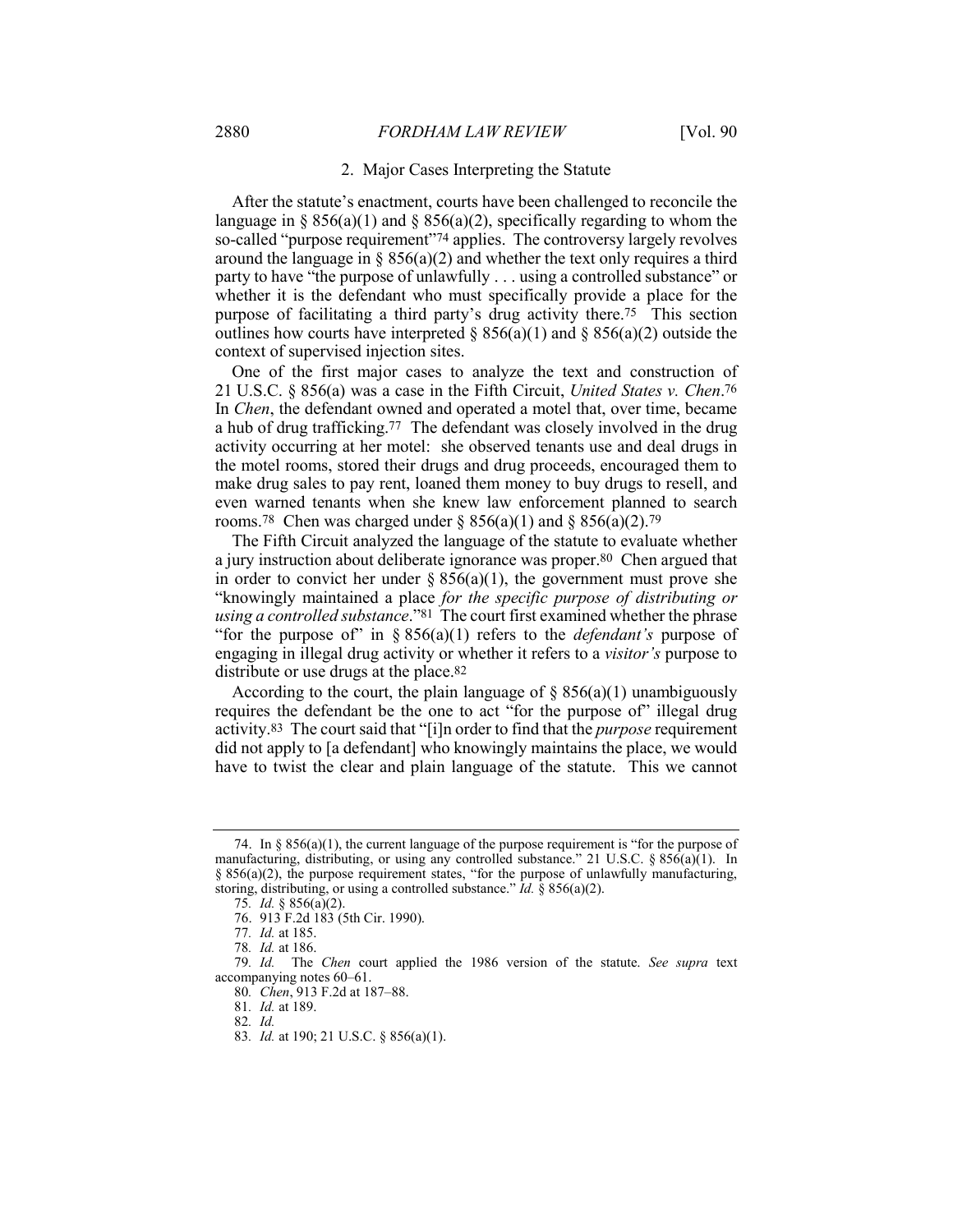#### 2. Major Cases Interpreting the Statute

After the statute's enactment, courts have been challenged to reconcile the language in § 856(a)(1) and § 856(a)(2), specifically regarding to whom the so-called "purpose requirement"74 applies. The controversy largely revolves around the language in §  $856(a)(2)$  and whether the text only requires a third party to have "the purpose of unlawfully . . . using a controlled substance" or whether it is the defendant who must specifically provide a place for the purpose of facilitating a third party's drug activity there.75 This section outlines how courts have interpreted  $\S 856(a)(1)$  and  $\S 856(a)(2)$  outside the context of supervised injection sites.

One of the first major cases to analyze the text and construction of 21 U.S.C. § 856(a) was a case in the Fifth Circuit, *United States v. Chen*.76 In *Chen*, the defendant owned and operated a motel that, over time, became a hub of drug trafficking.77 The defendant was closely involved in the drug activity occurring at her motel: she observed tenants use and deal drugs in the motel rooms, stored their drugs and drug proceeds, encouraged them to make drug sales to pay rent, loaned them money to buy drugs to resell, and even warned tenants when she knew law enforcement planned to search rooms.<sup>78</sup> Chen was charged under  $\S 856(a)(1)$  and  $\S 856(a)(2)$ .<sup>79</sup>

The Fifth Circuit analyzed the language of the statute to evaluate whether a jury instruction about deliberate ignorance was proper.80 Chen argued that in order to convict her under  $\S 856(a)(1)$ , the government must prove she "knowingly maintained a place *for the specific purpose of distributing or using a controlled substance*."81 The court first examined whether the phrase "for the purpose of" in § 856(a)(1) refers to the *defendant's* purpose of engaging in illegal drug activity or whether it refers to a *visitor's* purpose to distribute or use drugs at the place.<sup>82</sup>

According to the court, the plain language of  $\S 856(a)(1)$  unambiguously requires the defendant be the one to act "for the purpose of" illegal drug activity.83 The court said that "[i]n order to find that the *purpose* requirement did not apply to [a defendant] who knowingly maintains the place, we would have to twist the clear and plain language of the statute. This we cannot

83*. Id.* at 190; 21 U.S.C. § 856(a)(1).

<sup>74.</sup> In  $\S 856(a)(1)$ , the current language of the purpose requirement is "for the purpose of manufacturing, distributing, or using any controlled substance." 21 U.S.C.  $\S 856(a)(1)$ . In  $§ 856(a)(2)$ , the purpose requirement states, "for the purpose of unlawfully manufacturing, storing, distributing, or using a controlled substance." *Id.* § 856(a)(2).

<sup>75</sup>*. Id.* § 856(a)(2).

<sup>76.</sup> 913 F.2d 183 (5th Cir. 1990).

<sup>77</sup>*. Id.* at 185.

<sup>78</sup>*. Id.* at 186.

<sup>79</sup>*. Id.* The *Chen* court applied the 1986 version of the statute. *See supra* text accompanying notes 60–61.

<sup>80</sup>*. Chen*, 913 F.2d at 187–88.

<sup>81</sup>*. Id.* at 189.

<sup>82</sup>*. Id.*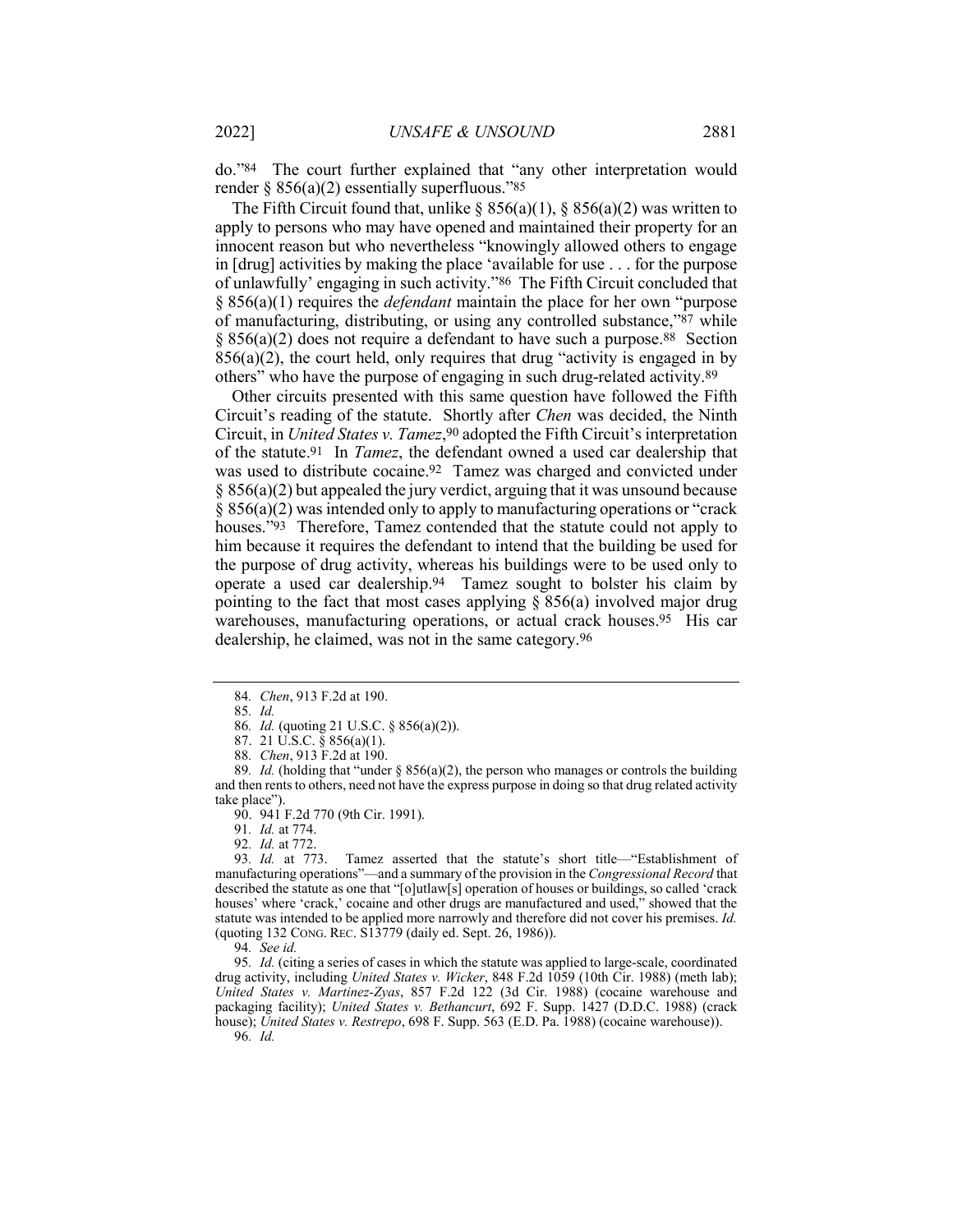do."84 The court further explained that "any other interpretation would render  $\S 856(a)(2)$  essentially superfluous."85

The Fifth Circuit found that, unlike  $\S$  856(a)(1),  $\S$  856(a)(2) was written to apply to persons who may have opened and maintained their property for an innocent reason but who nevertheless "knowingly allowed others to engage in [drug] activities by making the place 'available for use . . . for the purpose of unlawfully' engaging in such activity."86 The Fifth Circuit concluded that § 856(a)(1) requires the *defendant* maintain the place for her own "purpose of manufacturing, distributing, or using any controlled substance,"87 while  $\S 856(a)(2)$  does not require a defendant to have such a purpose.<sup>88</sup> Section  $856(a)(2)$ , the court held, only requires that drug "activity is engaged in by others" who have the purpose of engaging in such drug-related activity.89

Other circuits presented with this same question have followed the Fifth Circuit's reading of the statute. Shortly after *Chen* was decided, the Ninth Circuit, in *United States v. Tamez*,90 adopted the Fifth Circuit's interpretation of the statute.91 In *Tamez*, the defendant owned a used car dealership that was used to distribute cocaine.92 Tamez was charged and convicted under  $\S$  856(a)(2) but appealed the jury verdict, arguing that it was unsound because § 856(a)(2) was intended only to apply to manufacturing operations or "crack houses."93 Therefore, Tamez contended that the statute could not apply to him because it requires the defendant to intend that the building be used for the purpose of drug activity, whereas his buildings were to be used only to operate a used car dealership.94 Tamez sought to bolster his claim by pointing to the fact that most cases applying  $\S$  856(a) involved major drug warehouses, manufacturing operations, or actual crack houses.95 His car dealership, he claimed, was not in the same category.96

87. 21 U.S.C. § 856(a)(1).

91*. Id.* at 774.

92*. Id.* at 772.

Tamez asserted that the statute's short title—"Establishment of manufacturing operations"—and a summary of the provision in the *Congressional Record* that described the statute as one that "[o]utlaw[s] operation of houses or buildings, so called 'crack houses' where 'crack,' cocaine and other drugs are manufactured and used," showed that the statute was intended to be applied more narrowly and therefore did not cover his premises. *Id.* (quoting 132 CONG. REC. S13779 (daily ed. Sept. 26, 1986)).

94*. See id.*

95*. Id.* (citing a series of cases in which the statute was applied to large-scale, coordinated drug activity, including *United States v. Wicker*, 848 F.2d 1059 (10th Cir. 1988) (meth lab); *United States v. Martinez-Zyas*, 857 F.2d 122 (3d Cir. 1988) (cocaine warehouse and packaging facility); *United States v. Bethancurt*, 692 F. Supp. 1427 (D.D.C. 1988) (crack house); *United States v. Restrepo*, 698 F. Supp. 563 (E.D. Pa. 1988) (cocaine warehouse)). 96*. Id.*

<sup>84</sup>*. Chen*, 913 F.2d at 190.

<sup>85</sup>*. Id.*

<sup>86</sup>*. Id.* (quoting 21 U.S.C. § 856(a)(2)).

<sup>88</sup>*. Chen*, 913 F.2d at 190.

<sup>89</sup>*. Id.* (holding that "under § 856(a)(2), the person who manages or controls the building and then rents to others, need not have the express purpose in doing so that drug related activity take place").

<sup>90.</sup> 941 F.2d 770 (9th Cir. 1991).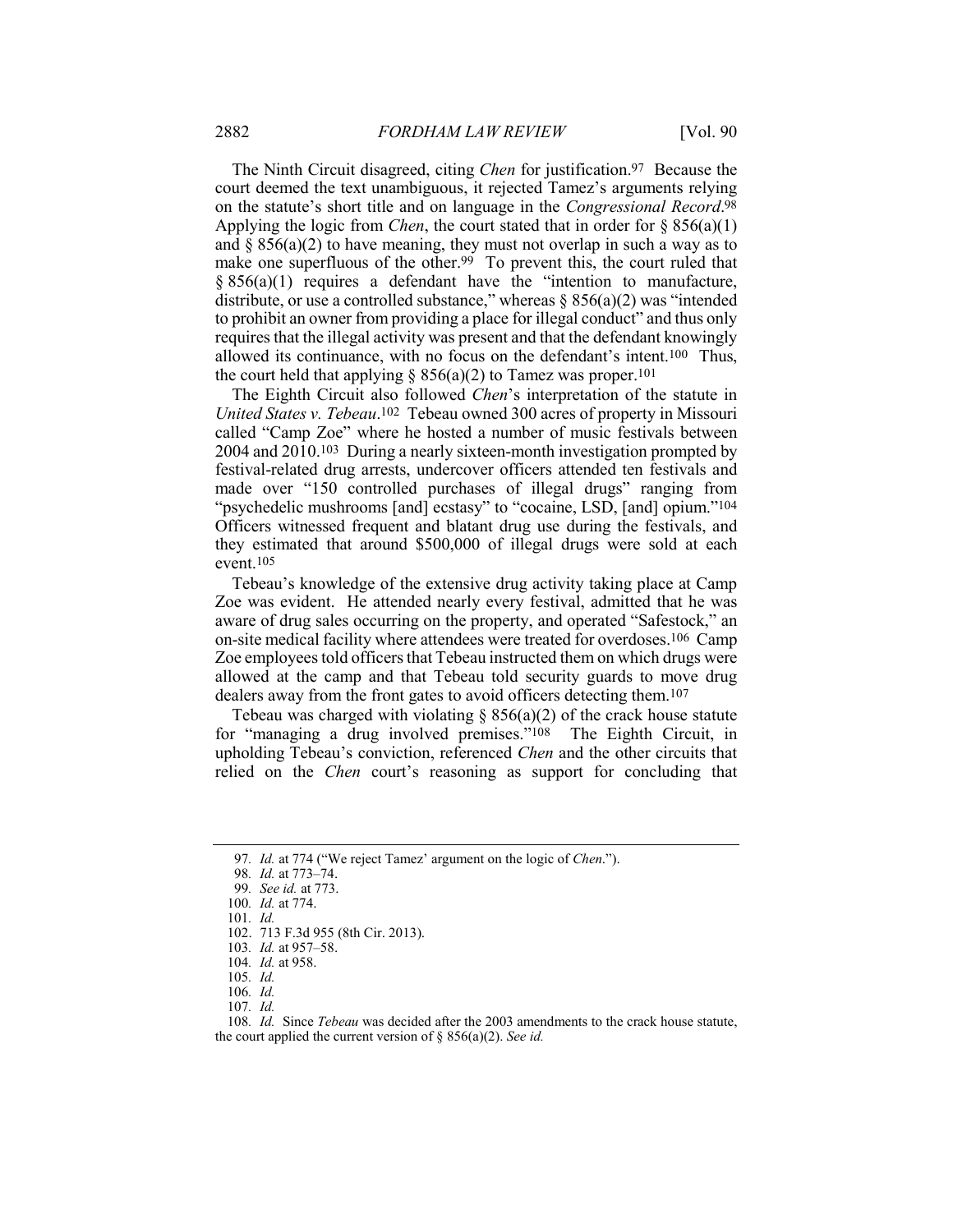The Ninth Circuit disagreed, citing *Chen* for justification.97 Because the court deemed the text unambiguous, it rejected Tamez's arguments relying on the statute's short title and on language in the *Congressional Record*.98 Applying the logic from *Chen*, the court stated that in order for § 856(a)(1) and  $\S 856(a)(2)$  to have meaning, they must not overlap in such a way as to make one superfluous of the other.<sup>99</sup> To prevent this, the court ruled that § 856(a)(1) requires a defendant have the "intention to manufacture, distribute, or use a controlled substance," whereas  $\S$  856(a)(2) was "intended to prohibit an owner from providing a place for illegal conduct" and thus only requires that the illegal activity was present and that the defendant knowingly allowed its continuance, with no focus on the defendant's intent.100 Thus, the court held that applying  $\S 856(a)(2)$  to Tamez was proper.<sup>101</sup>

The Eighth Circuit also followed *Chen*'s interpretation of the statute in *United States v. Tebeau*.102 Tebeau owned 300 acres of property in Missouri called "Camp Zoe" where he hosted a number of music festivals between 2004 and 2010.103 During a nearly sixteen-month investigation prompted by festival-related drug arrests, undercover officers attended ten festivals and made over "150 controlled purchases of illegal drugs" ranging from "psychedelic mushrooms [and] ecstasy" to "cocaine, LSD, [and] opium."104 Officers witnessed frequent and blatant drug use during the festivals, and they estimated that around \$500,000 of illegal drugs were sold at each event.105

Tebeau's knowledge of the extensive drug activity taking place at Camp Zoe was evident. He attended nearly every festival, admitted that he was aware of drug sales occurring on the property, and operated "Safestock," an on-site medical facility where attendees were treated for overdoses.106 Camp Zoe employees told officers that Tebeau instructed them on which drugs were allowed at the camp and that Tebeau told security guards to move drug dealers away from the front gates to avoid officers detecting them.107

Tebeau was charged with violating  $\S$  856(a)(2) of the crack house statute for "managing a drug involved premises."108 The Eighth Circuit, in upholding Tebeau's conviction, referenced *Chen* and the other circuits that relied on the *Chen* court's reasoning as support for concluding that

<sup>97</sup>*. Id.* at 774 ("We reject Tamez' argument on the logic of *Chen*.").

<sup>98</sup>*. Id.* at 773–74.

<sup>99</sup>*. See id.* at 773.

<sup>100</sup>*. Id.* at 774.

<sup>101</sup>*. Id.*

<sup>102.</sup> 713 F.3d 955 (8th Cir. 2013).

<sup>103</sup>*. Id.* at 957–58.

<sup>104</sup>*. Id.* at 958.

<sup>105</sup>*. Id.*

<sup>106</sup>*. Id.*

<sup>107</sup>*. Id.*

<sup>108</sup>*. Id.* Since *Tebeau* was decided after the 2003 amendments to the crack house statute, the court applied the current version of § 856(a)(2). *See id.*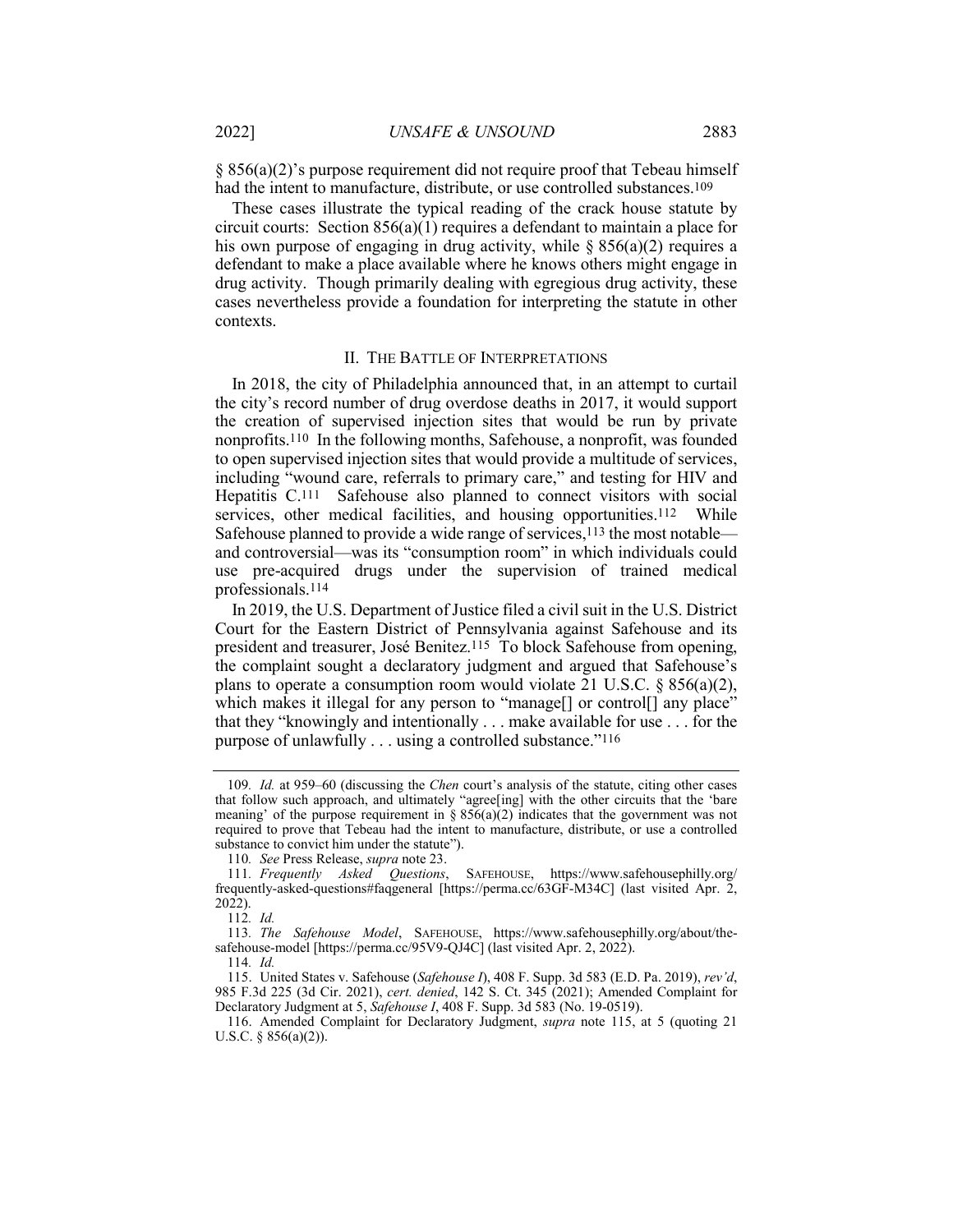$§ 856(a)(2)'$ s purpose requirement did not require proof that Tebeau himself had the intent to manufacture, distribute, or use controlled substances.109

These cases illustrate the typical reading of the crack house statute by circuit courts: Section 856(a)(1) requires a defendant to maintain a place for his own purpose of engaging in drug activity, while  $\S 856(a)(2)$  requires a defendant to make a place available where he knows others might engage in drug activity. Though primarily dealing with egregious drug activity, these cases nevertheless provide a foundation for interpreting the statute in other contexts.

#### II. THE BATTLE OF INTERPRETATIONS

In 2018, the city of Philadelphia announced that, in an attempt to curtail the city's record number of drug overdose deaths in 2017, it would support the creation of supervised injection sites that would be run by private nonprofits.110 In the following months, Safehouse, a nonprofit, was founded to open supervised injection sites that would provide a multitude of services, including "wound care, referrals to primary care," and testing for HIV and Hepatitis C.111 Safehouse also planned to connect visitors with social services, other medical facilities, and housing opportunities.<sup>112</sup> While Safehouse planned to provide a wide range of services,<sup>113</sup> the most notable and controversial—was its "consumption room" in which individuals could use pre-acquired drugs under the supervision of trained medical professionals.114

In 2019, the U.S. Department of Justice filed a civil suit in the U.S. District Court for the Eastern District of Pennsylvania against Safehouse and its president and treasurer, José Benitez.115 To block Safehouse from opening, the complaint sought a declaratory judgment and argued that Safehouse's plans to operate a consumption room would violate 21 U.S.C. § 856(a)(2), which makes it illegal for any person to "manage[] or control[] any place" that they "knowingly and intentionally . . . make available for use . . . for the purpose of unlawfully . . . using a controlled substance."116

<sup>109</sup>*. Id.* at 959–60 (discussing the *Chen* court's analysis of the statute, citing other cases that follow such approach, and ultimately "agree[ing] with the other circuits that the 'bare meaning' of the purpose requirement in  $\S 856(a)(2)$  indicates that the government was not required to prove that Tebeau had the intent to manufacture, distribute, or use a controlled substance to convict him under the statute").

<sup>110</sup>*. See* Press Release, *supra* note 23.

<sup>111</sup>*. Frequently Asked Questions*, SAFEHOUSE, https://www.safehousephilly.org/ frequently-asked-questions#faqgeneral [https://perma.cc/63GF-M34C] (last visited Apr. 2, 2022).

<sup>112</sup>*. Id.*

<sup>113</sup>*. The Safehouse Model*, SAFEHOUSE, https://www.safehousephilly.org/about/thesafehouse-model [https://perma.cc/95V9-QJ4C] (last visited Apr. 2, 2022).

<sup>114</sup>*. Id.*

<sup>115.</sup> United States v. Safehouse (*Safehouse I*), 408 F. Supp. 3d 583 (E.D. Pa. 2019), *rev'd*, 985 F.3d 225 (3d Cir. 2021), *cert. denied*, 142 S. Ct. 345 (2021); Amended Complaint for Declaratory Judgment at 5, *Safehouse I*, 408 F. Supp. 3d 583 (No. 19-0519).

<sup>116.</sup> Amended Complaint for Declaratory Judgment, *supra* note 115, at 5 (quoting 21 U.S.C. § 856(a)(2)).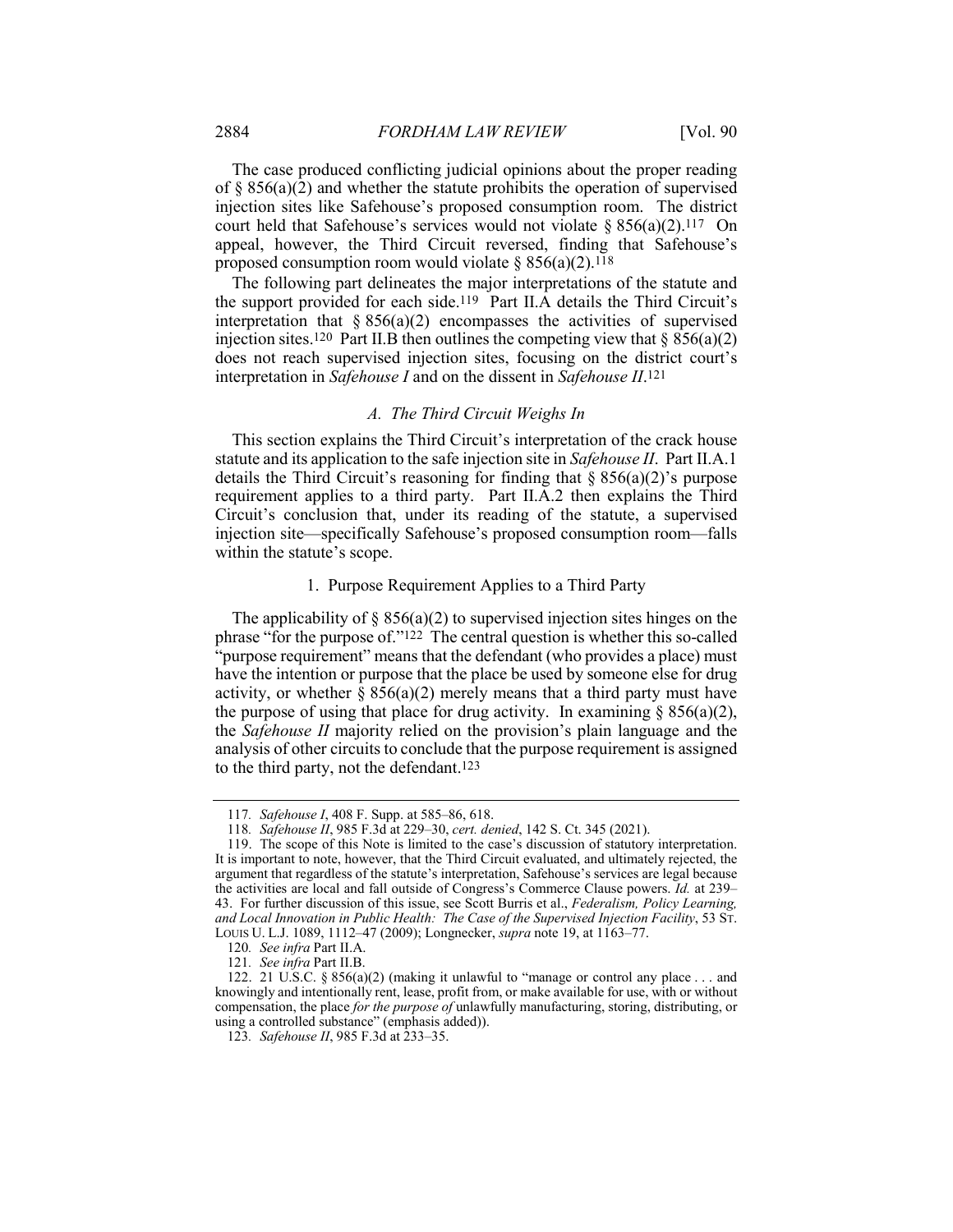The case produced conflicting judicial opinions about the proper reading of  $\S$  856(a)(2) and whether the statute prohibits the operation of supervised injection sites like Safehouse's proposed consumption room. The district court held that Safehouse's services would not violate  $\S 856(a)(2)$ .<sup>117</sup> On appeal, however, the Third Circuit reversed, finding that Safehouse's proposed consumption room would violate  $\S 856(a)(2)$ .<sup>118</sup>

The following part delineates the major interpretations of the statute and the support provided for each side.119 Part II.A details the Third Circuit's interpretation that  $\S 856(a)(2)$  encompasses the activities of supervised injection sites.<sup>120</sup> Part II.B then outlines the competing view that  $\S 856(a)(2)$ does not reach supervised injection sites, focusing on the district court's interpretation in *Safehouse I* and on the dissent in *Safehouse II*.121

#### *A. The Third Circuit Weighs In*

This section explains the Third Circuit's interpretation of the crack house statute and its application to the safe injection site in *Safehouse II*. Part II.A.1 details the Third Circuit's reasoning for finding that  $\S 856(a)(2)$ 's purpose requirement applies to a third party. Part II.A.2 then explains the Third Circuit's conclusion that, under its reading of the statute, a supervised injection site—specifically Safehouse's proposed consumption room—falls within the statute's scope.

#### 1. Purpose Requirement Applies to a Third Party

The applicability of  $\S$  856(a)(2) to supervised injection sites hinges on the phrase "for the purpose of."122 The central question is whether this so-called "purpose requirement" means that the defendant (who provides a place) must have the intention or purpose that the place be used by someone else for drug activity, or whether  $\S 856(a)(2)$  merely means that a third party must have the purpose of using that place for drug activity. In examining  $\S 856(a)(2)$ , the *Safehouse II* majority relied on the provision's plain language and the analysis of other circuits to conclude that the purpose requirement is assigned to the third party, not the defendant.<sup>123</sup>

<sup>117</sup>*. Safehouse I*, 408 F. Supp. at 585–86, 618.

<sup>118</sup>*. Safehouse II*, 985 F.3d at 229–30, *cert. denied*, 142 S. Ct. 345 (2021).

<sup>119.</sup> The scope of this Note is limited to the case's discussion of statutory interpretation. It is important to note, however, that the Third Circuit evaluated, and ultimately rejected, the argument that regardless of the statute's interpretation, Safehouse's services are legal because the activities are local and fall outside of Congress's Commerce Clause powers. *Id.* at 239– 43. For further discussion of this issue, see Scott Burris et al., *Federalism, Policy Learning, and Local Innovation in Public Health: The Case of the Supervised Injection Facility*, 53 ST. LOUIS U. L.J. 1089, 1112–47 (2009); Longnecker, *supra* note 19, at 1163–77.

<sup>120</sup>*. See infra* Part II.A.

<sup>121</sup>*. See infra* Part II.B.

<sup>122. 21</sup> U.S.C.  $\S 856(a)(2)$  (making it unlawful to "manage or control any place ... and knowingly and intentionally rent, lease, profit from, or make available for use, with or without compensation, the place *for the purpose of* unlawfully manufacturing, storing, distributing, or using a controlled substance" (emphasis added)).

<sup>123</sup>*. Safehouse II*, 985 F.3d at 233–35.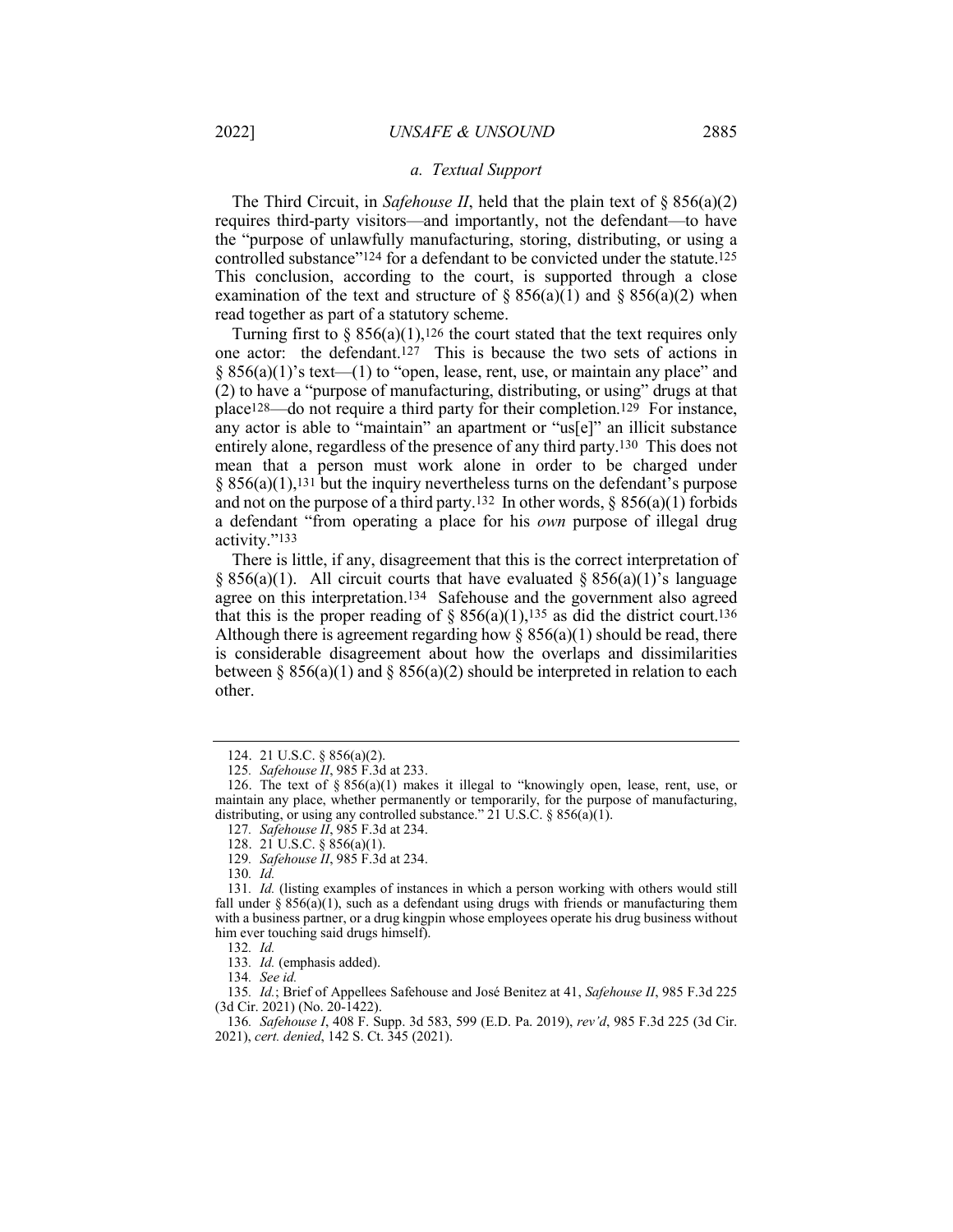The Third Circuit, in *Safehouse II*, held that the plain text of § 856(a)(2) requires third-party visitors—and importantly, not the defendant—to have the "purpose of unlawfully manufacturing, storing, distributing, or using a controlled substance"124 for a defendant to be convicted under the statute.125 This conclusion, according to the court, is supported through a close examination of the text and structure of  $\S 856(a)(1)$  and  $\S 856(a)(2)$  when read together as part of a statutory scheme.

Turning first to §  $856(a)(1)$ ,<sup>126</sup> the court stated that the text requires only one actor: the defendant.127 This is because the two sets of actions in  $\S 856(a)(1)$ 's text—(1) to "open, lease, rent, use, or maintain any place" and (2) to have a "purpose of manufacturing, distributing, or using" drugs at that place128—do not require a third party for their completion.129 For instance, any actor is able to "maintain" an apartment or "us[e]" an illicit substance entirely alone, regardless of the presence of any third party.130 This does not mean that a person must work alone in order to be charged under  $\S$  856(a)(1),<sup>131</sup> but the inquiry nevertheless turns on the defendant's purpose and not on the purpose of a third party.<sup>132</sup> In other words,  $\S$  856(a)(1) forbids a defendant "from operating a place for his *own* purpose of illegal drug activity."133

There is little, if any, disagreement that this is the correct interpretation of  $§ 856(a)(1)$ . All circuit courts that have evaluated  $§ 856(a)(1)'$ s language agree on this interpretation.134 Safehouse and the government also agreed that this is the proper reading of  $\S 856(a)(1)$ ,<sup>135</sup> as did the district court.<sup>136</sup> Although there is agreement regarding how  $\S$  856(a)(1) should be read, there is considerable disagreement about how the overlaps and dissimilarities between § 856(a)(1) and § 856(a)(2) should be interpreted in relation to each other.

129*. Safehouse II*, 985 F.3d at 234.

132*. Id.*

134*. See id.*

135*. Id.*; Brief of Appellees Safehouse and José Benitez at 41, *Safehouse II*, 985 F.3d 225 (3d Cir. 2021) (No. 20-1422).

<sup>124.</sup> 21 U.S.C. § 856(a)(2).

<sup>125</sup>*. Safehouse II*, 985 F.3d at 233.

<sup>126.</sup> The text of § 856(a)(1) makes it illegal to "knowingly open, lease, rent, use, or maintain any place, whether permanently or temporarily, for the purpose of manufacturing, distributing, or using any controlled substance."  $21$  U.S.C. § 856(a)(1).

<sup>127</sup>*. Safehouse II*, 985 F.3d at 234.

<sup>128.</sup> 21 U.S.C. § 856(a)(1).

<sup>130</sup>*. Id.*

<sup>131</sup>*. Id.* (listing examples of instances in which a person working with others would still fall under  $\S 856(a)(1)$ , such as a defendant using drugs with friends or manufacturing them with a business partner, or a drug kingpin whose employees operate his drug business without him ever touching said drugs himself).

<sup>133</sup>*. Id.* (emphasis added).

<sup>136</sup>*. Safehouse I*, 408 F. Supp. 3d 583, 599 (E.D. Pa. 2019), *rev'd*, 985 F.3d 225 (3d Cir. 2021), *cert. denied*, 142 S. Ct. 345 (2021).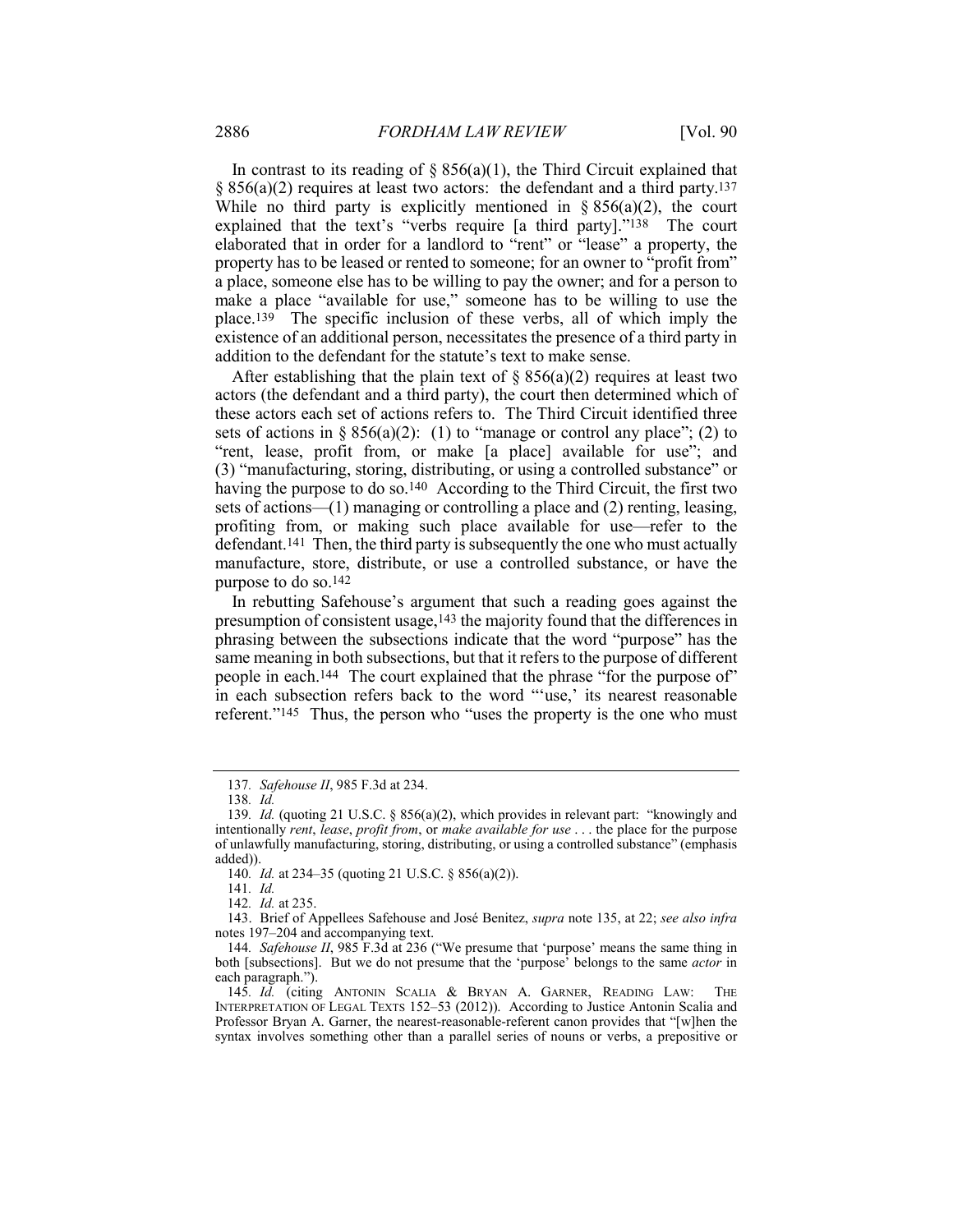In contrast to its reading of  $\S 856(a)(1)$ , the Third Circuit explained that  $\S$  856(a)(2) requires at least two actors: the defendant and a third party.<sup>137</sup> While no third party is explicitly mentioned in  $\S 856(a)(2)$ , the court explained that the text's "verbs require [a third party]."138 The court elaborated that in order for a landlord to "rent" or "lease" a property, the property has to be leased or rented to someone; for an owner to "profit from" a place, someone else has to be willing to pay the owner; and for a person to make a place "available for use," someone has to be willing to use the place.139 The specific inclusion of these verbs, all of which imply the existence of an additional person, necessitates the presence of a third party in addition to the defendant for the statute's text to make sense.

After establishing that the plain text of  $\S 856(a)(2)$  requires at least two actors (the defendant and a third party), the court then determined which of these actors each set of actions refers to. The Third Circuit identified three sets of actions in § 856(a)(2): (1) to "manage or control any place"; (2) to "rent, lease, profit from, or make [a place] available for use"; and (3) "manufacturing, storing, distributing, or using a controlled substance" or having the purpose to do so.140 According to the Third Circuit, the first two sets of actions—(1) managing or controlling a place and (2) renting, leasing, profiting from, or making such place available for use—refer to the defendant.141 Then, the third party is subsequently the one who must actually manufacture, store, distribute, or use a controlled substance, or have the purpose to do so.142

In rebutting Safehouse's argument that such a reading goes against the presumption of consistent usage,143 the majority found that the differences in phrasing between the subsections indicate that the word "purpose" has the same meaning in both subsections, but that it refers to the purpose of different people in each.144 The court explained that the phrase "for the purpose of" in each subsection refers back to the word "'use,' its nearest reasonable referent."145 Thus, the person who "uses the property is the one who must

<sup>137</sup>*. Safehouse II*, 985 F.3d at 234.

<sup>138</sup>*. Id.*

<sup>139</sup>*. Id.* (quoting 21 U.S.C. § 856(a)(2), which provides in relevant part: "knowingly and intentionally *rent*, *lease*, *profit from*, or *make available for use* . . . the place for the purpose of unlawfully manufacturing, storing, distributing, or using a controlled substance" (emphasis added)).

<sup>140</sup>*. Id.* at 234–35 (quoting 21 U.S.C. § 856(a)(2)).

<sup>141</sup>*. Id.*

<sup>142</sup>*. Id.* at 235.

<sup>143.</sup> Brief of Appellees Safehouse and José Benitez, *supra* note 135, at 22; *see also infra* notes 197–204 and accompanying text.

<sup>144</sup>*. Safehouse II*, 985 F.3d at 236 ("We presume that 'purpose' means the same thing in both [subsections]. But we do not presume that the 'purpose' belongs to the same *actor* in each paragraph.").

<sup>145</sup>*. Id.* (citing ANTONIN SCALIA & BRYAN A. GARNER, READING LAW: THE INTERPRETATION OF LEGAL TEXTS 152–53 (2012)). According to Justice Antonin Scalia and Professor Bryan A. Garner, the nearest-reasonable-referent canon provides that "[w]hen the syntax involves something other than a parallel series of nouns or verbs, a prepositive or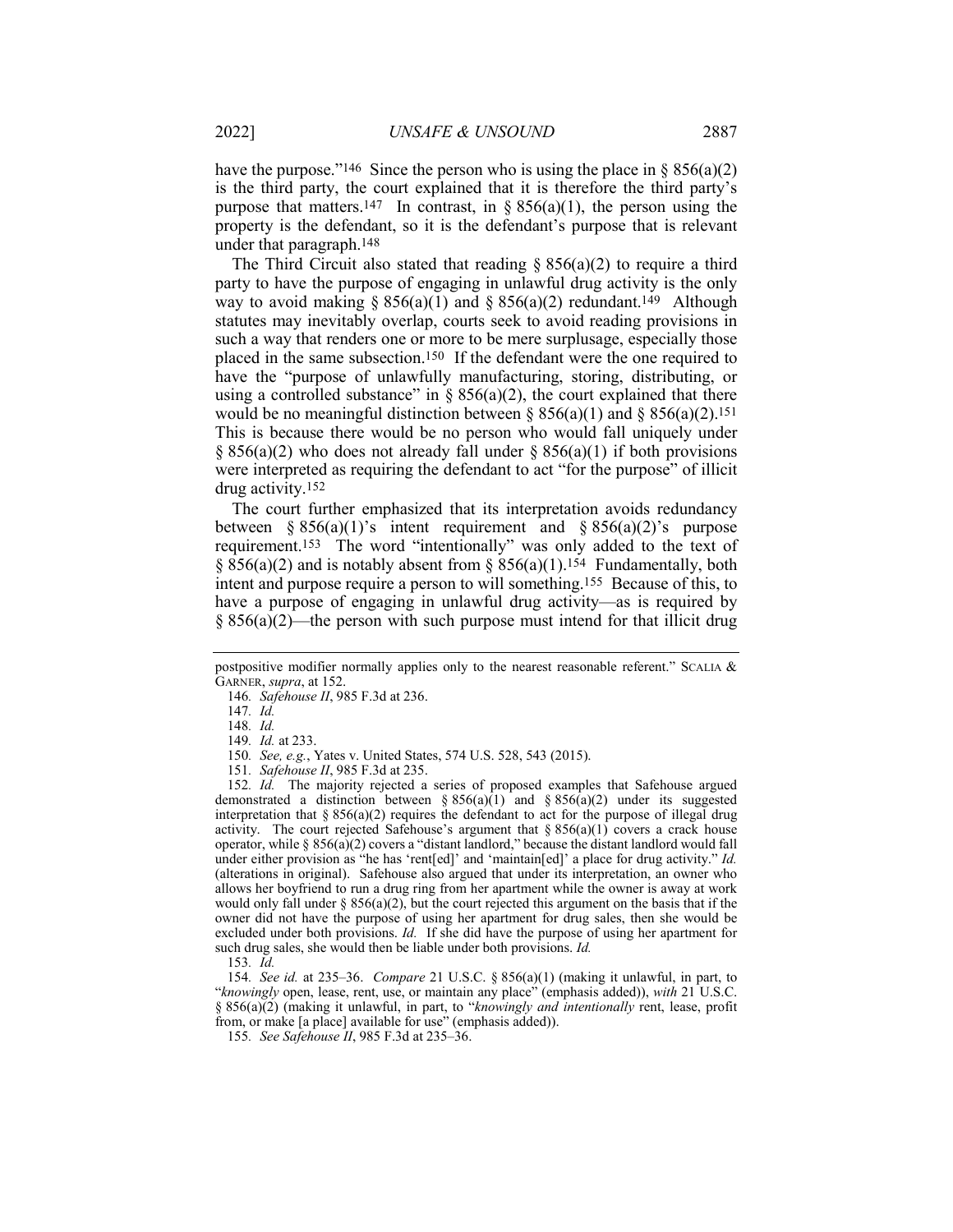have the purpose."<sup>146</sup> Since the person who is using the place in § 856(a)(2) is the third party, the court explained that it is therefore the third party's purpose that matters.<sup>147</sup> In contrast, in § 856(a)(1), the person using the property is the defendant, so it is the defendant's purpose that is relevant under that paragraph.148

The Third Circuit also stated that reading  $\S$  856(a)(2) to require a third party to have the purpose of engaging in unlawful drug activity is the only way to avoid making §  $856(a)(1)$  and §  $856(a)(2)$  redundant.<sup>149</sup> Although statutes may inevitably overlap, courts seek to avoid reading provisions in such a way that renders one or more to be mere surplusage, especially those placed in the same subsection.150 If the defendant were the one required to have the "purpose of unlawfully manufacturing, storing, distributing, or using a controlled substance" in  $\S 856(a)(2)$ , the court explained that there would be no meaningful distinction between  $\S 856(a)(1)$  and  $\S 856(a)(2)$ .<sup>151</sup> This is because there would be no person who would fall uniquely under § 856(a)(2) who does not already fall under § 856(a)(1) if both provisions were interpreted as requiring the defendant to act "for the purpose" of illicit drug activity.152

The court further emphasized that its interpretation avoids redundancy between § 856(a)(1)'s intent requirement and § 856(a)(2)'s purpose requirement.153 The word "intentionally" was only added to the text of §  $856(a)(2)$  and is notably absent from §  $856(a)(1)$ .<sup>154</sup> Fundamentally, both intent and purpose require a person to will something.155 Because of this, to have a purpose of engaging in unlawful drug activity—as is required by  $§ 856(a)(2)$ —the person with such purpose must intend for that illicit drug

149*. Id.* at 233.

154*. See id.* at 235–36. *Compare* 21 U.S.C. § 856(a)(1) (making it unlawful, in part, to "*knowingly* open, lease, rent, use, or maintain any place" (emphasis added)), *with* 21 U.S.C. § 856(a)(2) (making it unlawful, in part, to "*knowingly and intentionally* rent, lease, profit from, or make [a place] available for use" (emphasis added)).

155*. See Safehouse II*, 985 F.3d at 235–36.

postpositive modifier normally applies only to the nearest reasonable referent." SCALIA & GARNER, *supra*, at 152.

<sup>146</sup>*. Safehouse II*, 985 F.3d at 236.

<sup>147</sup>*. Id.*

<sup>148</sup>*. Id.*

<sup>150</sup>*. See, e.g.*, Yates v. United States, 574 U.S. 528, 543 (2015).

<sup>151</sup>*. Safehouse II*, 985 F.3d at 235.

<sup>152</sup>*. Id.* The majority rejected a series of proposed examples that Safehouse argued demonstrated a distinction between §  $856(a)(1)$  and §  $856(a)(2)$  under its suggested interpretation that  $\S 856(a)(2)$  requires the defendant to act for the purpose of illegal drug activity. The court rejected Safehouse's argument that  $\S 856(a)(1)$  covers a crack house operator, while § 856(a)(2) covers a "distant landlord," because the distant landlord would fall under either provision as "he has 'rent[ed]' and 'maintain[ed]' a place for drug activity." *Id.* (alterations in original). Safehouse also argued that under its interpretation, an owner who allows her boyfriend to run a drug ring from her apartment while the owner is away at work would only fall under  $\S 856(a)(2)$ , but the court rejected this argument on the basis that if the owner did not have the purpose of using her apartment for drug sales, then she would be excluded under both provisions. *Id.* If she did have the purpose of using her apartment for such drug sales, she would then be liable under both provisions. *Id.*

<sup>153</sup>*. Id.*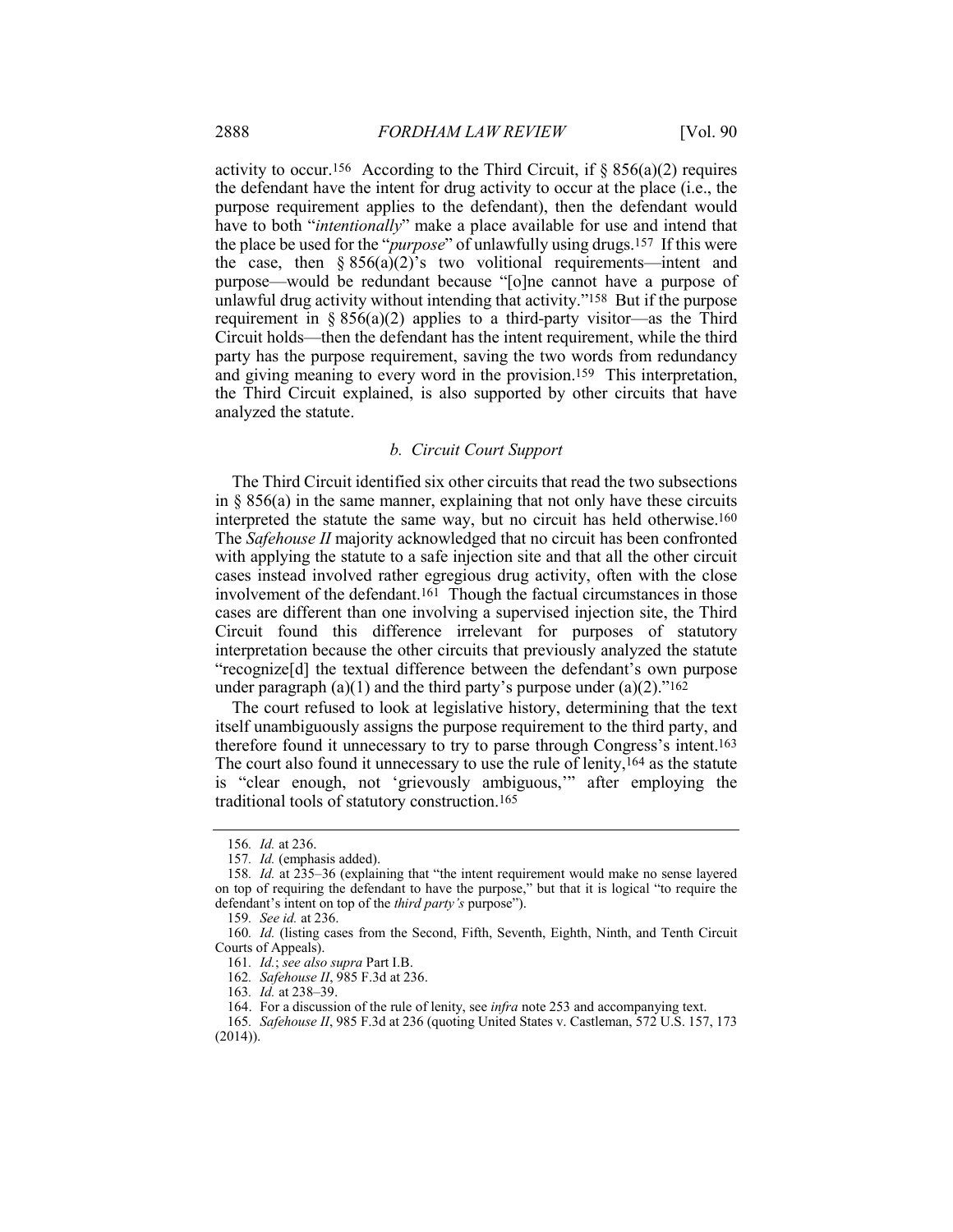activity to occur.<sup>156</sup> According to the Third Circuit, if  $\S$  856(a)(2) requires the defendant have the intent for drug activity to occur at the place (i.e., the purpose requirement applies to the defendant), then the defendant would have to both "*intentionally*" make a place available for use and intend that the place be used for the "*purpose*" of unlawfully using drugs.157 If this were the case, then  $\S 856(a)(2)$ 's two volitional requirements—intent and purpose—would be redundant because "[o]ne cannot have a purpose of unlawful drug activity without intending that activity."158 But if the purpose requirement in  $\S 856(a)(2)$  applies to a third-party visitor—as the Third Circuit holds—then the defendant has the intent requirement, while the third party has the purpose requirement, saving the two words from redundancy and giving meaning to every word in the provision.159 This interpretation, the Third Circuit explained, is also supported by other circuits that have analyzed the statute.

#### *b. Circuit Court Support*

The Third Circuit identified six other circuits that read the two subsections in  $\S 856(a)$  in the same manner, explaining that not only have these circuits interpreted the statute the same way, but no circuit has held otherwise.160 The *Safehouse II* majority acknowledged that no circuit has been confronted with applying the statute to a safe injection site and that all the other circuit cases instead involved rather egregious drug activity, often with the close involvement of the defendant.161 Though the factual circumstances in those cases are different than one involving a supervised injection site, the Third Circuit found this difference irrelevant for purposes of statutory interpretation because the other circuits that previously analyzed the statute "recognize[d] the textual difference between the defendant's own purpose under paragraph  $(a)(1)$  and the third party's purpose under  $(a)(2)$ ."<sup>162</sup>

The court refused to look at legislative history, determining that the text itself unambiguously assigns the purpose requirement to the third party, and therefore found it unnecessary to try to parse through Congress's intent.163 The court also found it unnecessary to use the rule of lenity,<sup>164</sup> as the statute is "clear enough, not 'grievously ambiguous,'" after employing the traditional tools of statutory construction.165

<sup>156</sup>*. Id.* at 236.

<sup>157</sup>*. Id.* (emphasis added).

<sup>158</sup>*. Id.* at 235–36 (explaining that "the intent requirement would make no sense layered on top of requiring the defendant to have the purpose," but that it is logical "to require the defendant's intent on top of the *third party's* purpose").

<sup>159</sup>*. See id.* at 236.

<sup>160</sup>*. Id.* (listing cases from the Second, Fifth, Seventh, Eighth, Ninth, and Tenth Circuit Courts of Appeals).

<sup>161</sup>*. Id.*; *see also supra* Part I.B.

<sup>162</sup>*. Safehouse II*, 985 F.3d at 236.

<sup>163</sup>*. Id.* at 238–39.

<sup>164.</sup> For a discussion of the rule of lenity, see *infra* note 253 and accompanying text.

<sup>165</sup>*. Safehouse II*, 985 F.3d at 236 (quoting United States v. Castleman, 572 U.S. 157, 173 (2014)).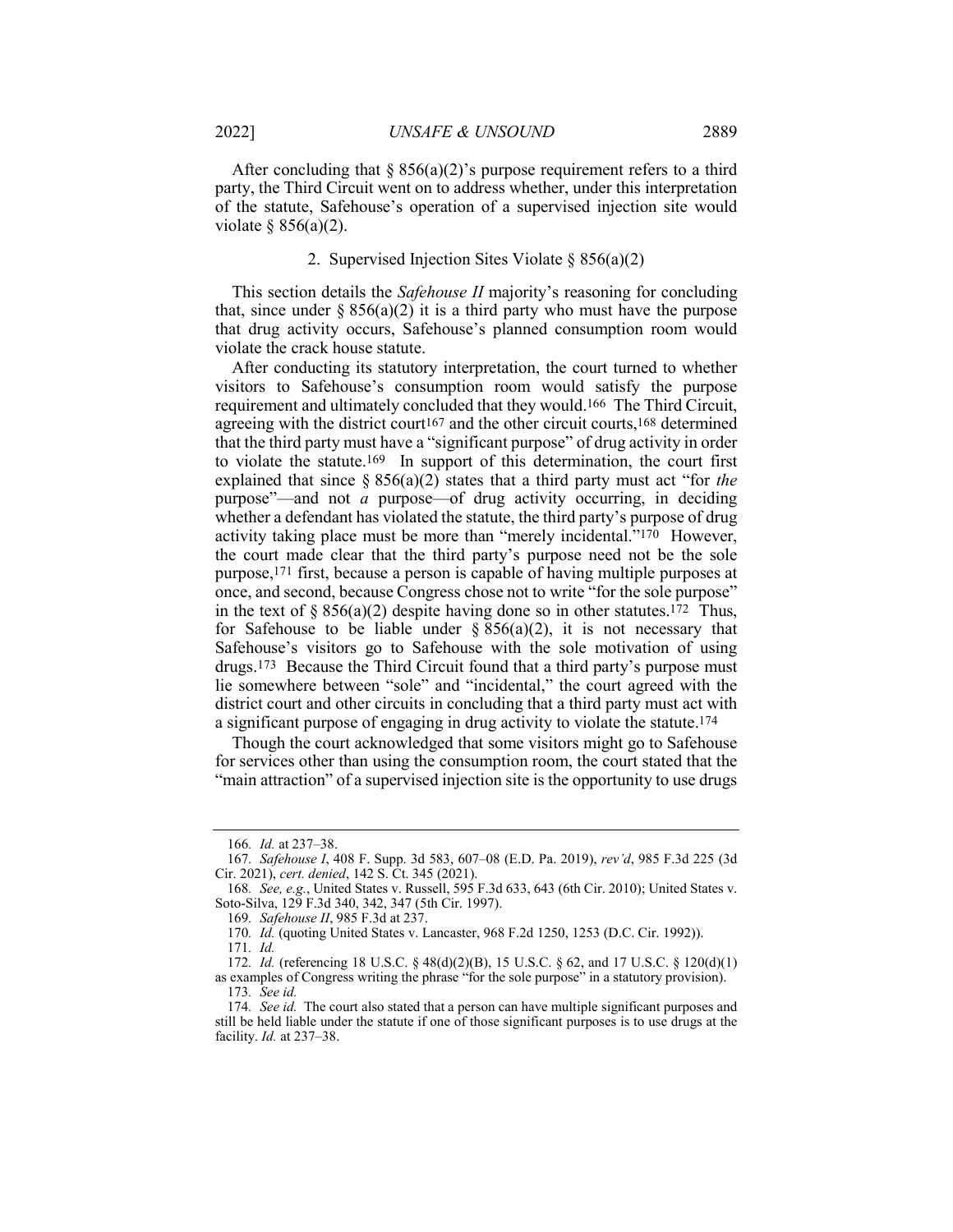After concluding that  $\S 856(a)(2)$ 's purpose requirement refers to a third party, the Third Circuit went on to address whether, under this interpretation of the statute, Safehouse's operation of a supervised injection site would violate  $§ 856(a)(2)$ .

#### 2. Supervised Injection Sites Violate § 856(a)(2)

This section details the *Safehouse II* majority's reasoning for concluding that, since under  $\S 856(a)(2)$  it is a third party who must have the purpose that drug activity occurs, Safehouse's planned consumption room would violate the crack house statute.

After conducting its statutory interpretation, the court turned to whether visitors to Safehouse's consumption room would satisfy the purpose requirement and ultimately concluded that they would.166 The Third Circuit, agreeing with the district court167 and the other circuit courts,168 determined that the third party must have a "significant purpose" of drug activity in order to violate the statute.169 In support of this determination, the court first explained that since § 856(a)(2) states that a third party must act "for *the* purpose"—and not *a* purpose—of drug activity occurring, in deciding whether a defendant has violated the statute, the third party's purpose of drug activity taking place must be more than "merely incidental."<sup>170</sup> However, the court made clear that the third party's purpose need not be the sole purpose,171 first, because a person is capable of having multiple purposes at once, and second, because Congress chose not to write "for the sole purpose" in the text of  $\S 856(a)(2)$  despite having done so in other statutes.<sup>172</sup> Thus, for Safehouse to be liable under  $\S 856(a)(2)$ , it is not necessary that Safehouse's visitors go to Safehouse with the sole motivation of using drugs.173 Because the Third Circuit found that a third party's purpose must lie somewhere between "sole" and "incidental," the court agreed with the district court and other circuits in concluding that a third party must act with a significant purpose of engaging in drug activity to violate the statute.174

Though the court acknowledged that some visitors might go to Safehouse for services other than using the consumption room, the court stated that the "main attraction" of a supervised injection site is the opportunity to use drugs

<sup>166</sup>*. Id.* at 237–38.

<sup>167</sup>*. Safehouse I*, 408 F. Supp. 3d 583, 607–08 (E.D. Pa. 2019), *rev'd*, 985 F.3d 225 (3d Cir. 2021), *cert. denied*, 142 S. Ct. 345 (2021).

<sup>168</sup>*. See, e.g.*, United States v. Russell, 595 F.3d 633, 643 (6th Cir. 2010); United States v. Soto-Silva, 129 F.3d 340, 342, 347 (5th Cir. 1997).

<sup>169</sup>*. Safehouse II*, 985 F.3d at 237.

<sup>170</sup>*. Id.* (quoting United States v. Lancaster, 968 F.2d 1250, 1253 (D.C. Cir. 1992)).

<sup>171</sup>*. Id.*

<sup>172</sup>*. Id.* (referencing 18 U.S.C. § 48(d)(2)(B), 15 U.S.C. § 62, and 17 U.S.C. § 120(d)(1) as examples of Congress writing the phrase "for the sole purpose" in a statutory provision). 173*. See id.*

<sup>174</sup>*. See id.* The court also stated that a person can have multiple significant purposes and still be held liable under the statute if one of those significant purposes is to use drugs at the facility. *Id.* at 237–38.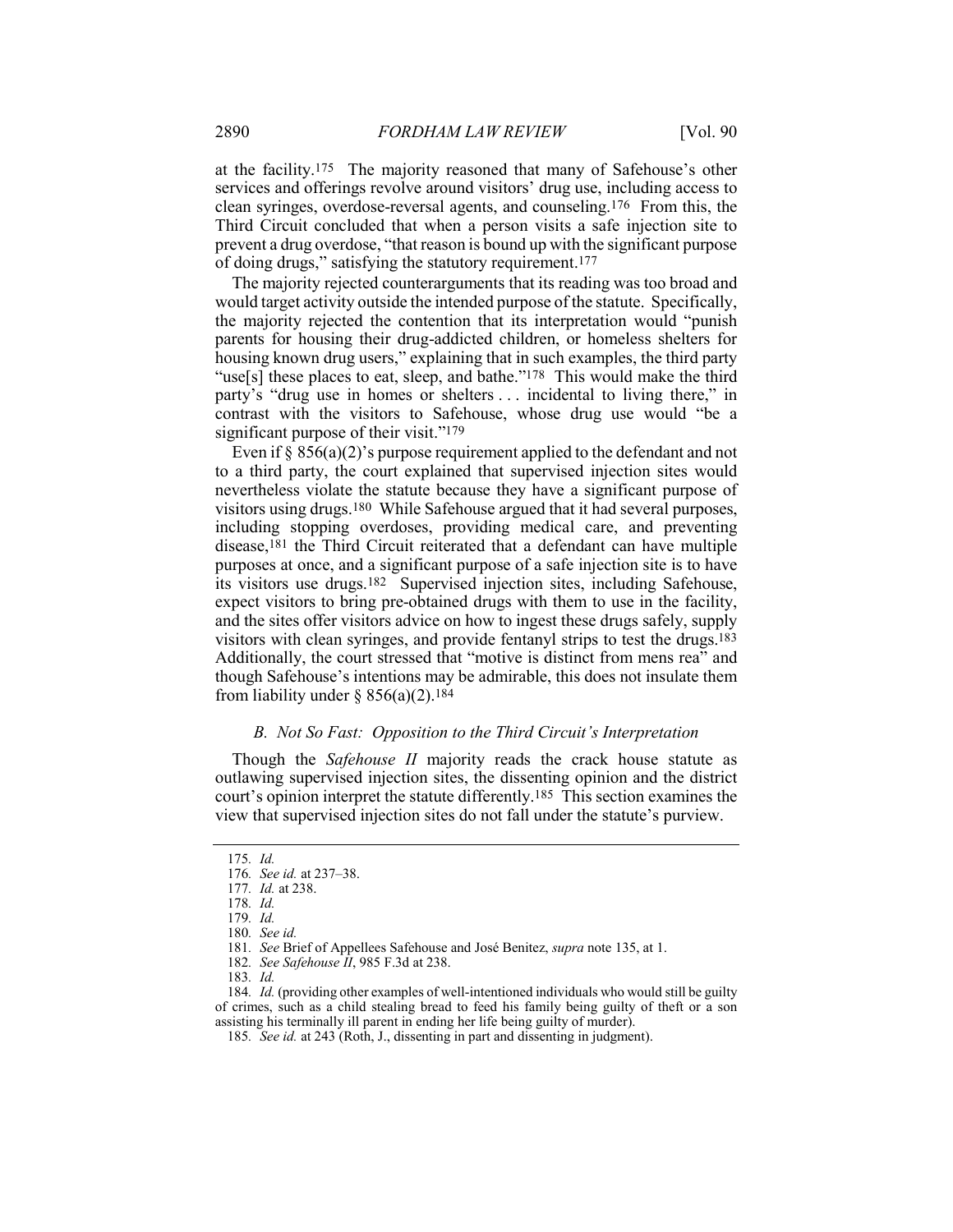at the facility.175 The majority reasoned that many of Safehouse's other services and offerings revolve around visitors' drug use, including access to clean syringes, overdose-reversal agents, and counseling.176 From this, the Third Circuit concluded that when a person visits a safe injection site to prevent a drug overdose, "that reason is bound up with the significant purpose of doing drugs," satisfying the statutory requirement.177

The majority rejected counterarguments that its reading was too broad and would target activity outside the intended purpose of the statute. Specifically, the majority rejected the contention that its interpretation would "punish parents for housing their drug-addicted children, or homeless shelters for housing known drug users," explaining that in such examples, the third party "use[s] these places to eat, sleep, and bathe."<sup>178</sup> This would make the third party's "drug use in homes or shelters . . . incidental to living there," in contrast with the visitors to Safehouse, whose drug use would "be a significant purpose of their visit."179

Even if  $\S 856(a)(2)$ 's purpose requirement applied to the defendant and not to a third party, the court explained that supervised injection sites would nevertheless violate the statute because they have a significant purpose of visitors using drugs.180 While Safehouse argued that it had several purposes, including stopping overdoses, providing medical care, and preventing disease,181 the Third Circuit reiterated that a defendant can have multiple purposes at once, and a significant purpose of a safe injection site is to have its visitors use drugs.182 Supervised injection sites, including Safehouse, expect visitors to bring pre-obtained drugs with them to use in the facility, and the sites offer visitors advice on how to ingest these drugs safely, supply visitors with clean syringes, and provide fentanyl strips to test the drugs.183 Additionally, the court stressed that "motive is distinct from mens rea" and though Safehouse's intentions may be admirable, this does not insulate them from liability under  $\S 856(a)(2)$ .<sup>184</sup>

#### *B. Not So Fast: Opposition to the Third Circuit's Interpretation*

Though the *Safehouse II* majority reads the crack house statute as outlawing supervised injection sites, the dissenting opinion and the district court's opinion interpret the statute differently.185 This section examines the view that supervised injection sites do not fall under the statute's purview.

<sup>175</sup>*. Id.*

<sup>176</sup>*. See id.* at 237–38.

<sup>177</sup>*. Id.* at 238.

<sup>178</sup>*. Id.*

<sup>179</sup>*. Id.*

<sup>180</sup>*. See id.*

<sup>181</sup>*. See* Brief of Appellees Safehouse and José Benitez, *supra* note 135, at 1.

<sup>182</sup>*. See Safehouse II*, 985 F.3d at 238.

<sup>183</sup>*. Id.*

<sup>184</sup>*. Id.* (providing other examples of well-intentioned individuals who would still be guilty of crimes, such as a child stealing bread to feed his family being guilty of theft or a son assisting his terminally ill parent in ending her life being guilty of murder).

<sup>185</sup>*. See id.* at 243 (Roth, J., dissenting in part and dissenting in judgment).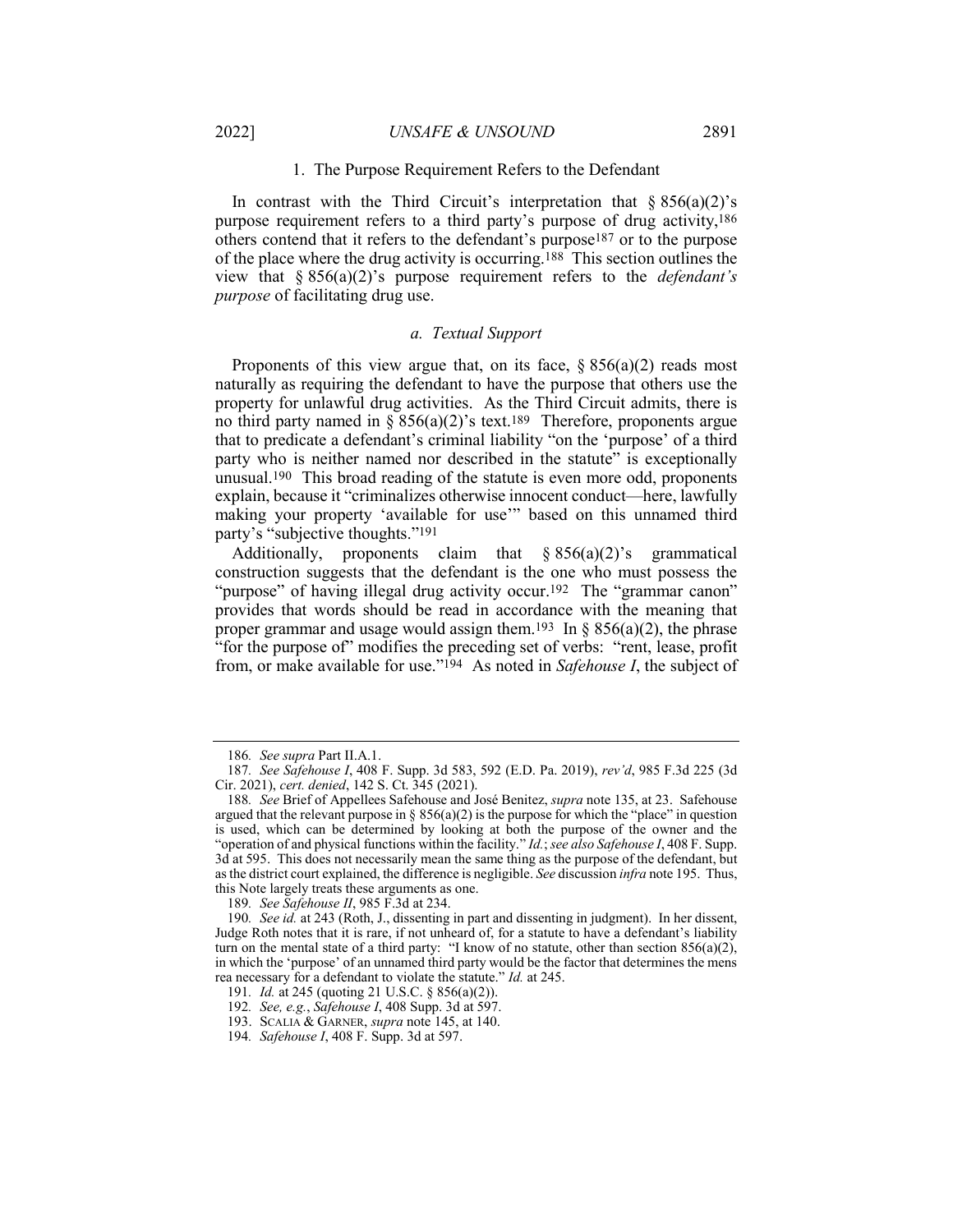#### 1. The Purpose Requirement Refers to the Defendant

In contrast with the Third Circuit's interpretation that  $\S 856(a)(2)$ 's purpose requirement refers to a third party's purpose of drug activity,186 others contend that it refers to the defendant's purpose187 or to the purpose of the place where the drug activity is occurring.188 This section outlines the view that § 856(a)(2)'s purpose requirement refers to the *defendant's purpose* of facilitating drug use.

#### *a. Textual Support*

Proponents of this view argue that, on its face,  $\S 856(a)(2)$  reads most naturally as requiring the defendant to have the purpose that others use the property for unlawful drug activities. As the Third Circuit admits, there is no third party named in  $\S 856(a)(2)$ 's text.<sup>189</sup> Therefore, proponents argue that to predicate a defendant's criminal liability "on the 'purpose' of a third party who is neither named nor described in the statute" is exceptionally unusual.190 This broad reading of the statute is even more odd, proponents explain, because it "criminalizes otherwise innocent conduct—here, lawfully making your property 'available for use'" based on this unnamed third party's "subjective thoughts."191

Additionally, proponents claim that  $\S 856(a)(2)$ 's grammatical construction suggests that the defendant is the one who must possess the "purpose" of having illegal drug activity occur.<sup>192</sup> The "grammar canon" provides that words should be read in accordance with the meaning that proper grammar and usage would assign them.<sup>193</sup> In § 856(a)(2), the phrase "for the purpose of" modifies the preceding set of verbs: "rent, lease, profit from, or make available for use."194 As noted in *Safehouse I*, the subject of

<sup>186</sup>*. See supra* Part II.A.1.

<sup>187</sup>*. See Safehouse I*, 408 F. Supp. 3d 583, 592 (E.D. Pa. 2019), *rev'd*, 985 F.3d 225 (3d Cir. 2021), *cert. denied*, 142 S. Ct. 345 (2021).

<sup>188</sup>*. See* Brief of Appellees Safehouse and José Benitez, *supra* note 135, at 23. Safehouse argued that the relevant purpose in  $\S 856(a)(2)$  is the purpose for which the "place" in question is used, which can be determined by looking at both the purpose of the owner and the "operation of and physical functions within the facility." *Id.*; *see also Safehouse I*, 408 F. Supp. 3d at 595. This does not necessarily mean the same thing as the purpose of the defendant, but as the district court explained, the difference is negligible. *See* discussion *infra* note 195. Thus, this Note largely treats these arguments as one.

<sup>189</sup>*. See Safehouse II*, 985 F.3d at 234.

<sup>190</sup>*. See id.* at 243 (Roth, J., dissenting in part and dissenting in judgment). In her dissent, Judge Roth notes that it is rare, if not unheard of, for a statute to have a defendant's liability turn on the mental state of a third party: "I know of no statute, other than section  $856(a)(2)$ , in which the 'purpose' of an unnamed third party would be the factor that determines the mens rea necessary for a defendant to violate the statute." *Id.* at 245.

<sup>191</sup>*. Id.* at 245 (quoting 21 U.S.C. § 856(a)(2)).

<sup>192</sup>*. See, e.g.*, *Safehouse I*, 408 Supp. 3d at 597.

<sup>193.</sup> SCALIA & GARNER, *supra* note 145, at 140.

<sup>194</sup>*. Safehouse I*, 408 F. Supp. 3d at 597.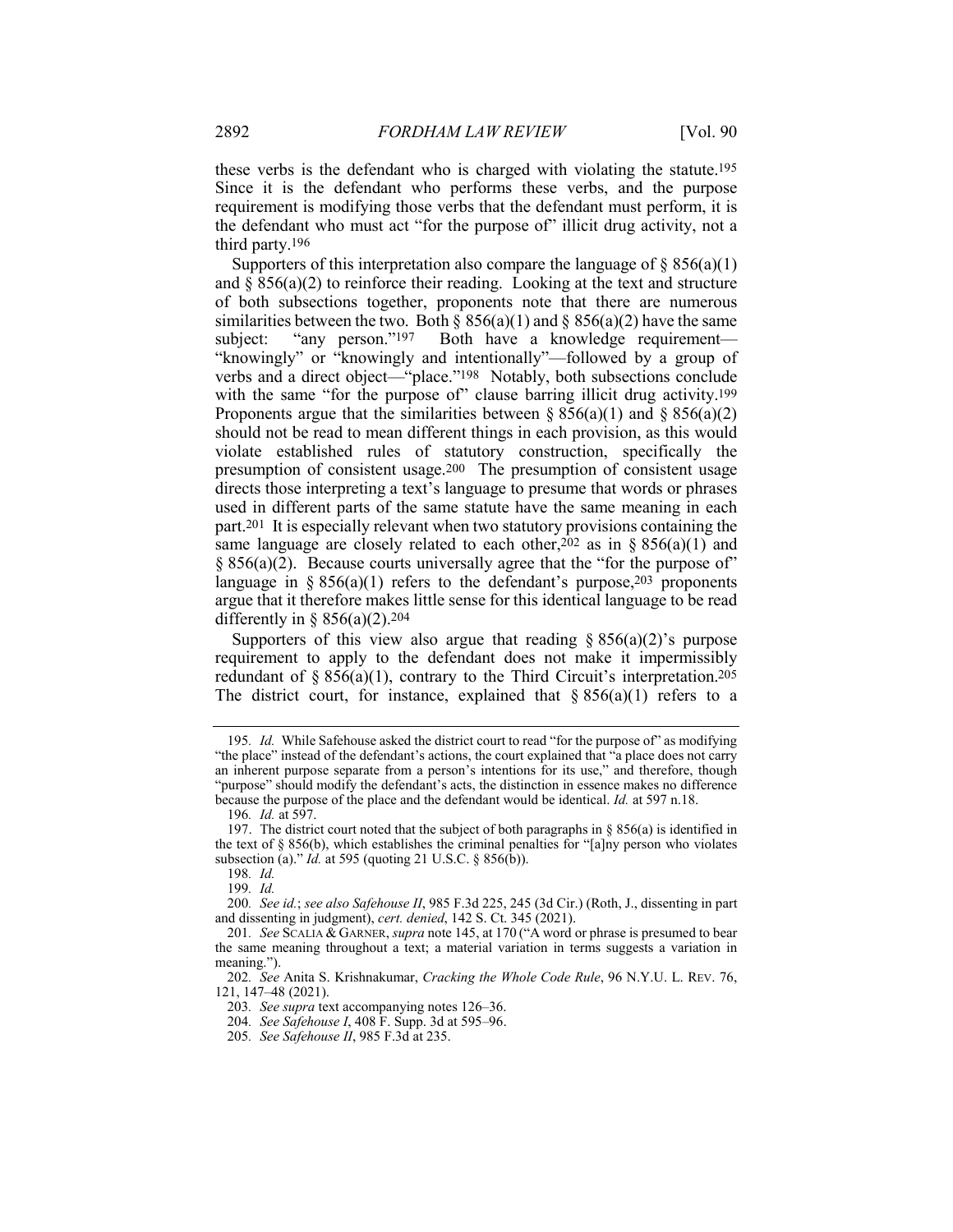these verbs is the defendant who is charged with violating the statute.195 Since it is the defendant who performs these verbs, and the purpose requirement is modifying those verbs that the defendant must perform, it is the defendant who must act "for the purpose of" illicit drug activity, not a third party.196

Supporters of this interpretation also compare the language of  $\S 856(a)(1)$ and  $\S 856(a)(2)$  to reinforce their reading. Looking at the text and structure of both subsections together, proponents note that there are numerous similarities between the two. Both §  $856(a)(1)$  and §  $856(a)(2)$  have the same subject: "any person."<sup>197</sup> Both have a knowledge requirement— "knowingly" or "knowingly and intentionally"—followed by a group of verbs and a direct object—"place."198 Notably, both subsections conclude with the same "for the purpose of" clause barring illicit drug activity.<sup>199</sup> Proponents argue that the similarities between  $\S 856(a)(1)$  and  $\S 856(a)(2)$ should not be read to mean different things in each provision, as this would violate established rules of statutory construction, specifically the presumption of consistent usage.200 The presumption of consistent usage directs those interpreting a text's language to presume that words or phrases used in different parts of the same statute have the same meaning in each part.201 It is especially relevant when two statutory provisions containing the same language are closely related to each other,  $202$  as in § 856(a)(1) and  $§ 856(a)(2)$ . Because courts universally agree that the "for the purpose of" language in §  $856(a)(1)$  refers to the defendant's purpose,  $203$  proponents argue that it therefore makes little sense for this identical language to be read differently in §  $856(a)(2)$ .<sup>204</sup>

Supporters of this view also argue that reading  $\S 856(a)(2)$ 's purpose requirement to apply to the defendant does not make it impermissibly redundant of § 856(a)(1), contrary to the Third Circuit's interpretation.<sup>205</sup> The district court, for instance, explained that  $\S 856(a)(1)$  refers to a

<sup>195</sup>*. Id.* While Safehouse asked the district court to read "for the purpose of" as modifying "the place" instead of the defendant's actions, the court explained that "a place does not carry an inherent purpose separate from a person's intentions for its use," and therefore, though "purpose" should modify the defendant's acts, the distinction in essence makes no difference because the purpose of the place and the defendant would be identical. *Id.* at 597 n.18.

<sup>196</sup>*. Id.* at 597.

<sup>197.</sup> The district court noted that the subject of both paragraphs in § 856(a) is identified in the text of § 856(b), which establishes the criminal penalties for "[a]ny person who violates subsection (a)." *Id.* at 595 (quoting 21 U.S.C. § 856(b)).

<sup>198</sup>*. Id.*

<sup>199</sup>*. Id.*

<sup>200</sup>*. See id.*; *see also Safehouse II*, 985 F.3d 225, 245 (3d Cir.) (Roth, J., dissenting in part and dissenting in judgment), *cert. denied*, 142 S. Ct. 345 (2021).

<sup>201</sup>*. See* SCALIA & GARNER, *supra* note 145, at 170 ("A word or phrase is presumed to bear the same meaning throughout a text; a material variation in terms suggests a variation in meaning.").

<sup>202</sup>*. See* Anita S. Krishnakumar, *Cracking the Whole Code Rule*, 96 N.Y.U. L. REV. 76, 121, 147–48 (2021).

<sup>203</sup>*. See supra* text accompanying notes 126–36.

<sup>204</sup>*. See Safehouse I*, 408 F. Supp. 3d at 595–96.

<sup>205</sup>*. See Safehouse II*, 985 F.3d at 235.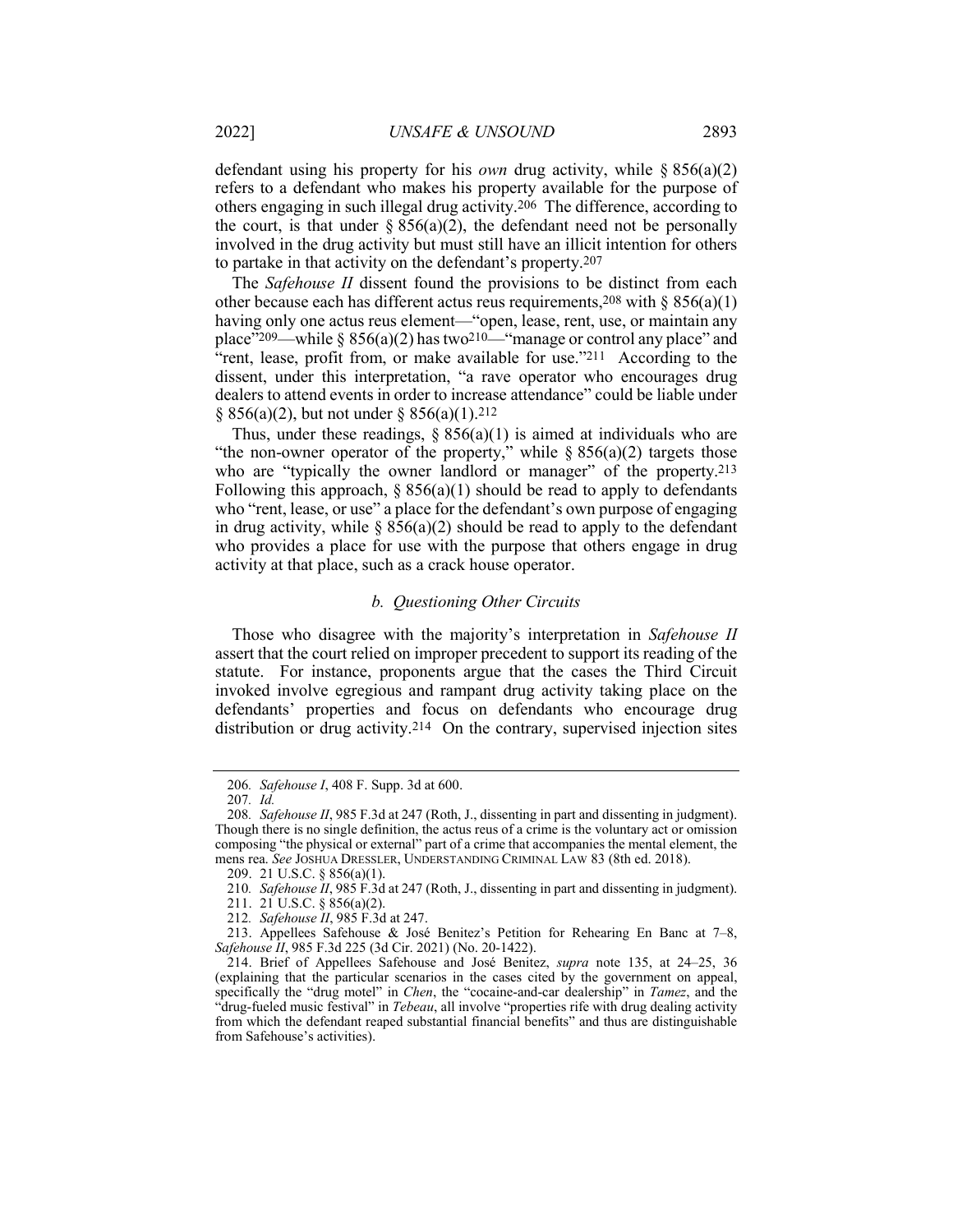defendant using his property for his *own* drug activity, while § 856(a)(2) refers to a defendant who makes his property available for the purpose of others engaging in such illegal drug activity.206 The difference, according to the court, is that under  $\S 856(a)(2)$ , the defendant need not be personally involved in the drug activity but must still have an illicit intention for others to partake in that activity on the defendant's property.207

The *Safehouse II* dissent found the provisions to be distinct from each other because each has different actus reus requirements,  $208$  with § 856(a)(1) having only one actus reus element—"open, lease, rent, use, or maintain any place"<sup>209</sup>—while § 856(a)(2) has two<sup>210—"</sup>manage or control any place" and "rent, lease, profit from, or make available for use."211 According to the dissent, under this interpretation, "a rave operator who encourages drug dealers to attend events in order to increase attendance" could be liable under  $\S 856(a)(2)$ , but not under  $\S 856(a)(1)$ .<sup>212</sup>

Thus, under these readings,  $\S 856(a)(1)$  is aimed at individuals who are "the non-owner operator of the property," while  $\S 856(a)(2)$  targets those who are "typically the owner landlord or manager" of the property.<sup>213</sup> Following this approach,  $\S 856(a)(1)$  should be read to apply to defendants who "rent, lease, or use" a place for the defendant's own purpose of engaging in drug activity, while  $\S 856(a)(2)$  should be read to apply to the defendant who provides a place for use with the purpose that others engage in drug activity at that place, such as a crack house operator.

#### *b. Questioning Other Circuits*

Those who disagree with the majority's interpretation in *Safehouse II* assert that the court relied on improper precedent to support its reading of the statute. For instance, proponents argue that the cases the Third Circuit invoked involve egregious and rampant drug activity taking place on the defendants' properties and focus on defendants who encourage drug distribution or drug activity.214 On the contrary, supervised injection sites

<sup>206</sup>*. Safehouse I*, 408 F. Supp. 3d at 600.

<sup>207</sup>*. Id.*

<sup>208</sup>*. Safehouse II*, 985 F.3d at 247 (Roth, J., dissenting in part and dissenting in judgment). Though there is no single definition, the actus reus of a crime is the voluntary act or omission composing "the physical or external" part of a crime that accompanies the mental element, the mens rea. *See* JOSHUA DRESSLER, UNDERSTANDING CRIMINAL LAW 83 (8th ed. 2018).

<sup>209.</sup> 21 U.S.C. § 856(a)(1).

<sup>210</sup>*. Safehouse II*, 985 F.3d at 247 (Roth, J., dissenting in part and dissenting in judgment).

<sup>211.</sup> 21 U.S.C. § 856(a)(2).

<sup>212</sup>*. Safehouse II*, 985 F.3d at 247.

<sup>213.</sup> Appellees Safehouse & José Benitez's Petition for Rehearing En Banc at 7–8, *Safehouse II*, 985 F.3d 225 (3d Cir. 2021) (No. 20-1422).

<sup>214.</sup> Brief of Appellees Safehouse and José Benitez, *supra* note 135, at 24–25, 36 (explaining that the particular scenarios in the cases cited by the government on appeal, specifically the "drug motel" in *Chen*, the "cocaine-and-car dealership" in *Tamez*, and the "drug-fueled music festival" in *Tebeau*, all involve "properties rife with drug dealing activity from which the defendant reaped substantial financial benefits" and thus are distinguishable from Safehouse's activities).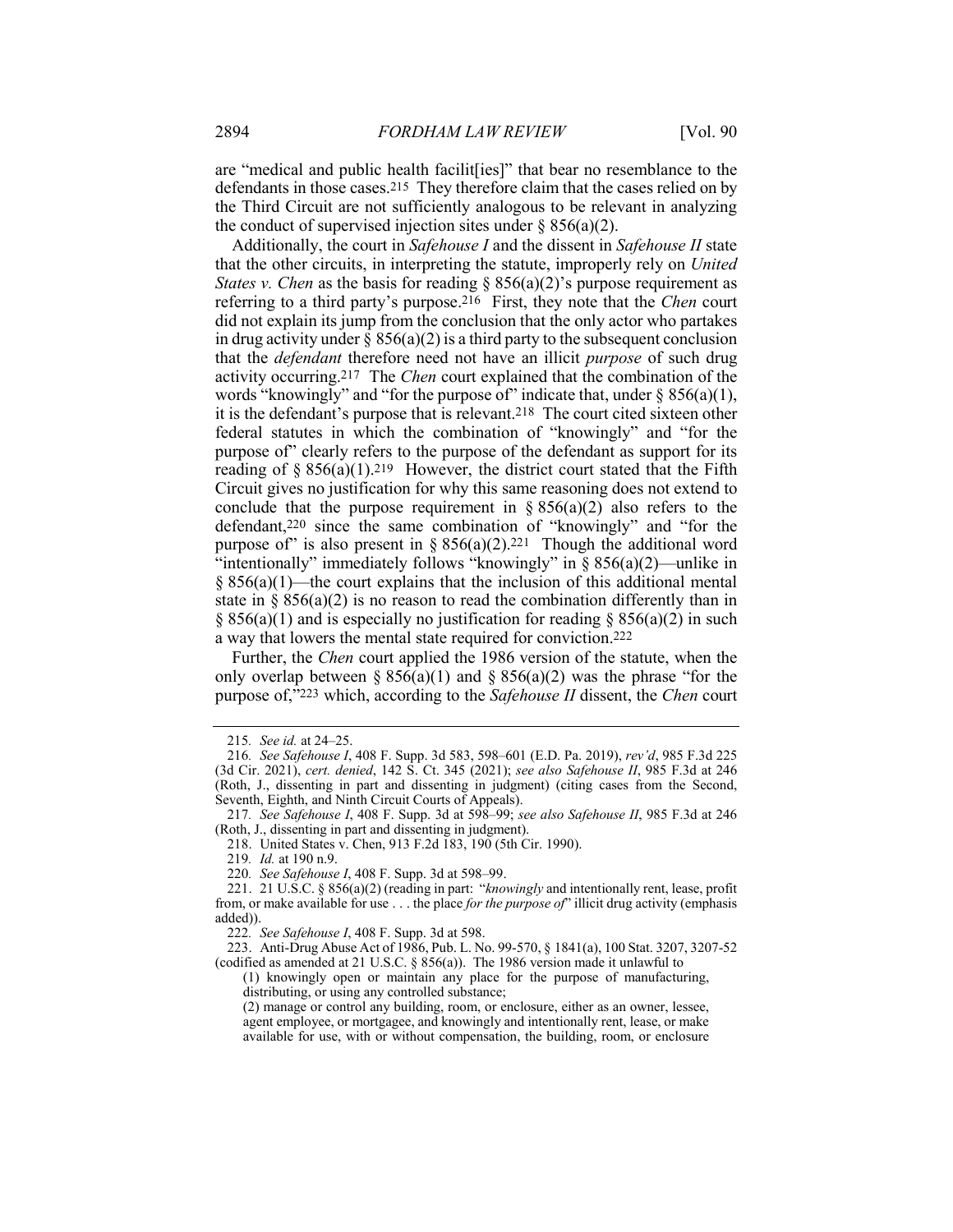are "medical and public health facilit[ies]" that bear no resemblance to the defendants in those cases.215 They therefore claim that the cases relied on by the Third Circuit are not sufficiently analogous to be relevant in analyzing the conduct of supervised injection sites under  $\S 856(a)(2)$ .

Additionally, the court in *Safehouse I* and the dissent in *Safehouse II* state that the other circuits, in interpreting the statute, improperly rely on *United States v. Chen* as the basis for reading § 856(a)(2)'s purpose requirement as referring to a third party's purpose.216 First, they note that the *Chen* court did not explain its jump from the conclusion that the only actor who partakes in drug activity under  $\S$  856(a)(2) is a third party to the subsequent conclusion that the *defendant* therefore need not have an illicit *purpose* of such drug activity occurring.217 The *Chen* court explained that the combination of the words "knowingly" and "for the purpose of" indicate that, under  $\S 856(a)(1)$ , it is the defendant's purpose that is relevant.218 The court cited sixteen other federal statutes in which the combination of "knowingly" and "for the purpose of" clearly refers to the purpose of the defendant as support for its reading of § 856(a)(1).<sup>219</sup> However, the district court stated that the Fifth Circuit gives no justification for why this same reasoning does not extend to conclude that the purpose requirement in  $\S 856(a)(2)$  also refers to the defendant,220 since the same combination of "knowingly" and "for the purpose of" is also present in §  $856(a)(2).^{221}$  Though the additional word "intentionally" immediately follows "knowingly" in  $\S 856(a)(2)$ —unlike in  $§ 856(a)(1)$ —the court explains that the inclusion of this additional mental state in  $\S 856(a)(2)$  is no reason to read the combination differently than in § 856(a)(1) and is especially no justification for reading § 856(a)(2) in such a way that lowers the mental state required for conviction.222

Further, the *Chen* court applied the 1986 version of the statute, when the only overlap between  $\S 856(a)(1)$  and  $\S 856(a)(2)$  was the phrase "for the purpose of,"223 which, according to the *Safehouse II* dissent, the *Chen* court

<sup>215</sup>*. See id.* at 24–25.

<sup>216</sup>*. See Safehouse I*, 408 F. Supp. 3d 583, 598–601 (E.D. Pa. 2019), *rev'd*, 985 F.3d 225 (3d Cir. 2021), *cert. denied*, 142 S. Ct. 345 (2021); *see also Safehouse II*, 985 F.3d at 246 (Roth, J., dissenting in part and dissenting in judgment) (citing cases from the Second, Seventh, Eighth, and Ninth Circuit Courts of Appeals).

<sup>217</sup>*. See Safehouse I*, 408 F. Supp. 3d at 598–99; *see also Safehouse II*, 985 F.3d at 246 (Roth, J., dissenting in part and dissenting in judgment).

<sup>218.</sup> United States v. Chen, 913 F.2d 183, 190 (5th Cir. 1990).

<sup>219</sup>*. Id.* at 190 n.9.

<sup>220</sup>*. See Safehouse I*, 408 F. Supp. 3d at 598–99.

<sup>221.</sup> 21 U.S.C. § 856(a)(2) (reading in part: "*knowingly* and intentionally rent, lease, profit from, or make available for use . . . the place *for the purpose of*" illicit drug activity (emphasis added)).

<sup>222</sup>*. See Safehouse I*, 408 F. Supp. 3d at 598.

<sup>223.</sup> Anti-Drug Abuse Act of 1986, Pub. L. No. 99-570, § 1841(a), 100 Stat. 3207, 3207-52 (codified as amended at 21 U.S.C. § 856(a)). The 1986 version made it unlawful to

<sup>(1)</sup> knowingly open or maintain any place for the purpose of manufacturing, distributing, or using any controlled substance;

<sup>(2)</sup> manage or control any building, room, or enclosure, either as an owner, lessee, agent employee, or mortgagee, and knowingly and intentionally rent, lease, or make available for use, with or without compensation, the building, room, or enclosure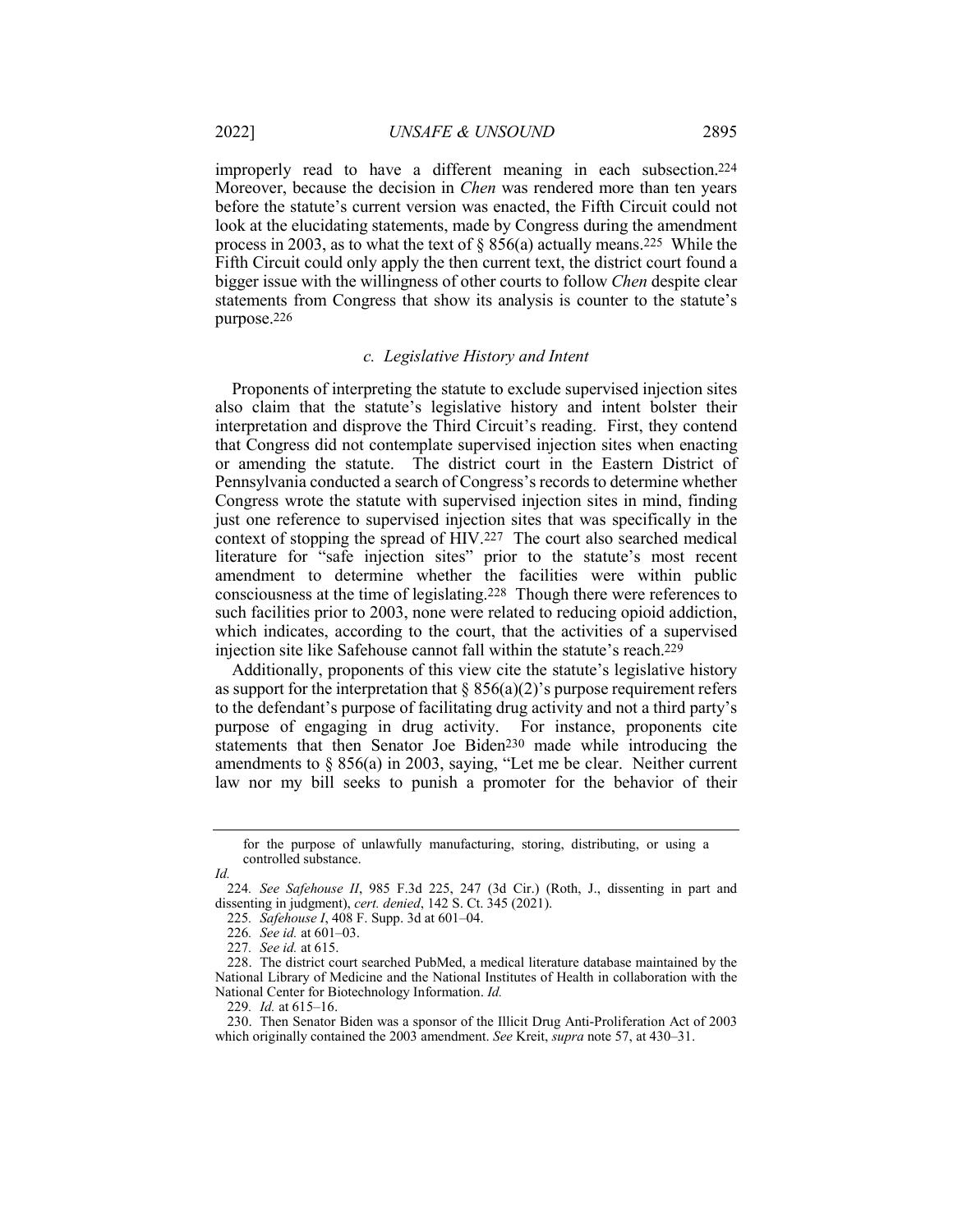improperly read to have a different meaning in each subsection.224 Moreover, because the decision in *Chen* was rendered more than ten years before the statute's current version was enacted, the Fifth Circuit could not look at the elucidating statements, made by Congress during the amendment process in 2003, as to what the text of § 856(a) actually means.225 While the Fifth Circuit could only apply the then current text, the district court found a bigger issue with the willingness of other courts to follow *Chen* despite clear statements from Congress that show its analysis is counter to the statute's purpose.226

#### *c. Legislative History and Intent*

Proponents of interpreting the statute to exclude supervised injection sites also claim that the statute's legislative history and intent bolster their interpretation and disprove the Third Circuit's reading. First, they contend that Congress did not contemplate supervised injection sites when enacting or amending the statute. The district court in the Eastern District of Pennsylvania conducted a search of Congress's records to determine whether Congress wrote the statute with supervised injection sites in mind, finding just one reference to supervised injection sites that was specifically in the context of stopping the spread of HIV.227 The court also searched medical literature for "safe injection sites" prior to the statute's most recent amendment to determine whether the facilities were within public consciousness at the time of legislating.228 Though there were references to such facilities prior to 2003, none were related to reducing opioid addiction, which indicates, according to the court, that the activities of a supervised injection site like Safehouse cannot fall within the statute's reach.229

Additionally, proponents of this view cite the statute's legislative history as support for the interpretation that  $\S 856(a)(2)$ 's purpose requirement refers to the defendant's purpose of facilitating drug activity and not a third party's purpose of engaging in drug activity. For instance, proponents cite statements that then Senator Joe Biden230 made while introducing the amendments to § 856(a) in 2003, saying, "Let me be clear. Neither current law nor my bill seeks to punish a promoter for the behavior of their

for the purpose of unlawfully manufacturing, storing, distributing, or using a controlled substance.

*Id.*

<sup>224</sup>*. See Safehouse II*, 985 F.3d 225, 247 (3d Cir.) (Roth, J., dissenting in part and dissenting in judgment), *cert. denied*, 142 S. Ct. 345 (2021).

<sup>225</sup>*. Safehouse I*, 408 F. Supp. 3d at 601–04.

<sup>226</sup>*. See id.* at 601–03.

<sup>227</sup>*. See id.* at 615.

<sup>228.</sup> The district court searched PubMed, a medical literature database maintained by the National Library of Medicine and the National Institutes of Health in collaboration with the National Center for Biotechnology Information. *Id.*

<sup>229</sup>*. Id.* at 615–16.

<sup>230.</sup> Then Senator Biden was a sponsor of the Illicit Drug Anti-Proliferation Act of 2003 which originally contained the 2003 amendment. *See* Kreit, *supra* note 57, at 430–31.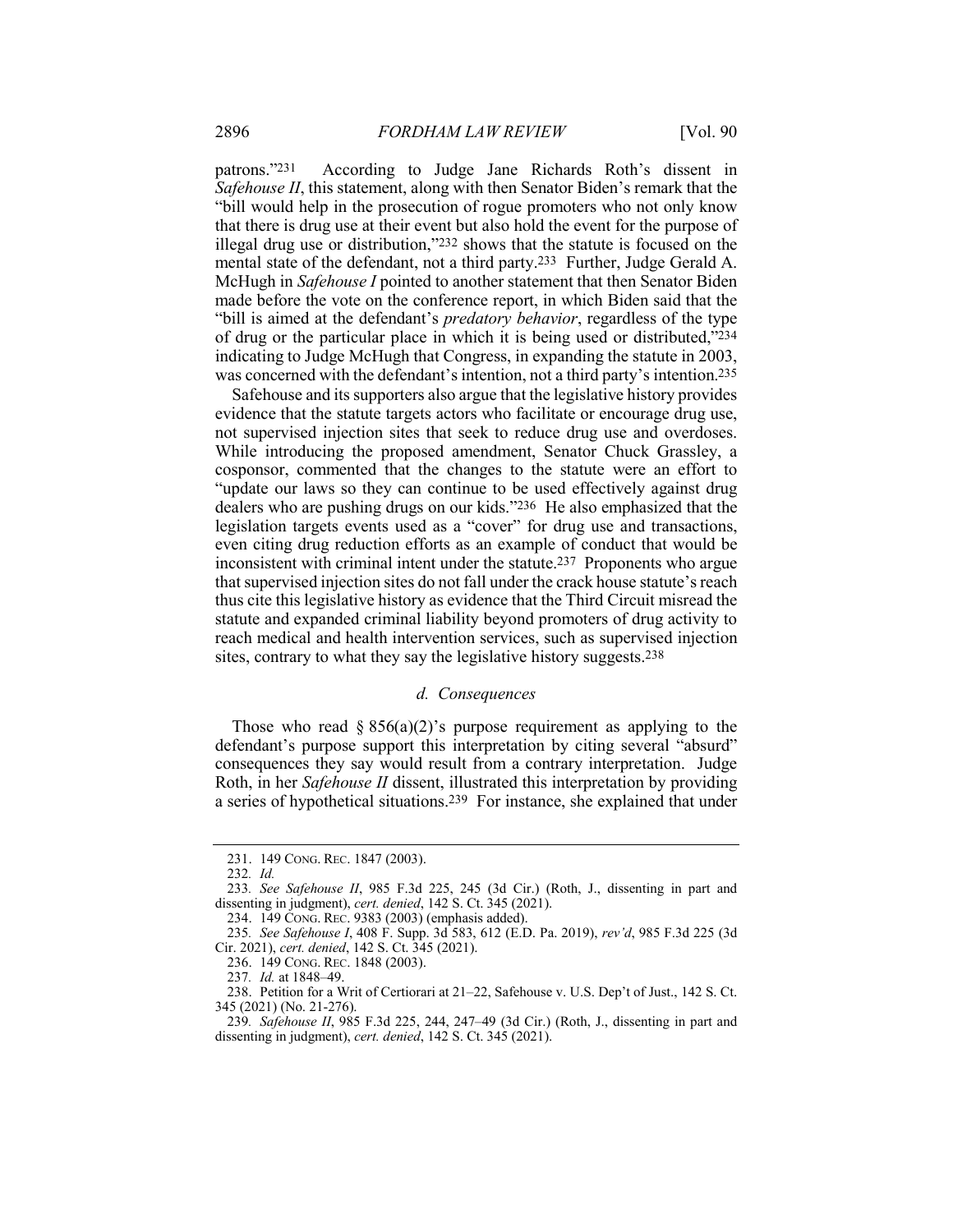patrons."231 According to Judge Jane Richards Roth's dissent in *Safehouse II*, this statement, along with then Senator Biden's remark that the "bill would help in the prosecution of rogue promoters who not only know that there is drug use at their event but also hold the event for the purpose of illegal drug use or distribution,"232 shows that the statute is focused on the mental state of the defendant, not a third party.233 Further, Judge Gerald A. McHugh in *Safehouse I* pointed to another statement that then Senator Biden made before the vote on the conference report, in which Biden said that the "bill is aimed at the defendant's *predatory behavior*, regardless of the type of drug or the particular place in which it is being used or distributed,"234 indicating to Judge McHugh that Congress, in expanding the statute in 2003, was concerned with the defendant's intention, not a third party's intention.235

Safehouse and its supporters also argue that the legislative history provides evidence that the statute targets actors who facilitate or encourage drug use, not supervised injection sites that seek to reduce drug use and overdoses. While introducing the proposed amendment, Senator Chuck Grassley, a cosponsor, commented that the changes to the statute were an effort to "update our laws so they can continue to be used effectively against drug dealers who are pushing drugs on our kids."236 He also emphasized that the legislation targets events used as a "cover" for drug use and transactions, even citing drug reduction efforts as an example of conduct that would be inconsistent with criminal intent under the statute.237 Proponents who argue that supervised injection sites do not fall under the crack house statute's reach thus cite this legislative history as evidence that the Third Circuit misread the statute and expanded criminal liability beyond promoters of drug activity to reach medical and health intervention services, such as supervised injection sites, contrary to what they say the legislative history suggests.238

#### *d. Consequences*

Those who read  $\S 856(a)(2)$ 's purpose requirement as applying to the defendant's purpose support this interpretation by citing several "absurd" consequences they say would result from a contrary interpretation. Judge Roth, in her *Safehouse II* dissent, illustrated this interpretation by providing a series of hypothetical situations.239 For instance, she explained that under

232*. Id.*

<sup>231.</sup> 149 CONG. REC. 1847 (2003).

<sup>233</sup>*. See Safehouse II*, 985 F.3d 225, 245 (3d Cir.) (Roth, J., dissenting in part and dissenting in judgment), *cert. denied*, 142 S. Ct. 345 (2021).

<sup>234.</sup> 149 CONG. REC. 9383 (2003) (emphasis added).

<sup>235</sup>*. See Safehouse I*, 408 F. Supp. 3d 583, 612 (E.D. Pa. 2019), *rev'd*, 985 F.3d 225 (3d Cir. 2021), *cert. denied*, 142 S. Ct. 345 (2021).

<sup>236.</sup> 149 CONG. REC. 1848 (2003).

<sup>237</sup>*. Id.* at 1848–49.

<sup>238.</sup> Petition for a Writ of Certiorari at 21–22, Safehouse v. U.S. Dep't of Just., 142 S. Ct. 345 (2021) (No. 21-276).

<sup>239</sup>*. Safehouse II*, 985 F.3d 225, 244, 247–49 (3d Cir.) (Roth, J., dissenting in part and dissenting in judgment), *cert. denied*, 142 S. Ct. 345 (2021).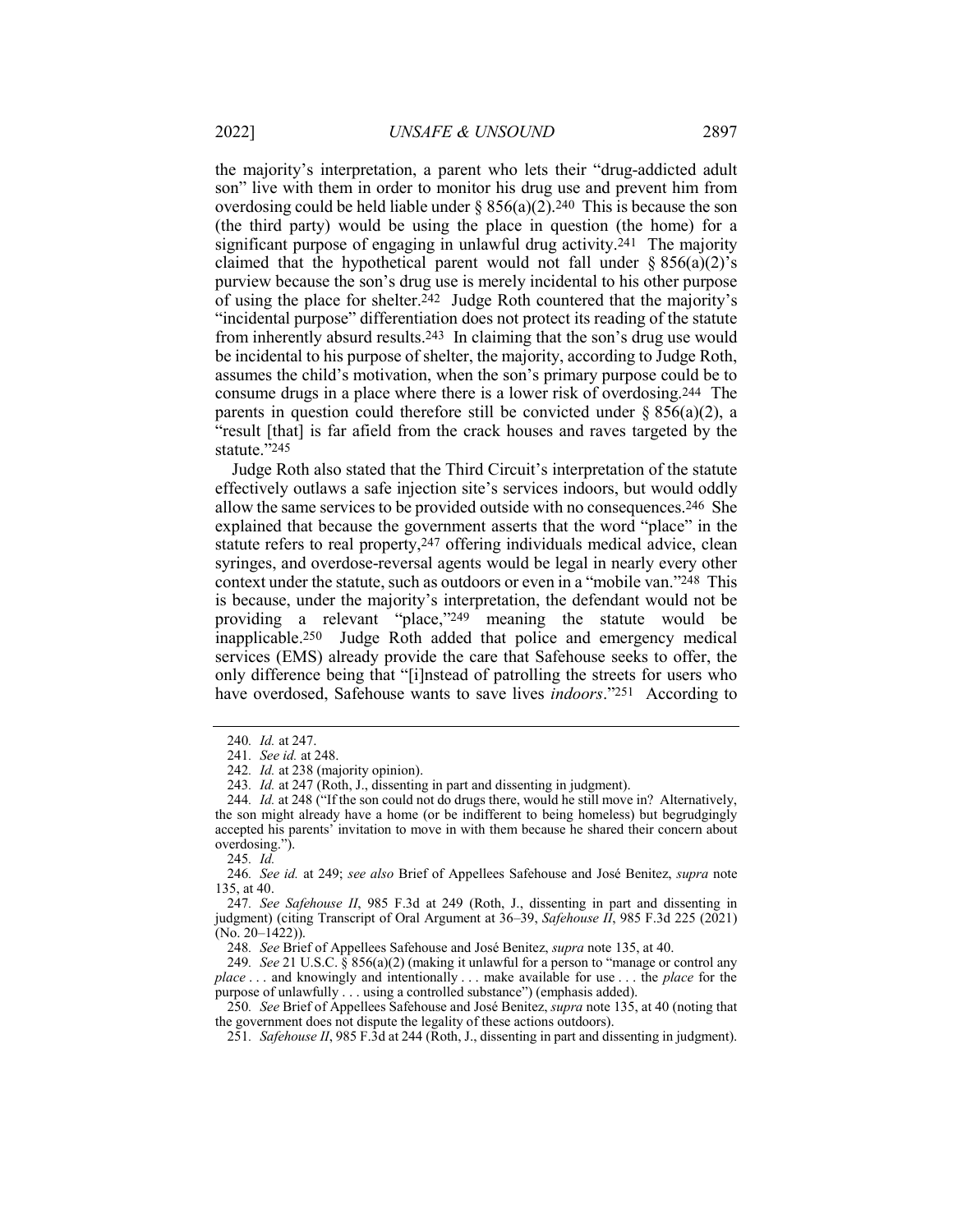the majority's interpretation, a parent who lets their "drug-addicted adult son" live with them in order to monitor his drug use and prevent him from overdosing could be held liable under  $\S 856(a)(2)$ . 240 This is because the son (the third party) would be using the place in question (the home) for a significant purpose of engaging in unlawful drug activity.241 The majority claimed that the hypothetical parent would not fall under  $\S 856(a)(2)'s$ purview because the son's drug use is merely incidental to his other purpose of using the place for shelter.242 Judge Roth countered that the majority's "incidental purpose" differentiation does not protect its reading of the statute from inherently absurd results.243 In claiming that the son's drug use would be incidental to his purpose of shelter, the majority, according to Judge Roth,

assumes the child's motivation, when the son's primary purpose could be to consume drugs in a place where there is a lower risk of overdosing.244 The parents in question could therefore still be convicted under  $\S 856(a)(2)$ , a "result [that] is far afield from the crack houses and raves targeted by the statute."245

Judge Roth also stated that the Third Circuit's interpretation of the statute effectively outlaws a safe injection site's services indoors, but would oddly allow the same services to be provided outside with no consequences.246 She explained that because the government asserts that the word "place" in the statute refers to real property,247 offering individuals medical advice, clean syringes, and overdose-reversal agents would be legal in nearly every other context under the statute, such as outdoors or even in a "mobile van."248 This is because, under the majority's interpretation, the defendant would not be providing a relevant "place,"249 meaning the statute would be inapplicable.250 Judge Roth added that police and emergency medical services (EMS) already provide the care that Safehouse seeks to offer, the only difference being that "[i]nstead of patrolling the streets for users who have overdosed, Safehouse wants to save lives *indoors*."251 According to

245*. Id.*

247*. See Safehouse II*, 985 F.3d at 249 (Roth, J., dissenting in part and dissenting in judgment) (citing Transcript of Oral Argument at 36–39, *Safehouse II*, 985 F.3d 225 (2021) (No. 20–1422)).

248*. See* Brief of Appellees Safehouse and José Benitez, *supra* note 135, at 40.

249*. See* 21 U.S.C. § 856(a)(2) (making it unlawful for a person to "manage or control any *place* . . . and knowingly and intentionally . . . make available for use . . . the *place* for the purpose of unlawfully . . . using a controlled substance") (emphasis added).

250*. See* Brief of Appellees Safehouse and José Benitez, *supra* note 135, at 40 (noting that the government does not dispute the legality of these actions outdoors).

251*. Safehouse II*, 985 F.3d at 244 (Roth, J., dissenting in part and dissenting in judgment).

<sup>240</sup>*. Id.* at 247.

<sup>241</sup>*. See id.* at 248.

<sup>242</sup>*. Id.* at 238 (majority opinion).

<sup>243</sup>*. Id.* at 247 (Roth, J., dissenting in part and dissenting in judgment).

<sup>244</sup>*. Id.* at 248 ("If the son could not do drugs there, would he still move in? Alternatively, the son might already have a home (or be indifferent to being homeless) but begrudgingly accepted his parents' invitation to move in with them because he shared their concern about overdosing.").

<sup>246</sup>*. See id.* at 249; *see also* Brief of Appellees Safehouse and José Benitez, *supra* note 135, at 40.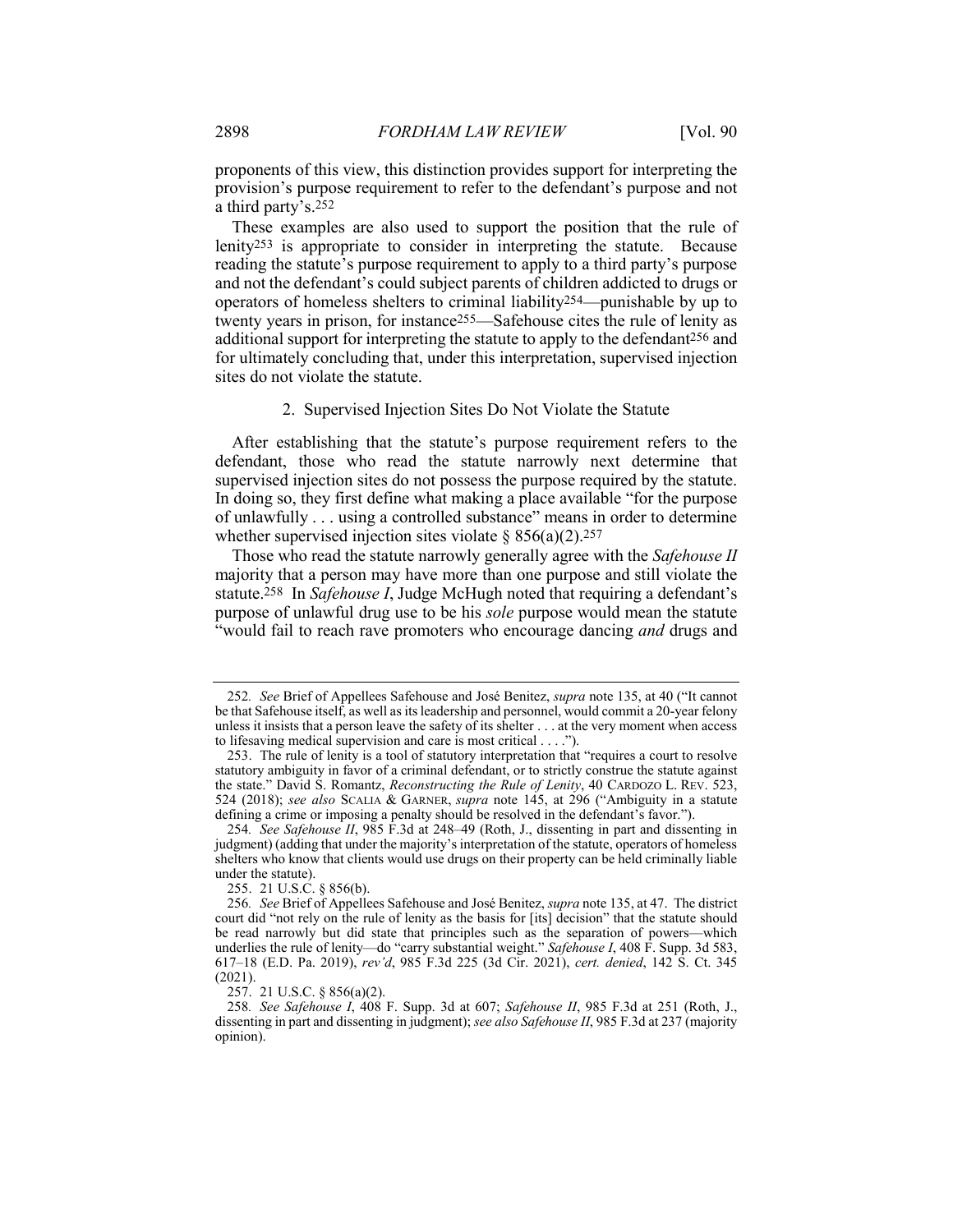proponents of this view, this distinction provides support for interpreting the provision's purpose requirement to refer to the defendant's purpose and not a third party's.252

These examples are also used to support the position that the rule of lenity253 is appropriate to consider in interpreting the statute. Because reading the statute's purpose requirement to apply to a third party's purpose and not the defendant's could subject parents of children addicted to drugs or operators of homeless shelters to criminal liability254—punishable by up to twenty years in prison, for instance255—Safehouse cites the rule of lenity as additional support for interpreting the statute to apply to the defendant256 and for ultimately concluding that, under this interpretation, supervised injection sites do not violate the statute.

#### 2. Supervised Injection Sites Do Not Violate the Statute

After establishing that the statute's purpose requirement refers to the defendant, those who read the statute narrowly next determine that supervised injection sites do not possess the purpose required by the statute. In doing so, they first define what making a place available "for the purpose of unlawfully . . . using a controlled substance" means in order to determine whether supervised injection sites violate §  $856(a)(2)$ .<sup>257</sup>

Those who read the statute narrowly generally agree with the *Safehouse II* majority that a person may have more than one purpose and still violate the statute.258 In *Safehouse I*, Judge McHugh noted that requiring a defendant's purpose of unlawful drug use to be his *sole* purpose would mean the statute "would fail to reach rave promoters who encourage dancing *and* drugs and

255. 21 U.S.C. § 856(b).

<sup>252</sup>*. See* Brief of Appellees Safehouse and José Benitez, *supra* note 135, at 40 ("It cannot be that Safehouse itself, as well as its leadership and personnel, would commit a 20-year felony unless it insists that a person leave the safety of its shelter . . . at the very moment when access to lifesaving medical supervision and care is most critical . . . .").

<sup>253.</sup> The rule of lenity is a tool of statutory interpretation that "requires a court to resolve statutory ambiguity in favor of a criminal defendant, or to strictly construe the statute against the state." David S. Romantz, *Reconstructing the Rule of Lenity*, 40 CARDOZO L. REV. 523, 524 (2018); *see also* SCALIA & GARNER, *supra* note 145, at 296 ("Ambiguity in a statute defining a crime or imposing a penalty should be resolved in the defendant's favor.").

<sup>254</sup>*. See Safehouse II*, 985 F.3d at 248–49 (Roth, J., dissenting in part and dissenting in judgment) (adding that under the majority's interpretation of the statute, operators of homeless shelters who know that clients would use drugs on their property can be held criminally liable under the statute).

<sup>256</sup>*. See* Brief of Appellees Safehouse and José Benitez, *supra* note 135, at 47. The district court did "not rely on the rule of lenity as the basis for [its] decision" that the statute should be read narrowly but did state that principles such as the separation of powers—which underlies the rule of lenity—do "carry substantial weight." *Safehouse I*, 408 F. Supp. 3d 583, 617–18 (E.D. Pa. 2019), *rev'd*, 985 F.3d 225 (3d Cir. 2021), *cert. denied*, 142 S. Ct. 345 (2021).

<sup>257.</sup> 21 U.S.C. § 856(a)(2).

<sup>258</sup>*. See Safehouse I*, 408 F. Supp. 3d at 607; *Safehouse II*, 985 F.3d at 251 (Roth, J., dissenting in part and dissenting in judgment); *see also Safehouse II*, 985 F.3d at 237 (majority opinion).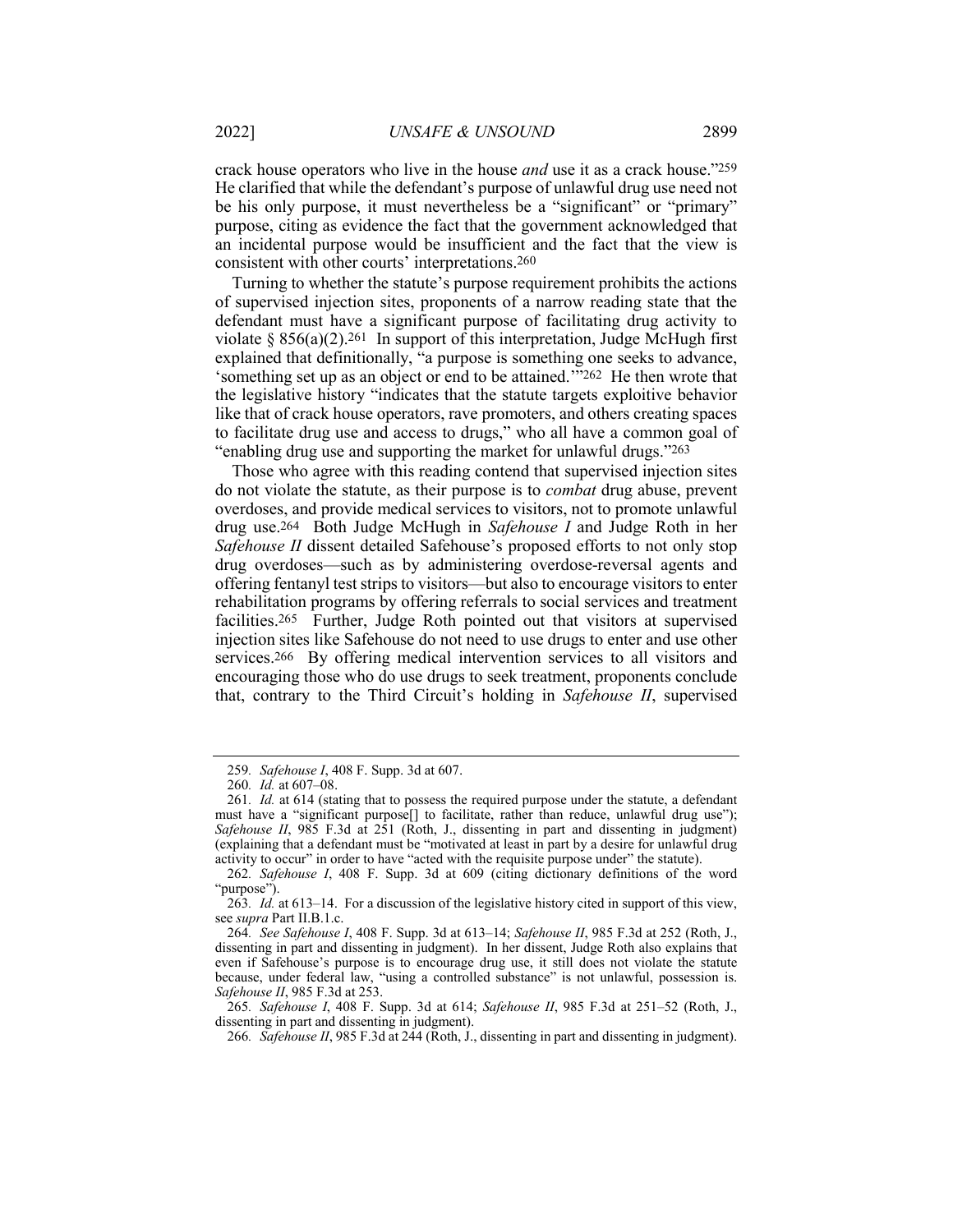crack house operators who live in the house *and* use it as a crack house."259 He clarified that while the defendant's purpose of unlawful drug use need not be his only purpose, it must nevertheless be a "significant" or "primary" purpose, citing as evidence the fact that the government acknowledged that an incidental purpose would be insufficient and the fact that the view is consistent with other courts' interpretations.260

Turning to whether the statute's purpose requirement prohibits the actions of supervised injection sites, proponents of a narrow reading state that the defendant must have a significant purpose of facilitating drug activity to violate  $\S 856(a)(2)$ . 261 In support of this interpretation, Judge McHugh first explained that definitionally, "a purpose is something one seeks to advance, 'something set up as an object or end to be attained.'"262 He then wrote that the legislative history "indicates that the statute targets exploitive behavior like that of crack house operators, rave promoters, and others creating spaces to facilitate drug use and access to drugs," who all have a common goal of "enabling drug use and supporting the market for unlawful drugs."263

Those who agree with this reading contend that supervised injection sites do not violate the statute, as their purpose is to *combat* drug abuse, prevent overdoses, and provide medical services to visitors, not to promote unlawful drug use.264 Both Judge McHugh in *Safehouse I* and Judge Roth in her *Safehouse II* dissent detailed Safehouse's proposed efforts to not only stop drug overdoses—such as by administering overdose-reversal agents and offering fentanyl test strips to visitors—but also to encourage visitors to enter rehabilitation programs by offering referrals to social services and treatment facilities.265 Further, Judge Roth pointed out that visitors at supervised injection sites like Safehouse do not need to use drugs to enter and use other services.266 By offering medical intervention services to all visitors and encouraging those who do use drugs to seek treatment, proponents conclude that, contrary to the Third Circuit's holding in *Safehouse II*, supervised

<sup>259</sup>*. Safehouse I*, 408 F. Supp. 3d at 607.

<sup>260</sup>*. Id.* at 607–08.

<sup>261</sup>*. Id.* at 614 (stating that to possess the required purpose under the statute, a defendant must have a "significant purpose<sup>[]</sup> to facilitate, rather than reduce, unlawful drug use"); *Safehouse II*, 985 F.3d at 251 (Roth, J., dissenting in part and dissenting in judgment) (explaining that a defendant must be "motivated at least in part by a desire for unlawful drug activity to occur" in order to have "acted with the requisite purpose under" the statute).

<sup>262</sup>*. Safehouse I*, 408 F. Supp. 3d at 609 (citing dictionary definitions of the word "purpose").

<sup>263</sup>*. Id.* at 613–14. For a discussion of the legislative history cited in support of this view, see *supra* Part II.B.1.c.

<sup>264</sup>*. See Safehouse I*, 408 F. Supp. 3d at 613–14; *Safehouse II*, 985 F.3d at 252 (Roth, J., dissenting in part and dissenting in judgment). In her dissent, Judge Roth also explains that even if Safehouse's purpose is to encourage drug use, it still does not violate the statute because, under federal law, "using a controlled substance" is not unlawful, possession is. *Safehouse II*, 985 F.3d at 253.

<sup>265</sup>*. Safehouse I*, 408 F. Supp. 3d at 614; *Safehouse II*, 985 F.3d at 251–52 (Roth, J., dissenting in part and dissenting in judgment).

<sup>266</sup>*. Safehouse II*, 985 F.3d at 244 (Roth, J., dissenting in part and dissenting in judgment).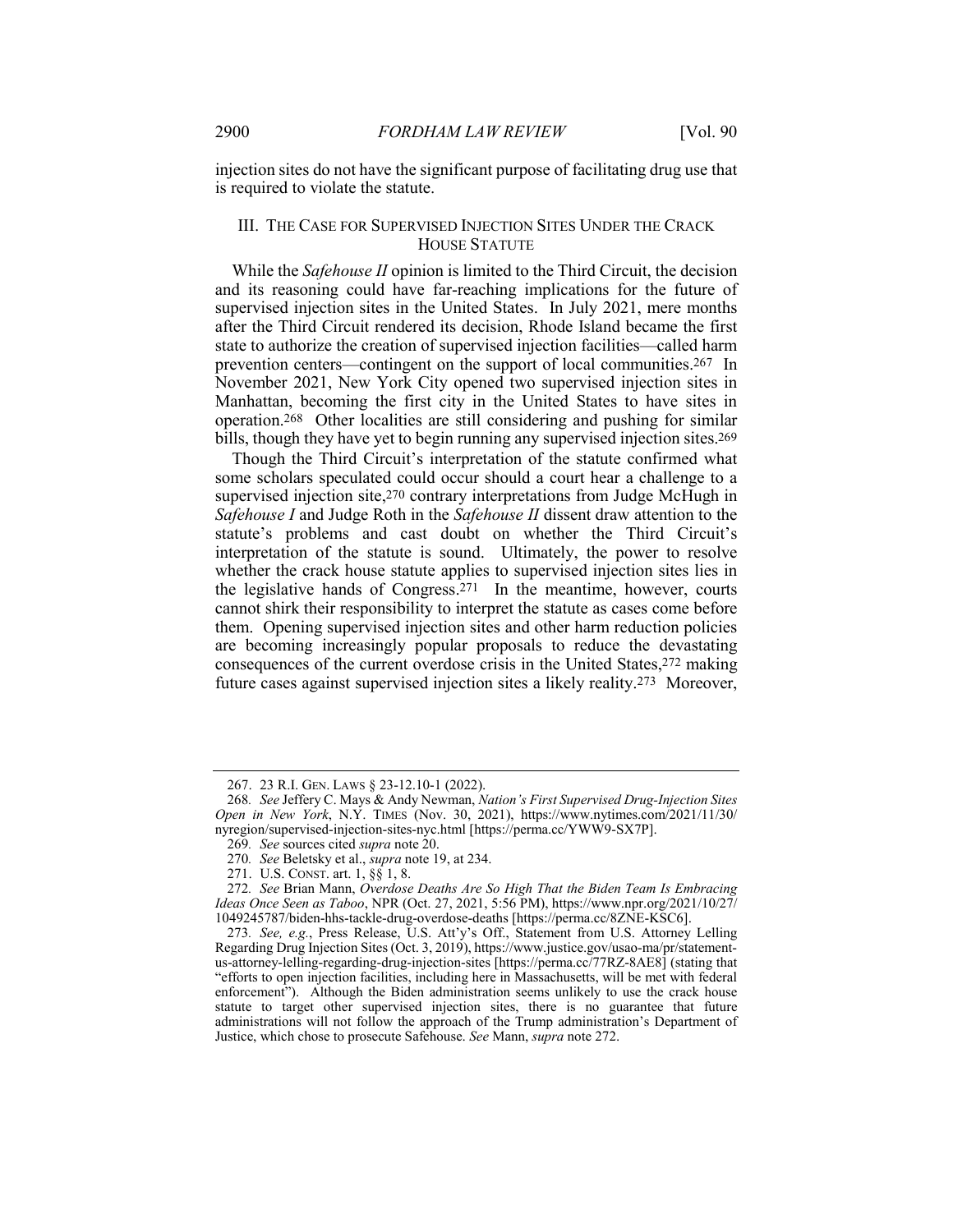injection sites do not have the significant purpose of facilitating drug use that is required to violate the statute.

#### III. THE CASE FOR SUPERVISED INJECTION SITES UNDER THE CRACK HOUSE STATUTE

While the *Safehouse II* opinion is limited to the Third Circuit, the decision and its reasoning could have far-reaching implications for the future of supervised injection sites in the United States. In July 2021, mere months after the Third Circuit rendered its decision, Rhode Island became the first state to authorize the creation of supervised injection facilities—called harm prevention centers—contingent on the support of local communities.267 In November 2021, New York City opened two supervised injection sites in Manhattan, becoming the first city in the United States to have sites in operation.268 Other localities are still considering and pushing for similar bills, though they have yet to begin running any supervised injection sites.<sup>269</sup>

Though the Third Circuit's interpretation of the statute confirmed what some scholars speculated could occur should a court hear a challenge to a supervised injection site,<sup>270</sup> contrary interpretations from Judge McHugh in *Safehouse I* and Judge Roth in the *Safehouse II* dissent draw attention to the statute's problems and cast doubt on whether the Third Circuit's interpretation of the statute is sound. Ultimately, the power to resolve whether the crack house statute applies to supervised injection sites lies in the legislative hands of Congress.271 In the meantime, however, courts cannot shirk their responsibility to interpret the statute as cases come before them. Opening supervised injection sites and other harm reduction policies are becoming increasingly popular proposals to reduce the devastating consequences of the current overdose crisis in the United States,272 making future cases against supervised injection sites a likely reality.273 Moreover,

<sup>267.</sup> 23 R.I. GEN. LAWS § 23-12.10-1 (2022).

<sup>268</sup>*. See* Jeffery C. Mays & Andy Newman, *Nation's First Supervised Drug-Injection Sites Open in New York*, N.Y. TIMES (Nov. 30, 2021), https://www.nytimes.com/2021/11/30/ nyregion/supervised-injection-sites-nyc.html [https://perma.cc/YWW9-SX7P].

<sup>269</sup>*. See* sources cited *supra* note 20.

<sup>270</sup>*. See* Beletsky et al., *supra* note 19, at 234.

<sup>271.</sup> U.S. CONST. art. 1, §§ 1, 8.

<sup>272</sup>*. See* Brian Mann, *Overdose Deaths Are So High That the Biden Team Is Embracing Ideas Once Seen as Taboo*, NPR (Oct. 27, 2021, 5:56 PM), https://www.npr.org/2021/10/27/ 1049245787/biden-hhs-tackle-drug-overdose-deaths [https://perma.cc/8ZNE-KSC6].

<sup>273</sup>*. See, e.g.*, Press Release, U.S. Att'y's Off., Statement from U.S. Attorney Lelling Regarding Drug Injection Sites (Oct. 3, 2019), https://www.justice.gov/usao-ma/pr/statementus-attorney-lelling-regarding-drug-injection-sites [https://perma.cc/77RZ-8AE8] (stating that "efforts to open injection facilities, including here in Massachusetts, will be met with federal enforcement"). Although the Biden administration seems unlikely to use the crack house statute to target other supervised injection sites, there is no guarantee that future administrations will not follow the approach of the Trump administration's Department of Justice, which chose to prosecute Safehouse. *See* Mann, *supra* note 272.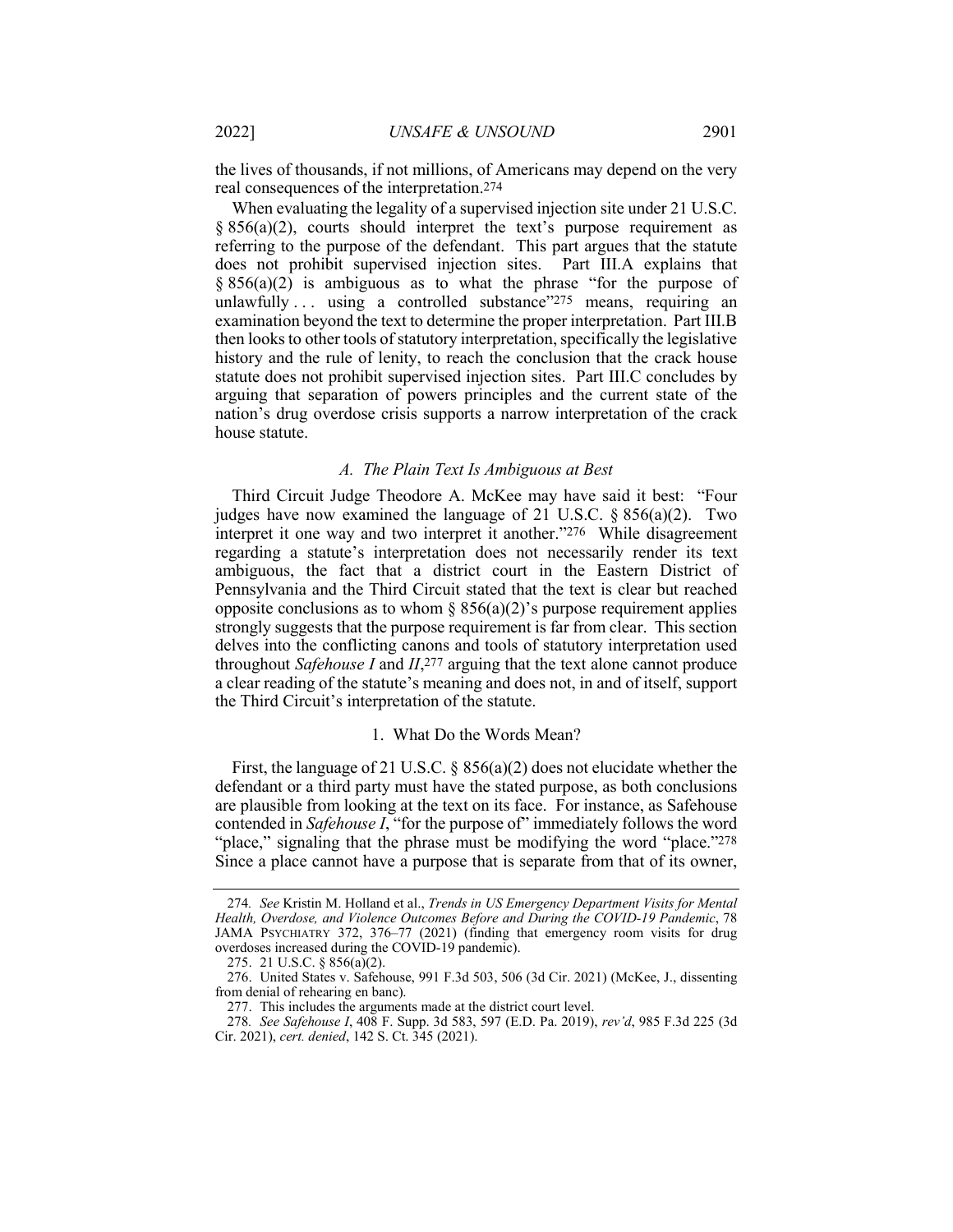the lives of thousands, if not millions, of Americans may depend on the very real consequences of the interpretation.274

When evaluating the legality of a supervised injection site under 21 U.S.C.  $§ 856(a)(2)$ , courts should interpret the text's purpose requirement as referring to the purpose of the defendant. This part argues that the statute does not prohibit supervised injection sites. Part III.A explains that  $\S 856(a)(2)$  is ambiguous as to what the phrase "for the purpose of unlawfully  $\ldots$  using a controlled substance  $\frac{275}{7}$  means, requiring an examination beyond the text to determine the proper interpretation. Part III.B then looks to other tools of statutory interpretation, specifically the legislative history and the rule of lenity, to reach the conclusion that the crack house statute does not prohibit supervised injection sites. Part III.C concludes by arguing that separation of powers principles and the current state of the nation's drug overdose crisis supports a narrow interpretation of the crack house statute.

#### *A. The Plain Text Is Ambiguous at Best*

Third Circuit Judge Theodore A. McKee may have said it best: "Four judges have now examined the language of 21 U.S.C.  $\S 856(a)(2)$ . Two interpret it one way and two interpret it another."276 While disagreement regarding a statute's interpretation does not necessarily render its text ambiguous, the fact that a district court in the Eastern District of Pennsylvania and the Third Circuit stated that the text is clear but reached opposite conclusions as to whom  $\S 856(a)(2)$ 's purpose requirement applies strongly suggests that the purpose requirement is far from clear. This section delves into the conflicting canons and tools of statutory interpretation used throughout *Safehouse I* and *II*,277 arguing that the text alone cannot produce a clear reading of the statute's meaning and does not, in and of itself, support the Third Circuit's interpretation of the statute.

#### 1. What Do the Words Mean?

First, the language of 21 U.S.C. § 856(a)(2) does not elucidate whether the defendant or a third party must have the stated purpose, as both conclusions are plausible from looking at the text on its face. For instance, as Safehouse contended in *Safehouse I*, "for the purpose of" immediately follows the word "place," signaling that the phrase must be modifying the word "place."278 Since a place cannot have a purpose that is separate from that of its owner,

<sup>274</sup>*. See* Kristin M. Holland et al., *Trends in US Emergency Department Visits for Mental Health, Overdose, and Violence Outcomes Before and During the COVID-19 Pandemic*, 78 JAMA PSYCHIATRY 372, 376–77 (2021) (finding that emergency room visits for drug overdoses increased during the COVID-19 pandemic).

<sup>275.</sup> 21 U.S.C. § 856(a)(2).

<sup>276.</sup> United States v. Safehouse, 991 F.3d 503, 506 (3d Cir. 2021) (McKee, J., dissenting from denial of rehearing en banc).

<sup>277.</sup> This includes the arguments made at the district court level.

<sup>278</sup>*. See Safehouse I*, 408 F. Supp. 3d 583, 597 (E.D. Pa. 2019), *rev'd*, 985 F.3d 225 (3d Cir. 2021), *cert. denied*, 142 S. Ct. 345 (2021).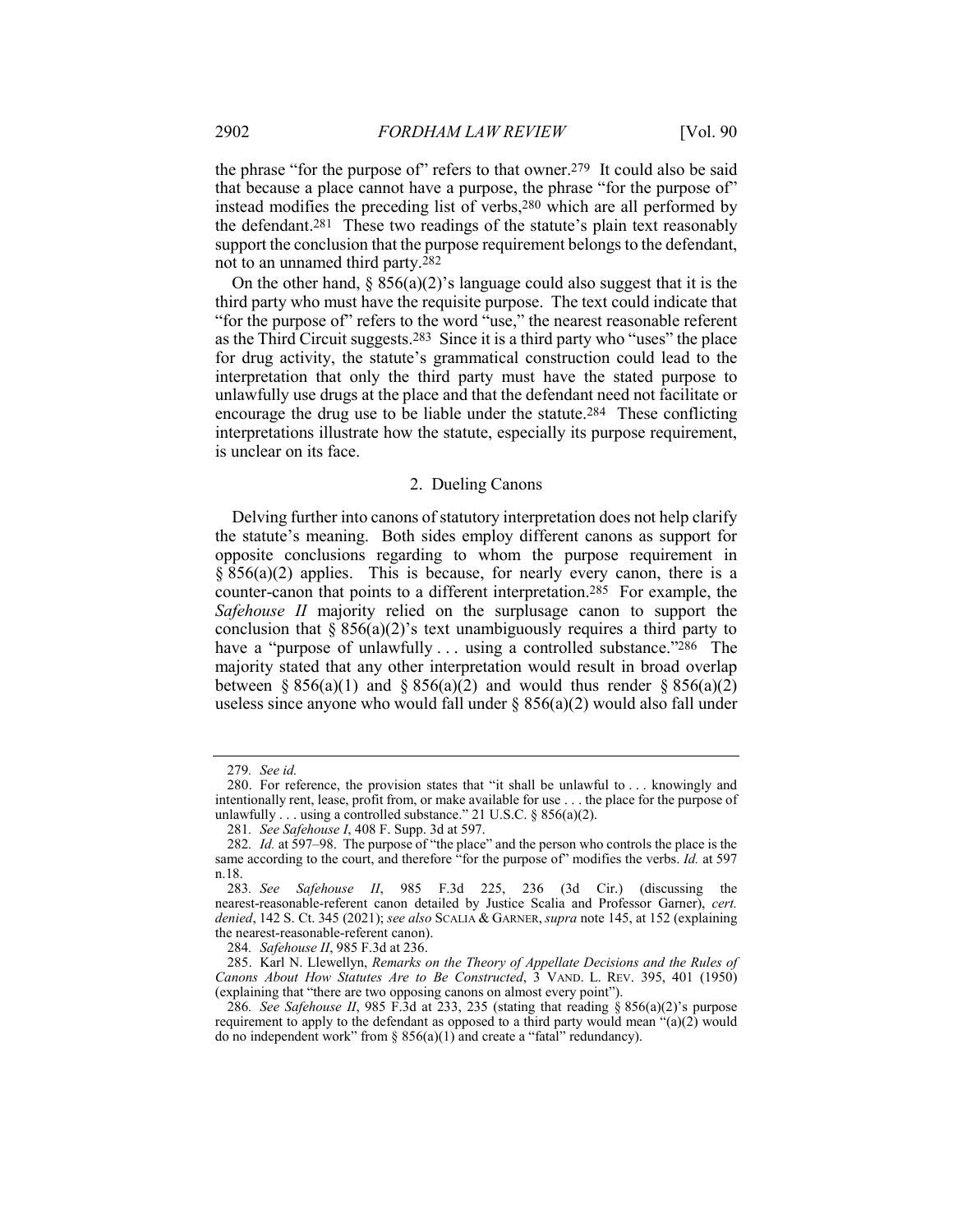the phrase "for the purpose of" refers to that owner.<sup>279</sup> It could also be said that because a place cannot have a purpose, the phrase "for the purpose of" instead modifies the preceding list of verbs,280 which are all performed by the defendant.281 These two readings of the statute's plain text reasonably support the conclusion that the purpose requirement belongs to the defendant, not to an unnamed third party.282

On the other hand,  $\S 856(a)(2)$ 's language could also suggest that it is the third party who must have the requisite purpose. The text could indicate that "for the purpose of" refers to the word "use," the nearest reasonable referent as the Third Circuit suggests.283 Since it is a third party who "uses" the place for drug activity, the statute's grammatical construction could lead to the interpretation that only the third party must have the stated purpose to unlawfully use drugs at the place and that the defendant need not facilitate or encourage the drug use to be liable under the statute.284 These conflicting interpretations illustrate how the statute, especially its purpose requirement, is unclear on its face.

#### 2. Dueling Canons

Delving further into canons of statutory interpretation does not help clarify the statute's meaning. Both sides employ different canons as support for opposite conclusions regarding to whom the purpose requirement in  $\S$  856(a)(2) applies. This is because, for nearly every canon, there is a counter-canon that points to a different interpretation.285 For example, the *Safehouse II* majority relied on the surplusage canon to support the conclusion that  $\S 856(a)(2)$ 's text unambiguously requires a third party to have a "purpose of unlawfully ... using a controlled substance."286 The majority stated that any other interpretation would result in broad overlap between § 856(a)(1) and § 856(a)(2) and would thus render § 856(a)(2) useless since anyone who would fall under  $\S$  856(a)(2) would also fall under

<sup>279</sup>*. See id.*

<sup>280.</sup> For reference, the provision states that "it shall be unlawful to . . . knowingly and intentionally rent, lease, profit from, or make available for use . . . the place for the purpose of unlawfully . . . using a controlled substance." 21 U.S.C. § 856(a)(2).

<sup>281</sup>*. See Safehouse I*, 408 F. Supp. 3d at 597.

<sup>282</sup>*. Id.* at 597–98. The purpose of "the place" and the person who controls the place is the same according to the court, and therefore "for the purpose of" modifies the verbs. *Id.* at 597 n.18.

<sup>283</sup>*. See Safehouse II*, 985 F.3d 225, 236 (3d Cir.) (discussing the nearest-reasonable-referent canon detailed by Justice Scalia and Professor Garner), *cert. denied*, 142 S. Ct. 345 (2021); *see also* SCALIA & GARNER,*supra* note 145, at 152 (explaining the nearest-reasonable-referent canon).

<sup>284</sup>*. Safehouse II*, 985 F.3d at 236.

<sup>285.</sup> Karl N. Llewellyn, *Remarks on the Theory of Appellate Decisions and the Rules of Canons About How Statutes Are to Be Constructed*, 3 VAND. L. REV. 395, 401 (1950) (explaining that "there are two opposing canons on almost every point").

<sup>286</sup>*. See Safehouse II*, 985 F.3d at 233, 235 (stating that reading § 856(a)(2)'s purpose requirement to apply to the defendant as opposed to a third party would mean "(a)(2) would do no independent work" from  $\S$  856(a)(1) and create a "fatal" redundancy).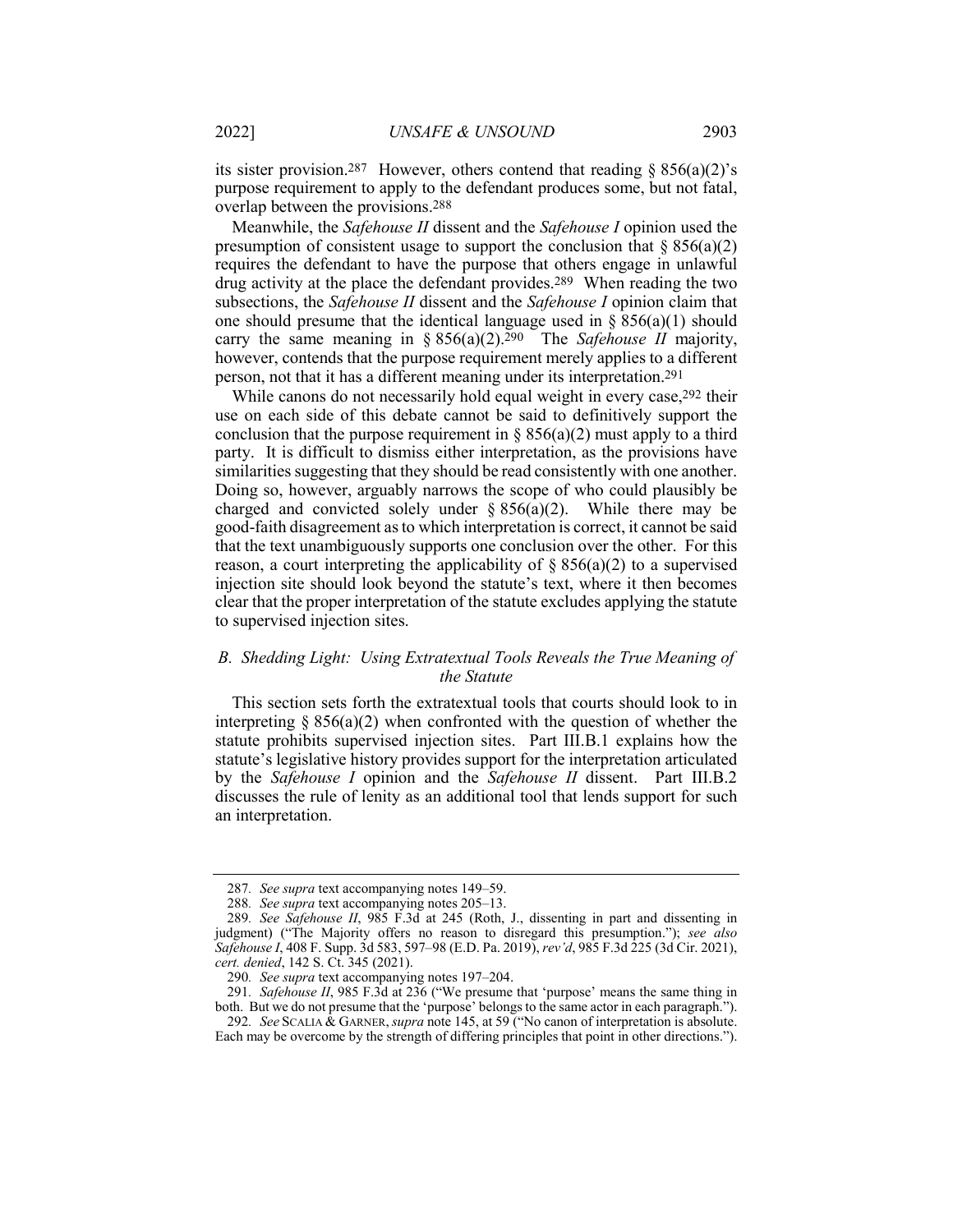its sister provision.<sup>287</sup> However, others contend that reading  $\S 856(a)(2)$ 's purpose requirement to apply to the defendant produces some, but not fatal, overlap between the provisions.288

Meanwhile, the *Safehouse II* dissent and the *Safehouse I* opinion used the presumption of consistent usage to support the conclusion that  $\S 856(a)(2)$ requires the defendant to have the purpose that others engage in unlawful drug activity at the place the defendant provides.289 When reading the two subsections, the *Safehouse II* dissent and the *Safehouse I* opinion claim that one should presume that the identical language used in  $\S 856(a)(1)$  should carry the same meaning in § 856(a)(2).290 The *Safehouse II* majority, however, contends that the purpose requirement merely applies to a different person, not that it has a different meaning under its interpretation.291

While canons do not necessarily hold equal weight in every case, <sup>292</sup> their use on each side of this debate cannot be said to definitively support the conclusion that the purpose requirement in  $\S 856(a)(2)$  must apply to a third party. It is difficult to dismiss either interpretation, as the provisions have similarities suggesting that they should be read consistently with one another. Doing so, however, arguably narrows the scope of who could plausibly be charged and convicted solely under  $\S 856(a)(2)$ . While there may be good-faith disagreement as to which interpretation is correct, it cannot be said that the text unambiguously supports one conclusion over the other. For this reason, a court interpreting the applicability of  $\S 856(a)(2)$  to a supervised injection site should look beyond the statute's text, where it then becomes clear that the proper interpretation of the statute excludes applying the statute to supervised injection sites.

#### *B. Shedding Light: Using Extratextual Tools Reveals the True Meaning of the Statute*

This section sets forth the extratextual tools that courts should look to in interpreting  $\S 856(a)(2)$  when confronted with the question of whether the statute prohibits supervised injection sites. Part III.B.1 explains how the statute's legislative history provides support for the interpretation articulated by the *Safehouse I* opinion and the *Safehouse II* dissent. Part III.B.2 discusses the rule of lenity as an additional tool that lends support for such an interpretation.

<sup>287</sup>*. See supra* text accompanying notes 149–59.

<sup>288</sup>*. See supra* text accompanying notes 205–13.

<sup>289</sup>*. See Safehouse II*, 985 F.3d at 245 (Roth, J., dissenting in part and dissenting in judgment) ("The Majority offers no reason to disregard this presumption."); *see also Safehouse I*, 408 F. Supp. 3d 583, 597–98 (E.D. Pa. 2019), *rev'd*, 985 F.3d 225 (3d Cir. 2021), *cert. denied*, 142 S. Ct. 345 (2021).

<sup>290</sup>*. See supra* text accompanying notes 197–204.

<sup>291</sup>*. Safehouse II*, 985 F.3d at 236 ("We presume that 'purpose' means the same thing in both. But we do not presume that the 'purpose' belongs to the same actor in each paragraph.").

<sup>292</sup>*. See* SCALIA & GARNER,*supra* note 145, at 59 ("No canon of interpretation is absolute. Each may be overcome by the strength of differing principles that point in other directions.").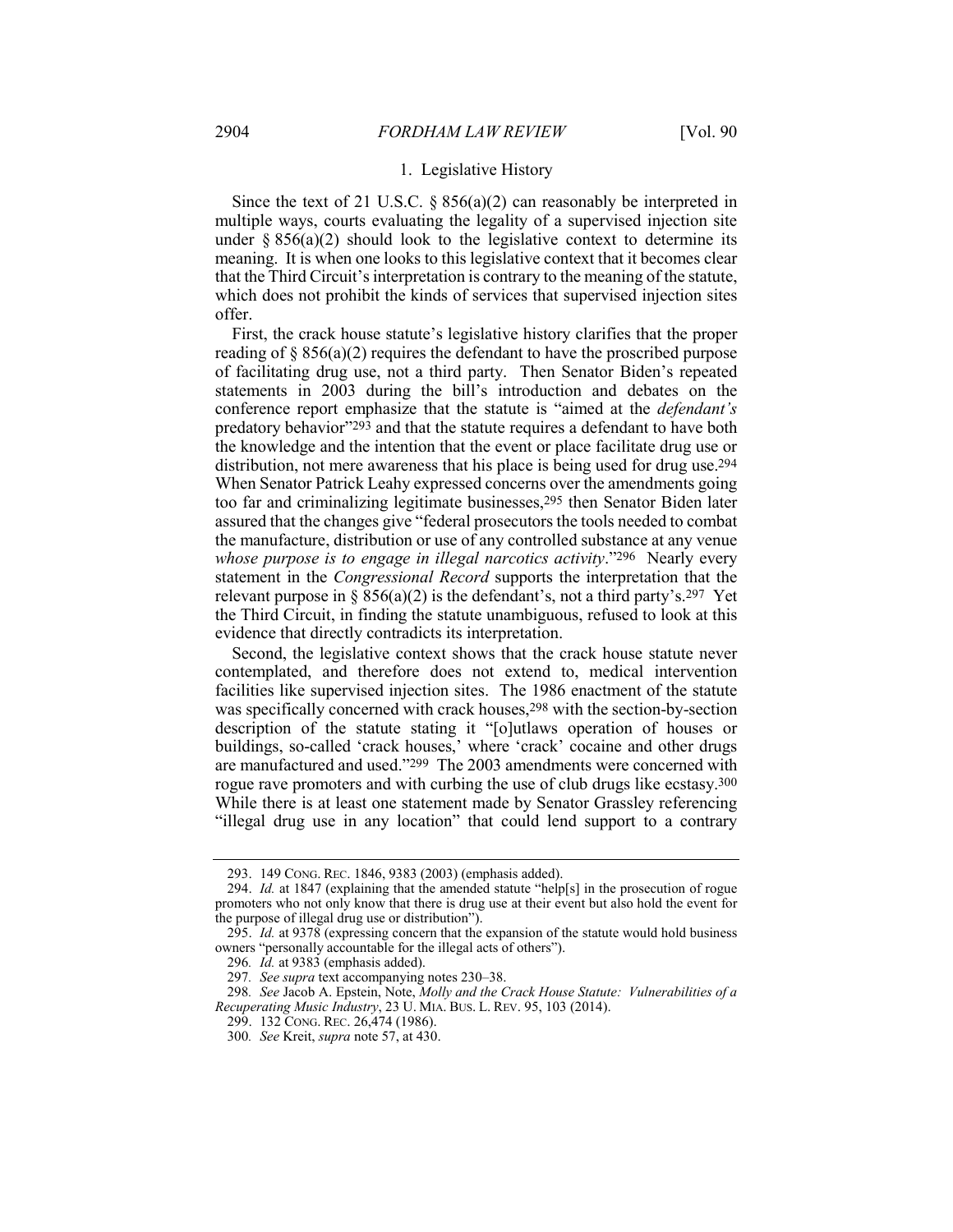#### 1. Legislative History

Since the text of 21 U.S.C.  $\S 856(a)(2)$  can reasonably be interpreted in multiple ways, courts evaluating the legality of a supervised injection site under  $\S 856(a)(2)$  should look to the legislative context to determine its meaning. It is when one looks to this legislative context that it becomes clear that the Third Circuit's interpretation is contrary to the meaning of the statute, which does not prohibit the kinds of services that supervised injection sites offer.

First, the crack house statute's legislative history clarifies that the proper reading of  $\S 856(a)(2)$  requires the defendant to have the proscribed purpose of facilitating drug use, not a third party. Then Senator Biden's repeated statements in 2003 during the bill's introduction and debates on the conference report emphasize that the statute is "aimed at the *defendant's* predatory behavior"293 and that the statute requires a defendant to have both the knowledge and the intention that the event or place facilitate drug use or distribution, not mere awareness that his place is being used for drug use.294 When Senator Patrick Leahy expressed concerns over the amendments going too far and criminalizing legitimate businesses,295 then Senator Biden later assured that the changes give "federal prosecutors the tools needed to combat the manufacture, distribution or use of any controlled substance at any venue *whose purpose is to engage in illegal narcotics activity*."296 Nearly every statement in the *Congressional Record* supports the interpretation that the relevant purpose in § 856(a)(2) is the defendant's, not a third party's.<sup>297</sup> Yet the Third Circuit, in finding the statute unambiguous, refused to look at this evidence that directly contradicts its interpretation.

Second, the legislative context shows that the crack house statute never contemplated, and therefore does not extend to, medical intervention facilities like supervised injection sites. The 1986 enactment of the statute was specifically concerned with crack houses,<sup>298</sup> with the section-by-section description of the statute stating it "[o]utlaws operation of houses or buildings, so-called 'crack houses,' where 'crack' cocaine and other drugs are manufactured and used."299 The 2003 amendments were concerned with rogue rave promoters and with curbing the use of club drugs like ecstasy.<sup>300</sup> While there is at least one statement made by Senator Grassley referencing "illegal drug use in any location" that could lend support to a contrary

<sup>293.</sup> 149 CONG. REC. 1846, 9383 (2003) (emphasis added).

<sup>294.</sup> *Id.* at 1847 (explaining that the amended statute "help[s] in the prosecution of rogue promoters who not only know that there is drug use at their event but also hold the event for the purpose of illegal drug use or distribution").

<sup>295.</sup> *Id.* at 9378 (expressing concern that the expansion of the statute would hold business owners "personally accountable for the illegal acts of others").

<sup>296</sup>*. Id.* at 9383 (emphasis added).

<sup>297</sup>*. See supra* text accompanying notes 230–38.

<sup>298</sup>*. See* Jacob A. Epstein, Note, *Molly and the Crack House Statute: Vulnerabilities of a Recuperating Music Industry*, 23 U. MIA. BUS. L. REV. 95, 103 (2014).

<sup>299.</sup> 132 CONG. REC. 26,474 (1986).

<sup>300</sup>*. See* Kreit, *supra* note 57, at 430.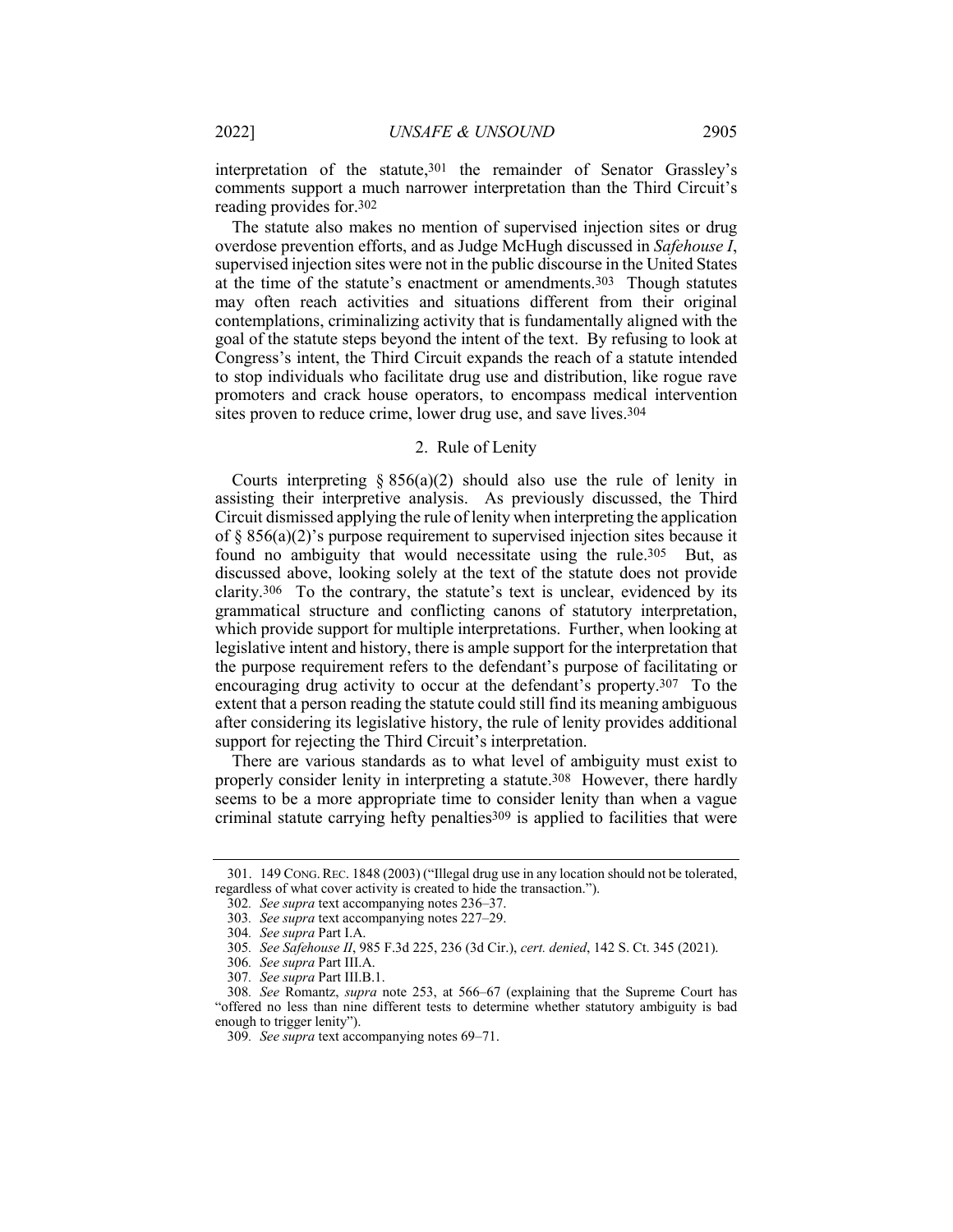interpretation of the statute,301 the remainder of Senator Grassley's comments support a much narrower interpretation than the Third Circuit's reading provides for.302

The statute also makes no mention of supervised injection sites or drug overdose prevention efforts, and as Judge McHugh discussed in *Safehouse I*, supervised injection sites were not in the public discourse in the United States at the time of the statute's enactment or amendments.303 Though statutes may often reach activities and situations different from their original contemplations, criminalizing activity that is fundamentally aligned with the goal of the statute steps beyond the intent of the text. By refusing to look at Congress's intent, the Third Circuit expands the reach of a statute intended to stop individuals who facilitate drug use and distribution, like rogue rave promoters and crack house operators, to encompass medical intervention sites proven to reduce crime, lower drug use, and save lives.304

#### 2. Rule of Lenity

Courts interpreting  $\S 856(a)(2)$  should also use the rule of lenity in assisting their interpretive analysis. As previously discussed, the Third Circuit dismissed applying the rule of lenity when interpreting the application of § 856(a)(2)'s purpose requirement to supervised injection sites because it found no ambiguity that would necessitate using the rule.<sup>305</sup> But, as discussed above, looking solely at the text of the statute does not provide clarity.306 To the contrary, the statute's text is unclear, evidenced by its grammatical structure and conflicting canons of statutory interpretation, which provide support for multiple interpretations. Further, when looking at legislative intent and history, there is ample support for the interpretation that the purpose requirement refers to the defendant's purpose of facilitating or encouraging drug activity to occur at the defendant's property.307 To the extent that a person reading the statute could still find its meaning ambiguous after considering its legislative history, the rule of lenity provides additional support for rejecting the Third Circuit's interpretation.

There are various standards as to what level of ambiguity must exist to properly consider lenity in interpreting a statute.308 However, there hardly seems to be a more appropriate time to consider lenity than when a vague criminal statute carrying hefty penalties<sup>309</sup> is applied to facilities that were

<sup>301.</sup> 149 CONG.REC. 1848 (2003) ("Illegal drug use in any location should not be tolerated, regardless of what cover activity is created to hide the transaction.").

<sup>302</sup>*. See supra* text accompanying notes 236–37.

<sup>303</sup>*. See supra* text accompanying notes 227–29.

<sup>304</sup>*. See supra* Part I.A.

<sup>305</sup>*. See Safehouse II*, 985 F.3d 225, 236 (3d Cir.), *cert. denied*, 142 S. Ct. 345 (2021).

<sup>306</sup>*. See supra* Part III.A.

<sup>307</sup>*. See supra* Part III.B.1.

<sup>308</sup>*. See* Romantz, *supra* note 253, at 566–67 (explaining that the Supreme Court has "offered no less than nine different tests to determine whether statutory ambiguity is bad enough to trigger lenity").

<sup>309</sup>*. See supra* text accompanying notes 69–71.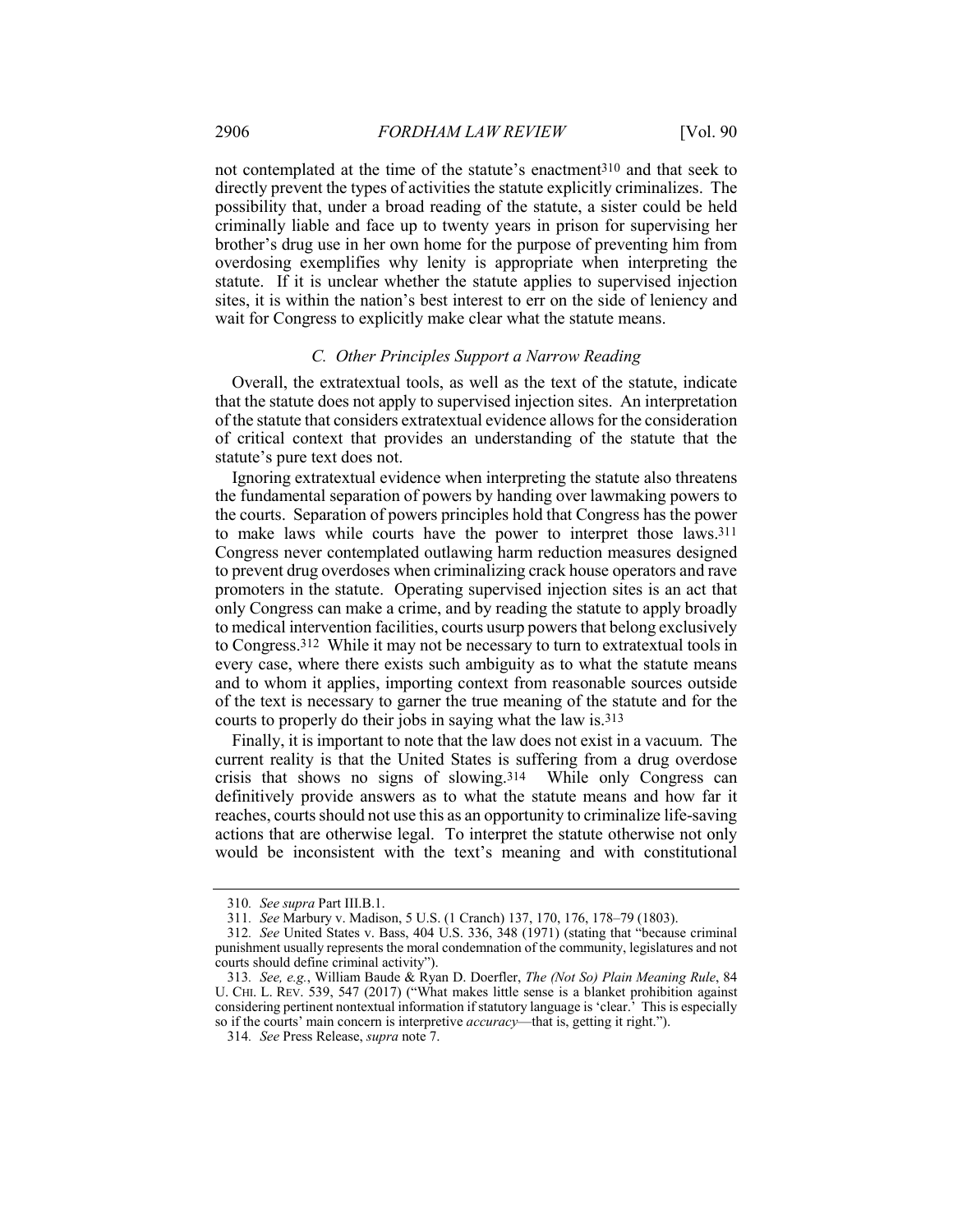not contemplated at the time of the statute's enactment310 and that seek to directly prevent the types of activities the statute explicitly criminalizes. The possibility that, under a broad reading of the statute, a sister could be held criminally liable and face up to twenty years in prison for supervising her brother's drug use in her own home for the purpose of preventing him from overdosing exemplifies why lenity is appropriate when interpreting the statute. If it is unclear whether the statute applies to supervised injection sites, it is within the nation's best interest to err on the side of leniency and wait for Congress to explicitly make clear what the statute means.

#### *C. Other Principles Support a Narrow Reading*

Overall, the extratextual tools, as well as the text of the statute, indicate that the statute does not apply to supervised injection sites. An interpretation of the statute that considers extratextual evidence allows for the consideration of critical context that provides an understanding of the statute that the statute's pure text does not.

Ignoring extratextual evidence when interpreting the statute also threatens the fundamental separation of powers by handing over lawmaking powers to the courts. Separation of powers principles hold that Congress has the power to make laws while courts have the power to interpret those laws.311 Congress never contemplated outlawing harm reduction measures designed to prevent drug overdoses when criminalizing crack house operators and rave promoters in the statute. Operating supervised injection sites is an act that only Congress can make a crime, and by reading the statute to apply broadly to medical intervention facilities, courts usurp powers that belong exclusively to Congress.312 While it may not be necessary to turn to extratextual tools in every case, where there exists such ambiguity as to what the statute means and to whom it applies, importing context from reasonable sources outside of the text is necessary to garner the true meaning of the statute and for the courts to properly do their jobs in saying what the law is.313

Finally, it is important to note that the law does not exist in a vacuum. The current reality is that the United States is suffering from a drug overdose crisis that shows no signs of slowing.314 While only Congress can definitively provide answers as to what the statute means and how far it reaches, courts should not use this as an opportunity to criminalize life-saving actions that are otherwise legal. To interpret the statute otherwise not only would be inconsistent with the text's meaning and with constitutional

<sup>310</sup>*. See supra* Part III.B.1.

<sup>311</sup>*. See* Marbury v. Madison, 5 U.S. (1 Cranch) 137, 170, 176, 178–79 (1803).

<sup>312</sup>*. See* United States v. Bass, 404 U.S. 336, 348 (1971) (stating that "because criminal punishment usually represents the moral condemnation of the community, legislatures and not courts should define criminal activity").

<sup>313</sup>*. See, e.g.*, William Baude & Ryan D. Doerfler, *The (Not So) Plain Meaning Rule*, 84 U. CHI. L. REV. 539, 547 (2017) ("What makes little sense is a blanket prohibition against considering pertinent nontextual information if statutory language is 'clear.' This is especially so if the courts' main concern is interpretive *accuracy*—that is, getting it right.").

<sup>314</sup>*. See* Press Release, *supra* note 7.